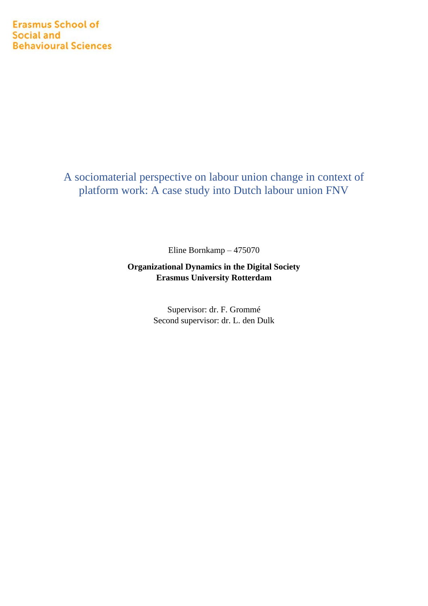A sociomaterial perspective on labour union change in context of platform work: A case study into Dutch labour union FNV

Eline Bornkamp – 475070

# **Organizational Dynamics in the Digital Society Erasmus University Rotterdam**

Supervisor: dr. F. Grommé Second supervisor: dr. L. den Dulk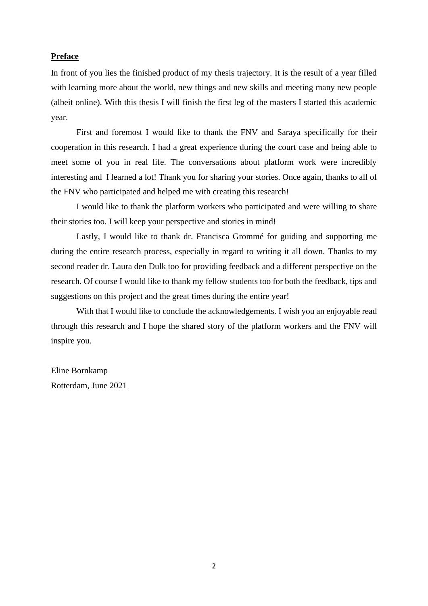# **Preface**

In front of you lies the finished product of my thesis trajectory. It is the result of a year filled with learning more about the world, new things and new skills and meeting many new people (albeit online). With this thesis I will finish the first leg of the masters I started this academic year.

First and foremost I would like to thank the FNV and Saraya specifically for their cooperation in this research. I had a great experience during the court case and being able to meet some of you in real life. The conversations about platform work were incredibly interesting and I learned a lot! Thank you for sharing your stories. Once again, thanks to all of the FNV who participated and helped me with creating this research!

I would like to thank the platform workers who participated and were willing to share their stories too. I will keep your perspective and stories in mind!

Lastly, I would like to thank dr. Francisca Grommé for guiding and supporting me during the entire research process, especially in regard to writing it all down. Thanks to my second reader dr. Laura den Dulk too for providing feedback and a different perspective on the research. Of course I would like to thank my fellow students too for both the feedback, tips and suggestions on this project and the great times during the entire year!

With that I would like to conclude the acknowledgements. I wish you an enjoyable read through this research and I hope the shared story of the platform workers and the FNV will inspire you.

Eline Bornkamp Rotterdam, June 2021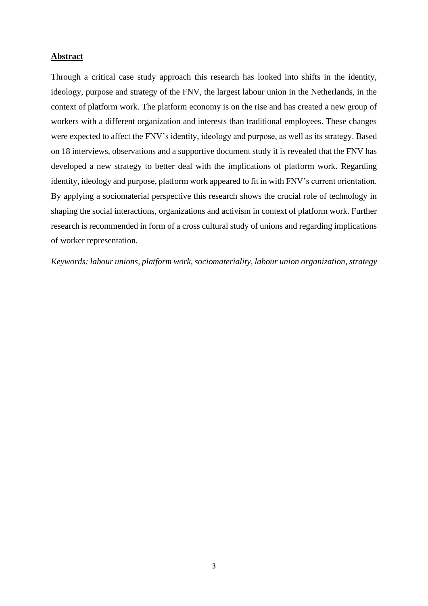# **Abstract**

Through a critical case study approach this research has looked into shifts in the identity, ideology, purpose and strategy of the FNV, the largest labour union in the Netherlands, in the context of platform work. The platform economy is on the rise and has created a new group of workers with a different organization and interests than traditional employees. These changes were expected to affect the FNV's identity, ideology and purpose, as well as its strategy. Based on 18 interviews, observations and a supportive document study it is revealed that the FNV has developed a new strategy to better deal with the implications of platform work. Regarding identity, ideology and purpose, platform work appeared to fit in with FNV's current orientation. By applying a sociomaterial perspective this research shows the crucial role of technology in shaping the social interactions, organizations and activism in context of platform work. Further research is recommended in form of a cross cultural study of unions and regarding implications of worker representation.

*Keywords: labour unions, platform work, sociomateriality, labour union organization, strategy*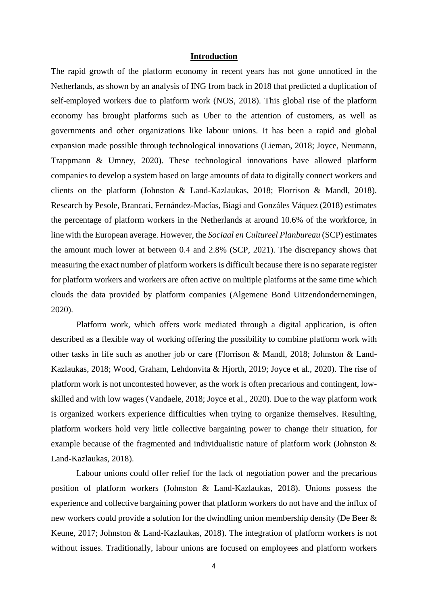### **Introduction**

The rapid growth of the platform economy in recent years has not gone unnoticed in the Netherlands, as shown by an analysis of ING from back in 2018 that predicted a duplication of self-employed workers due to platform work (NOS, 2018). This global rise of the platform economy has brought platforms such as Uber to the attention of customers, as well as governments and other organizations like labour unions. It has been a rapid and global expansion made possible through technological innovations (Lieman, 2018; Joyce, Neumann, Trappmann & Umney, 2020). These technological innovations have allowed platform companies to develop a system based on large amounts of data to digitally connect workers and clients on the platform (Johnston & Land-Kazlaukas, 2018; Florrison & Mandl, 2018). Research by Pesole, Brancati, Fernández-Macías, Biagi and Gonzáles Váquez (2018) estimates the percentage of platform workers in the Netherlands at around 10.6% of the workforce, in line with the European average. However, the *Sociaal en Cultureel Planbureau* (SCP) estimates the amount much lower at between 0.4 and 2.8% (SCP, 2021). The discrepancy shows that measuring the exact number of platform workers is difficult because there is no separate register for platform workers and workers are often active on multiple platforms at the same time which clouds the data provided by platform companies (Algemene Bond Uitzendondernemingen, 2020).

Platform work, which offers work mediated through a digital application, is often described as a flexible way of working offering the possibility to combine platform work with other tasks in life such as another job or care (Florrison & Mandl, 2018; Johnston & Land-Kazlaukas, 2018; Wood, Graham, Lehdonvita & Hjorth, 2019; Joyce et al., 2020). The rise of platform work is not uncontested however, as the work is often precarious and contingent, lowskilled and with low wages (Vandaele, 2018; Joyce et al., 2020). Due to the way platform work is organized workers experience difficulties when trying to organize themselves. Resulting, platform workers hold very little collective bargaining power to change their situation, for example because of the fragmented and individualistic nature of platform work (Johnston & Land-Kazlaukas, 2018).

Labour unions could offer relief for the lack of negotiation power and the precarious position of platform workers (Johnston & Land-Kazlaukas, 2018). Unions possess the experience and collective bargaining power that platform workers do not have and the influx of new workers could provide a solution for the dwindling union membership density (De Beer & Keune, 2017; Johnston & Land-Kazlaukas, 2018). The integration of platform workers is not without issues. Traditionally, labour unions are focused on employees and platform workers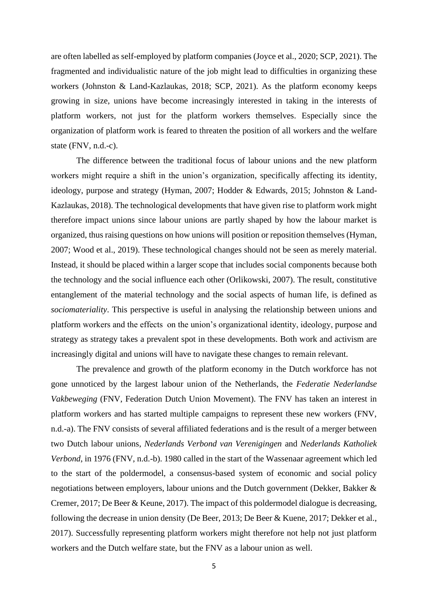are often labelled as self-employed by platform companies (Joyce et al., 2020; SCP, 2021). The fragmented and individualistic nature of the job might lead to difficulties in organizing these workers (Johnston & Land-Kazlaukas, 2018; SCP, 2021). As the platform economy keeps growing in size, unions have become increasingly interested in taking in the interests of platform workers, not just for the platform workers themselves. Especially since the organization of platform work is feared to threaten the position of all workers and the welfare state (FNV, n.d.-c).

The difference between the traditional focus of labour unions and the new platform workers might require a shift in the union's organization, specifically affecting its identity, ideology, purpose and strategy (Hyman, 2007; Hodder & Edwards, 2015; Johnston & Land-Kazlaukas, 2018). The technological developments that have given rise to platform work might therefore impact unions since labour unions are partly shaped by how the labour market is organized, thus raising questions on how unions will position or reposition themselves (Hyman, 2007; Wood et al., 2019). These technological changes should not be seen as merely material. Instead, it should be placed within a larger scope that includes social components because both the technology and the social influence each other (Orlikowski, 2007). The result, constitutive entanglement of the material technology and the social aspects of human life, is defined as *sociomateriality*. This perspective is useful in analysing the relationship between unions and platform workers and the effects on the union's organizational identity, ideology, purpose and strategy as strategy takes a prevalent spot in these developments. Both work and activism are increasingly digital and unions will have to navigate these changes to remain relevant.

The prevalence and growth of the platform economy in the Dutch workforce has not gone unnoticed by the largest labour union of the Netherlands, the *Federatie Nederlandse Vakbeweging* (FNV, Federation Dutch Union Movement). The FNV has taken an interest in platform workers and has started multiple campaigns to represent these new workers (FNV, n.d.-a). The FNV consists of several affiliated federations and is the result of a merger between two Dutch labour unions, *Nederlands Verbond van Verenigingen* and *Nederlands Katholiek Verbond*, in 1976 (FNV, n.d.-b). 1980 called in the start of the Wassenaar agreement which led to the start of the poldermodel, a consensus-based system of economic and social policy negotiations between employers, labour unions and the Dutch government (Dekker, Bakker & Cremer, 2017; De Beer & Keune, 2017). The impact of this poldermodel dialogue is decreasing, following the decrease in union density (De Beer, 2013; De Beer & Kuene, 2017; Dekker et al., 2017). Successfully representing platform workers might therefore not help not just platform workers and the Dutch welfare state, but the FNV as a labour union as well.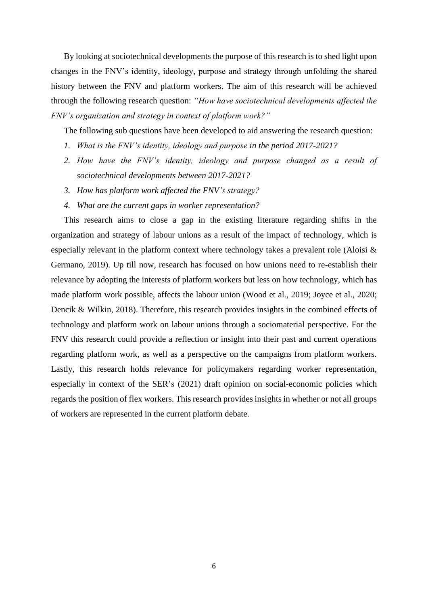By looking at sociotechnical developments the purpose of this research is to shed light upon changes in the FNV's identity, ideology, purpose and strategy through unfolding the shared history between the FNV and platform workers. The aim of this research will be achieved through the following research question: *"How have sociotechnical developments affected the FNV's organization and strategy in context of platform work?"*

The following sub questions have been developed to aid answering the research question:

- *1. What is the FNV's identity, ideology and purpose in the period 2017-2021?*
- *2. How have the FNV's identity, ideology and purpose changed as a result of sociotechnical developments between 2017-2021?*
- *3. How has platform work affected the FNV's strategy?*
- *4. What are the current gaps in worker representation?*

This research aims to close a gap in the existing literature regarding shifts in the organization and strategy of labour unions as a result of the impact of technology, which is especially relevant in the platform context where technology takes a prevalent role (Aloisi & Germano, 2019). Up till now, research has focused on how unions need to re-establish their relevance by adopting the interests of platform workers but less on how technology, which has made platform work possible, affects the labour union (Wood et al., 2019; Joyce et al., 2020; Dencik & Wilkin, 2018). Therefore, this research provides insights in the combined effects of technology and platform work on labour unions through a sociomaterial perspective. For the FNV this research could provide a reflection or insight into their past and current operations regarding platform work, as well as a perspective on the campaigns from platform workers. Lastly, this research holds relevance for policymakers regarding worker representation, especially in context of the SER's (2021) draft opinion on social-economic policies which regards the position of flex workers. This research provides insights in whether or not all groups of workers are represented in the current platform debate.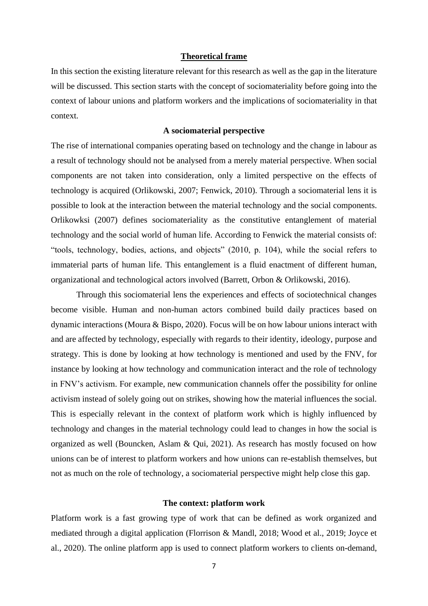# **Theoretical frame**

In this section the existing literature relevant for this research as well as the gap in the literature will be discussed. This section starts with the concept of sociomateriality before going into the context of labour unions and platform workers and the implications of sociomateriality in that context.

# **A sociomaterial perspective**

The rise of international companies operating based on technology and the change in labour as a result of technology should not be analysed from a merely material perspective. When social components are not taken into consideration, only a limited perspective on the effects of technology is acquired (Orlikowski, 2007; Fenwick, 2010). Through a sociomaterial lens it is possible to look at the interaction between the material technology and the social components. Orlikowksi (2007) defines sociomateriality as the constitutive entanglement of material technology and the social world of human life. According to Fenwick the material consists of: "tools, technology, bodies, actions, and objects" (2010, p. 104), while the social refers to immaterial parts of human life. This entanglement is a fluid enactment of different human, organizational and technological actors involved (Barrett, Orbon & Orlikowski, 2016).

Through this sociomaterial lens the experiences and effects of sociotechnical changes become visible. Human and non-human actors combined build daily practices based on dynamic interactions (Moura & Bispo, 2020). Focus will be on how labour unions interact with and are affected by technology, especially with regards to their identity, ideology, purpose and strategy. This is done by looking at how technology is mentioned and used by the FNV, for instance by looking at how technology and communication interact and the role of technology in FNV's activism. For example, new communication channels offer the possibility for online activism instead of solely going out on strikes, showing how the material influences the social. This is especially relevant in the context of platform work which is highly influenced by technology and changes in the material technology could lead to changes in how the social is organized as well (Bouncken, Aslam & Qui, 2021). As research has mostly focused on how unions can be of interest to platform workers and how unions can re-establish themselves, but not as much on the role of technology, a sociomaterial perspective might help close this gap.

## **The context: platform work**

Platform work is a fast growing type of work that can be defined as work organized and mediated through a digital application (Florrison & Mandl, 2018; Wood et al., 2019; Joyce et al., 2020). The online platform app is used to connect platform workers to clients on-demand,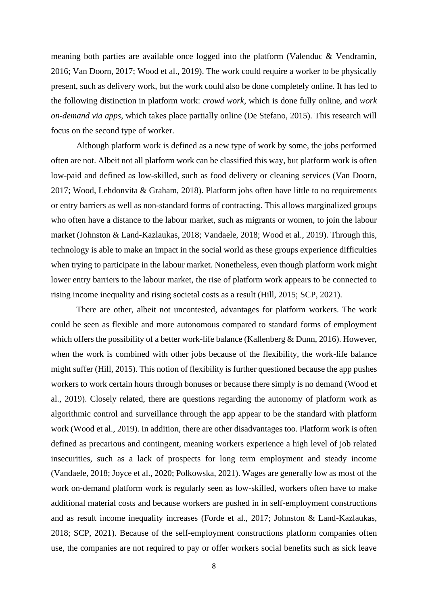meaning both parties are available once logged into the platform (Valenduc & Vendramin, 2016; Van Doorn, 2017; Wood et al., 2019). The work could require a worker to be physically present, such as delivery work, but the work could also be done completely online. It has led to the following distinction in platform work: *crowd work*, which is done fully online, and *work on-demand via apps*, which takes place partially online (De Stefano, 2015). This research will focus on the second type of worker.

Although platform work is defined as a new type of work by some, the jobs performed often are not. Albeit not all platform work can be classified this way, but platform work is often low-paid and defined as low-skilled, such as food delivery or cleaning services (Van Doorn, 2017; Wood, Lehdonvita & Graham, 2018). Platform jobs often have little to no requirements or entry barriers as well as non-standard forms of contracting. This allows marginalized groups who often have a distance to the labour market, such as migrants or women, to join the labour market (Johnston & Land-Kazlaukas, 2018; Vandaele, 2018; Wood et al., 2019). Through this, technology is able to make an impact in the social world as these groups experience difficulties when trying to participate in the labour market. Nonetheless, even though platform work might lower entry barriers to the labour market, the rise of platform work appears to be connected to rising income inequality and rising societal costs as a result (Hill, 2015; SCP, 2021).

There are other, albeit not uncontested, advantages for platform workers. The work could be seen as flexible and more autonomous compared to standard forms of employment which offers the possibility of a better work-life balance (Kallenberg & Dunn, 2016). However, when the work is combined with other jobs because of the flexibility, the work-life balance might suffer (Hill, 2015). This notion of flexibility is further questioned because the app pushes workers to work certain hours through bonuses or because there simply is no demand (Wood et al., 2019). Closely related, there are questions regarding the autonomy of platform work as algorithmic control and surveillance through the app appear to be the standard with platform work (Wood et al., 2019). In addition, there are other disadvantages too. Platform work is often defined as precarious and contingent, meaning workers experience a high level of job related insecurities, such as a lack of prospects for long term employment and steady income (Vandaele, 2018; Joyce et al., 2020; Polkowska, 2021). Wages are generally low as most of the work on-demand platform work is regularly seen as low-skilled, workers often have to make additional material costs and because workers are pushed in in self-employment constructions and as result income inequality increases (Forde et al., 2017; Johnston & Land-Kazlaukas, 2018; SCP, 2021). Because of the self-employment constructions platform companies often use, the companies are not required to pay or offer workers social benefits such as sick leave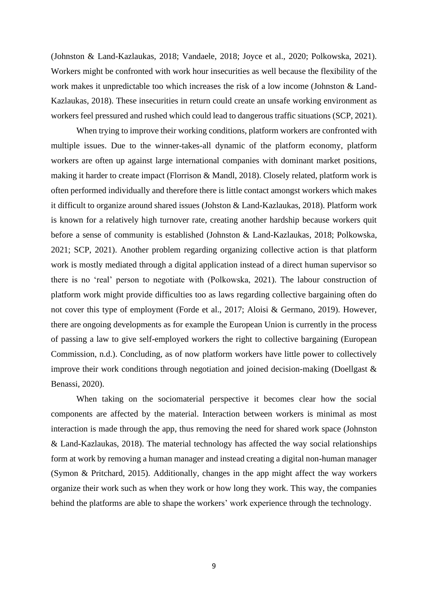(Johnston & Land-Kazlaukas, 2018; Vandaele, 2018; Joyce et al., 2020; Polkowska, 2021). Workers might be confronted with work hour insecurities as well because the flexibility of the work makes it unpredictable too which increases the risk of a low income (Johnston & Land-Kazlaukas, 2018). These insecurities in return could create an unsafe working environment as workers feel pressured and rushed which could lead to dangerous traffic situations (SCP, 2021).

When trying to improve their working conditions, platform workers are confronted with multiple issues. Due to the winner-takes-all dynamic of the platform economy, platform workers are often up against large international companies with dominant market positions, making it harder to create impact (Florrison & Mandl, 2018). Closely related, platform work is often performed individually and therefore there is little contact amongst workers which makes it difficult to organize around shared issues (Johston & Land-Kazlaukas, 2018). Platform work is known for a relatively high turnover rate, creating another hardship because workers quit before a sense of community is established (Johnston & Land-Kazlaukas, 2018; Polkowska, 2021; SCP, 2021). Another problem regarding organizing collective action is that platform work is mostly mediated through a digital application instead of a direct human supervisor so there is no 'real' person to negotiate with (Polkowska, 2021). The labour construction of platform work might provide difficulties too as laws regarding collective bargaining often do not cover this type of employment (Forde et al., 2017; Aloisi & Germano, 2019). However, there are ongoing developments as for example the European Union is currently in the process of passing a law to give self-employed workers the right to collective bargaining (European Commission, n.d.). Concluding, as of now platform workers have little power to collectively improve their work conditions through negotiation and joined decision-making (Doellgast & Benassi, 2020).

When taking on the sociomaterial perspective it becomes clear how the social components are affected by the material. Interaction between workers is minimal as most interaction is made through the app, thus removing the need for shared work space (Johnston & Land-Kazlaukas, 2018). The material technology has affected the way social relationships form at work by removing a human manager and instead creating a digital non-human manager (Symon & Pritchard, 2015). Additionally, changes in the app might affect the way workers organize their work such as when they work or how long they work. This way, the companies behind the platforms are able to shape the workers' work experience through the technology.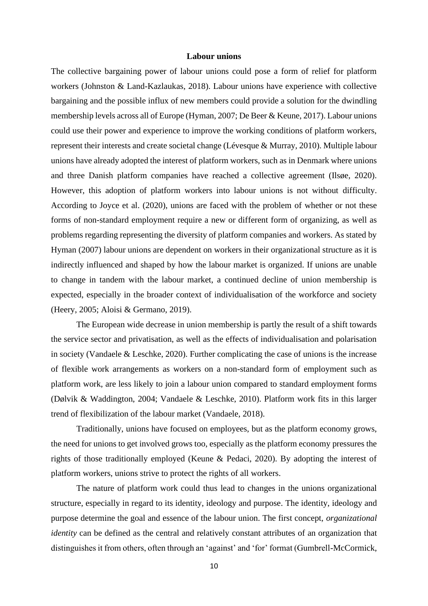### **Labour unions**

The collective bargaining power of labour unions could pose a form of relief for platform workers (Johnston & Land-Kazlaukas, 2018). Labour unions have experience with collective bargaining and the possible influx of new members could provide a solution for the dwindling membership levels across all of Europe (Hyman, 2007; De Beer & Keune, 2017). Labour unions could use their power and experience to improve the working conditions of platform workers, represent their interests and create societal change (Lévesque & Murray, 2010). Multiple labour unions have already adopted the interest of platform workers, such as in Denmark where unions and three Danish platform companies have reached a collective agreement (Ilsøe, 2020). However, this adoption of platform workers into labour unions is not without difficulty. According to Joyce et al. (2020), unions are faced with the problem of whether or not these forms of non-standard employment require a new or different form of organizing, as well as problems regarding representing the diversity of platform companies and workers. As stated by Hyman (2007) labour unions are dependent on workers in their organizational structure as it is indirectly influenced and shaped by how the labour market is organized. If unions are unable to change in tandem with the labour market, a continued decline of union membership is expected, especially in the broader context of individualisation of the workforce and society (Heery, 2005; Aloisi & Germano, 2019).

The European wide decrease in union membership is partly the result of a shift towards the service sector and privatisation, as well as the effects of individualisation and polarisation in society (Vandaele & Leschke, 2020). Further complicating the case of unions is the increase of flexible work arrangements as workers on a non-standard form of employment such as platform work, are less likely to join a labour union compared to standard employment forms (Dølvik & Waddington, 2004; Vandaele & Leschke, 2010). Platform work fits in this larger trend of flexibilization of the labour market (Vandaele, 2018).

Traditionally, unions have focused on employees, but as the platform economy grows, the need for unions to get involved grows too, especially as the platform economy pressures the rights of those traditionally employed (Keune & Pedaci, 2020). By adopting the interest of platform workers, unions strive to protect the rights of all workers.

The nature of platform work could thus lead to changes in the unions organizational structure, especially in regard to its identity, ideology and purpose. The identity, ideology and purpose determine the goal and essence of the labour union. The first concept, *organizational identity* can be defined as the central and relatively constant attributes of an organization that distinguishes it from others, often through an 'against' and 'for' format (Gumbrell-McCormick,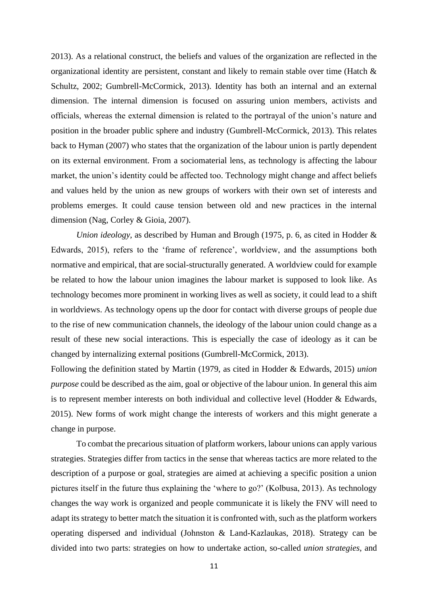2013). As a relational construct, the beliefs and values of the organization are reflected in the organizational identity are persistent, constant and likely to remain stable over time (Hatch & Schultz, 2002; Gumbrell-McCormick, 2013). Identity has both an internal and an external dimension. The internal dimension is focused on assuring union members, activists and officials, whereas the external dimension is related to the portrayal of the union's nature and position in the broader public sphere and industry (Gumbrell-McCormick, 2013). This relates back to Hyman (2007) who states that the organization of the labour union is partly dependent on its external environment. From a sociomaterial lens, as technology is affecting the labour market, the union's identity could be affected too. Technology might change and affect beliefs and values held by the union as new groups of workers with their own set of interests and problems emerges. It could cause tension between old and new practices in the internal dimension (Nag, Corley & Gioia, 2007).

*Union ideology*, as described by Human and Brough (1975, p. 6, as cited in Hodder & Edwards, 2015), refers to the 'frame of reference', worldview, and the assumptions both normative and empirical, that are social-structurally generated. A worldview could for example be related to how the labour union imagines the labour market is supposed to look like. As technology becomes more prominent in working lives as well as society, it could lead to a shift in worldviews. As technology opens up the door for contact with diverse groups of people due to the rise of new communication channels, the ideology of the labour union could change as a result of these new social interactions. This is especially the case of ideology as it can be changed by internalizing external positions (Gumbrell-McCormick, 2013).

Following the definition stated by Martin (1979, as cited in Hodder & Edwards, 2015) *union purpose* could be described as the aim, goal or objective of the labour union. In general this aim is to represent member interests on both individual and collective level (Hodder & Edwards, 2015). New forms of work might change the interests of workers and this might generate a change in purpose.

To combat the precarious situation of platform workers, labour unions can apply various strategies. Strategies differ from tactics in the sense that whereas tactics are more related to the description of a purpose or goal, strategies are aimed at achieving a specific position a union pictures itself in the future thus explaining the 'where to go?' (Kolbusa, 2013). As technology changes the way work is organized and people communicate it is likely the FNV will need to adapt its strategy to better match the situation it is confronted with, such as the platform workers operating dispersed and individual (Johnston & Land-Kazlaukas, 2018). Strategy can be divided into two parts: strategies on how to undertake action, so-called *union strategies*, and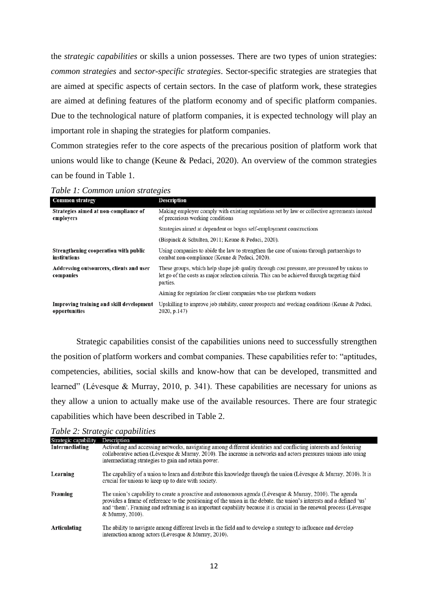the *strategic capabilities* or skills a union possesses. There are two types of union strategies: *common strategies* and *sector-specific strategies*. Sector-specific strategies are strategies that are aimed at specific aspects of certain sectors. In the case of platform work, these strategies are aimed at defining features of the platform economy and of specific platform companies. Due to the technological nature of platform companies, it is expected technology will play an important role in shaping the strategies for platform companies.

Common strategies refer to the core aspects of the precarious position of platform work that unions would like to change (Keune & Pedaci, 2020). An overview of the common strategies can be found in Table 1.

|  | Table 1: Common union strategies |
|--|----------------------------------|
|  |                                  |

| <b>Common strategy</b>                                    | <b>Description</b>                                                                                                                                                                                        |  |
|-----------------------------------------------------------|-----------------------------------------------------------------------------------------------------------------------------------------------------------------------------------------------------------|--|
| Strategies aimed at non-compliance of<br>employers        | Making employer comply with existing regulations set by law or collective agreements instead<br>of precarious working conditions                                                                          |  |
|                                                           | Strategies aimed at dependent or bogus self-employment constructions                                                                                                                                      |  |
|                                                           | (Bispinck & Schulten, 2011; Keune & Pedaci, 2020).                                                                                                                                                        |  |
| Strengthening cooperation with public<br>institutions     | Using companies to abide the law to strengthen the case of unions through partnerships to<br>combat non-compliance (Keune & Pedaci, 2020).                                                                |  |
| Addressing outsourcers, clients and user<br>companies     | These groups, which help shape job quality through cost pressure, are pressured by unions to<br>let go of the costs as major selection criteria. This can be achieved through targeting third<br>parties. |  |
|                                                           | Aiming for regulation for client companies who use platform workers                                                                                                                                       |  |
| Improving training and skill development<br>opportunities | Upskilling to improve job stability, career prospects and working conditions (Keune & Pedaci,<br>2020, p.147)                                                                                             |  |

Strategic capabilities consist of the capabilities unions need to successfully strengthen the position of platform workers and combat companies. These capabilities refer to: "aptitudes, competencies, abilities, social skills and know-how that can be developed, transmitted and learned" (Lévesque & Murray, 2010, p. 341). These capabilities are necessary for unions as they allow a union to actually make use of the available resources. There are four strategic capabilities which have been described in Table 2.

*Table 2: Strategic capabilities*

| Strategic capability | Description                                                                                                                                                                                                                                                                                                                                                                  |
|----------------------|------------------------------------------------------------------------------------------------------------------------------------------------------------------------------------------------------------------------------------------------------------------------------------------------------------------------------------------------------------------------------|
| Intermediating       | Activating and accessing networks, navigating among different identities and conflicting interests and fostering<br>collaborative action (Lévesque & Murray, 2010). The increase in networks and actors pressures unions into using<br>intermediating strategies to gain and retain power.                                                                                   |
| Learning             | The capability of a union to learn and distribute this knowledge through the union (Lévesque & Murray, 2010). It is<br>crucial for unions to keep up to date with society.                                                                                                                                                                                                   |
| Framing              | The union's capability to create a proactive and autonomous agenda (Lévesque & Murray, 2010). The agenda<br>provides a frame of reference to the positioning of the union in the debate, the union's interests and a defined 'us'<br>and 'them'. Framing and reframing is an important capability because it is crucial in the renewal process (Lévesque<br>& Murray, 2010). |
| Articulating         | The ability to navigate among different levels in the field and to develop a strategy to influence and develop<br>interaction among actors (Lévesque & Murray, 2010).                                                                                                                                                                                                        |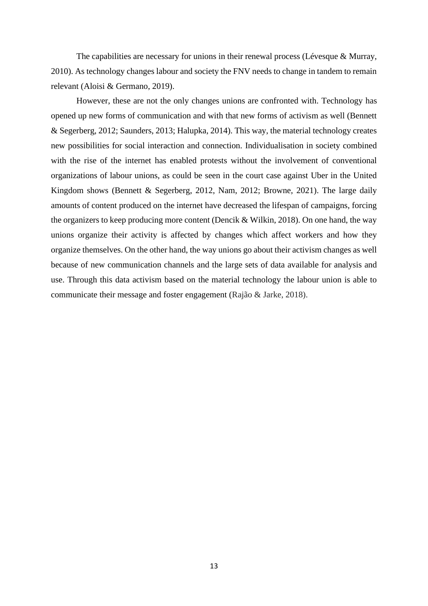The capabilities are necessary for unions in their renewal process (Lévesque & Murray, 2010). As technology changes labour and society the FNV needs to change in tandem to remain relevant (Aloisi & Germano, 2019).

However, these are not the only changes unions are confronted with. Technology has opened up new forms of communication and with that new forms of activism as well (Bennett & Segerberg, 2012; Saunders, 2013; Halupka, 2014). This way, the material technology creates new possibilities for social interaction and connection. Individualisation in society combined with the rise of the internet has enabled protests without the involvement of conventional organizations of labour unions, as could be seen in the court case against Uber in the United Kingdom shows (Bennett & Segerberg, 2012, Nam, 2012; Browne, 2021). The large daily amounts of content produced on the internet have decreased the lifespan of campaigns, forcing the organizers to keep producing more content (Dencik & Wilkin, 2018). On one hand, the way unions organize their activity is affected by changes which affect workers and how they organize themselves. On the other hand, the way unions go about their activism changes as well because of new communication channels and the large sets of data available for analysis and use. Through this data activism based on the material technology the labour union is able to communicate their message and foster engagement (Rajão & Jarke, 2018).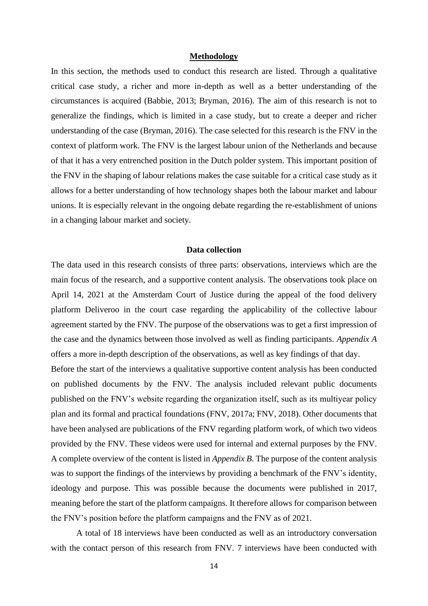### **Methodology**

In this section, the methods used to conduct this research are listed. Through a qualitative critical case study, a richer and more in-depth as well as a better understanding of the circumstances is acquired (Babbie, 2013; Bryman, 2016). The aim of this research is not to generalize the findings, which is limited in a case study, but to create a deeper and richer understanding of the case (Bryman, 2016). The case selected for this research is the FNV in the context of platform work. The FNV is the largest labour union of the Netherlands and because of that it has a very entrenched position in the Dutch polder system. This important position of the FNV in the shaping of labour relations makes the case suitable for a critical case study as it allows for a better understanding of how technology shapes both the labour market and labour unions. It is especially relevant in the ongoing debate regarding the re-establishment of unions in a changing labour market and society.

# **Data collection**

The data used in this research consists of three parts: observations, interviews which are the main focus of the research, and a supportive content analysis. The observations took place on April 14, 2021 at the Amsterdam Court of Justice during the appeal of the food delivery platform Deliveroo in the court case regarding the applicability of the collective labour agreement started by the FNV. The purpose of the observations was to get a first impression of the case and the dynamics between those involved as well as finding participants. *Appendix A* offers a more in-depth description of the observations, as well as key findings of that day.

Before the start of the interviews a qualitative supportive content analysis has been conducted on published documents by the FNV. The analysis included relevant public documents published on the FNV's website regarding the organization itself, such as its multiyear policy plan and its formal and practical foundations (FNV, 2017a; FNV, 2018). Other documents that have been analysed are publications of the FNV regarding platform work, of which two videos provided by the FNV. These videos were used for internal and external purposes by the FNV. A complete overview of the content is listed in *Appendix B*. The purpose of the content analysis was to support the findings of the interviews by providing a benchmark of the FNV's identity, ideology and purpose. This was possible because the documents were published in 2017, meaning before the start of the platform campaigns. It therefore allows for comparison between the FNV's position before the platform campaigns and the FNV as of 2021.

A total of 18 interviews have been conducted as well as an introductory conversation with the contact person of this research from FNV. 7 interviews have been conducted with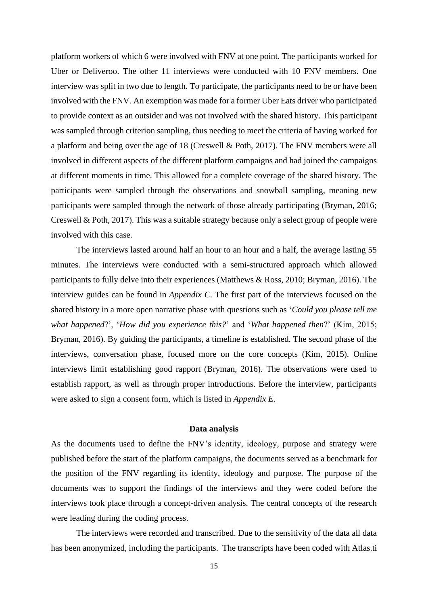platform workers of which 6 were involved with FNV at one point. The participants worked for Uber or Deliveroo. The other 11 interviews were conducted with 10 FNV members. One interview was split in two due to length. To participate, the participants need to be or have been involved with the FNV. An exemption was made for a former Uber Eats driver who participated to provide context as an outsider and was not involved with the shared history. This participant was sampled through criterion sampling, thus needing to meet the criteria of having worked for a platform and being over the age of 18 (Creswell & Poth, 2017). The FNV members were all involved in different aspects of the different platform campaigns and had joined the campaigns at different moments in time. This allowed for a complete coverage of the shared history. The participants were sampled through the observations and snowball sampling, meaning new participants were sampled through the network of those already participating (Bryman, 2016; Creswell & Poth, 2017). This was a suitable strategy because only a select group of people were involved with this case.

The interviews lasted around half an hour to an hour and a half, the average lasting 55 minutes. The interviews were conducted with a semi-structured approach which allowed participants to fully delve into their experiences (Matthews & Ross, 2010; Bryman, 2016). The interview guides can be found in *Appendix C*. The first part of the interviews focused on the shared history in a more open narrative phase with questions such as '*Could you please tell me what happened*?', '*How did you experience this?*' and '*What happened then*?' (Kim, 2015; Bryman, 2016). By guiding the participants, a timeline is established. The second phase of the interviews, conversation phase, focused more on the core concepts (Kim, 2015). Online interviews limit establishing good rapport (Bryman, 2016). The observations were used to establish rapport, as well as through proper introductions. Before the interview, participants were asked to sign a consent form, which is listed in *Appendix E*.

# **Data analysis**

As the documents used to define the FNV's identity, ideology, purpose and strategy were published before the start of the platform campaigns, the documents served as a benchmark for the position of the FNV regarding its identity, ideology and purpose. The purpose of the documents was to support the findings of the interviews and they were coded before the interviews took place through a concept-driven analysis. The central concepts of the research were leading during the coding process.

The interviews were recorded and transcribed. Due to the sensitivity of the data all data has been anonymized, including the participants. The transcripts have been coded with Atlas.ti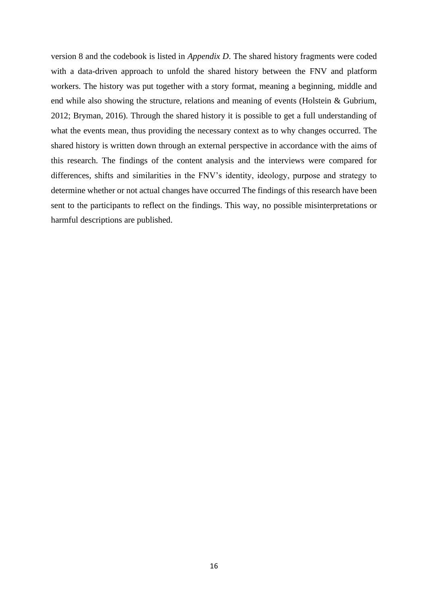version 8 and the codebook is listed in *Appendix D*. The shared history fragments were coded with a data-driven approach to unfold the shared history between the FNV and platform workers. The history was put together with a story format, meaning a beginning, middle and end while also showing the structure, relations and meaning of events (Holstein & Gubrium, 2012; Bryman, 2016). Through the shared history it is possible to get a full understanding of what the events mean, thus providing the necessary context as to why changes occurred. The shared history is written down through an external perspective in accordance with the aims of this research. The findings of the content analysis and the interviews were compared for differences, shifts and similarities in the FNV's identity, ideology, purpose and strategy to determine whether or not actual changes have occurred The findings of this research have been sent to the participants to reflect on the findings. This way, no possible misinterpretations or harmful descriptions are published.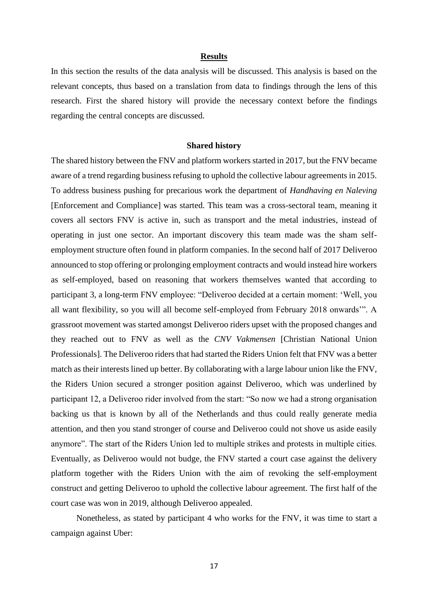#### **Results**

In this section the results of the data analysis will be discussed. This analysis is based on the relevant concepts, thus based on a translation from data to findings through the lens of this research. First the shared history will provide the necessary context before the findings regarding the central concepts are discussed.

#### **Shared history**

The shared history between the FNV and platform workers started in 2017, but the FNV became aware of a trend regarding business refusing to uphold the collective labour agreements in 2015. To address business pushing for precarious work the department of *Handhaving en Naleving* [Enforcement and Compliance] was started. This team was a cross-sectoral team, meaning it covers all sectors FNV is active in, such as transport and the metal industries, instead of operating in just one sector. An important discovery this team made was the sham selfemployment structure often found in platform companies. In the second half of 2017 Deliveroo announced to stop offering or prolonging employment contracts and would instead hire workers as self-employed, based on reasoning that workers themselves wanted that according to participant 3, a long-term FNV employee: "Deliveroo decided at a certain moment: 'Well, you all want flexibility, so you will all become self-employed from February 2018 onwards'". A grassroot movement was started amongst Deliveroo riders upset with the proposed changes and they reached out to FNV as well as the *CNV Vakmensen* [Christian National Union Professionals]. The Deliveroo riders that had started the Riders Union felt that FNV was a better match as their interests lined up better. By collaborating with a large labour union like the FNV, the Riders Union secured a stronger position against Deliveroo, which was underlined by participant 12, a Deliveroo rider involved from the start: "So now we had a strong organisation backing us that is known by all of the Netherlands and thus could really generate media attention, and then you stand stronger of course and Deliveroo could not shove us aside easily anymore". The start of the Riders Union led to multiple strikes and protests in multiple cities. Eventually, as Deliveroo would not budge, the FNV started a court case against the delivery platform together with the Riders Union with the aim of revoking the self-employment construct and getting Deliveroo to uphold the collective labour agreement. The first half of the court case was won in 2019, although Deliveroo appealed.

Nonetheless, as stated by participant 4 who works for the FNV, it was time to start a campaign against Uber: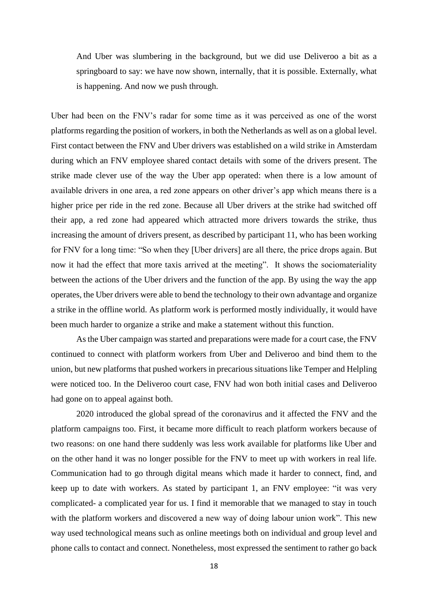And Uber was slumbering in the background, but we did use Deliveroo a bit as a springboard to say: we have now shown, internally, that it is possible. Externally, what is happening. And now we push through.

Uber had been on the FNV's radar for some time as it was perceived as one of the worst platforms regarding the position of workers, in both the Netherlands as well as on a global level. First contact between the FNV and Uber drivers was established on a wild strike in Amsterdam during which an FNV employee shared contact details with some of the drivers present. The strike made clever use of the way the Uber app operated: when there is a low amount of available drivers in one area, a red zone appears on other driver's app which means there is a higher price per ride in the red zone. Because all Uber drivers at the strike had switched off their app, a red zone had appeared which attracted more drivers towards the strike, thus increasing the amount of drivers present, as described by participant 11, who has been working for FNV for a long time: "So when they [Uber drivers] are all there, the price drops again. But now it had the effect that more taxis arrived at the meeting". It shows the sociomateriality between the actions of the Uber drivers and the function of the app. By using the way the app operates, the Uber drivers were able to bend the technology to their own advantage and organize a strike in the offline world. As platform work is performed mostly individually, it would have been much harder to organize a strike and make a statement without this function.

As the Uber campaign was started and preparations were made for a court case, the FNV continued to connect with platform workers from Uber and Deliveroo and bind them to the union, but new platforms that pushed workers in precarious situations like Temper and Helpling were noticed too. In the Deliveroo court case, FNV had won both initial cases and Deliveroo had gone on to appeal against both.

2020 introduced the global spread of the coronavirus and it affected the FNV and the platform campaigns too. First, it became more difficult to reach platform workers because of two reasons: on one hand there suddenly was less work available for platforms like Uber and on the other hand it was no longer possible for the FNV to meet up with workers in real life. Communication had to go through digital means which made it harder to connect, find, and keep up to date with workers. As stated by participant 1, an FNV employee: "it was very complicated- a complicated year for us. I find it memorable that we managed to stay in touch with the platform workers and discovered a new way of doing labour union work". This new way used technological means such as online meetings both on individual and group level and phone calls to contact and connect. Nonetheless, most expressed the sentiment to rather go back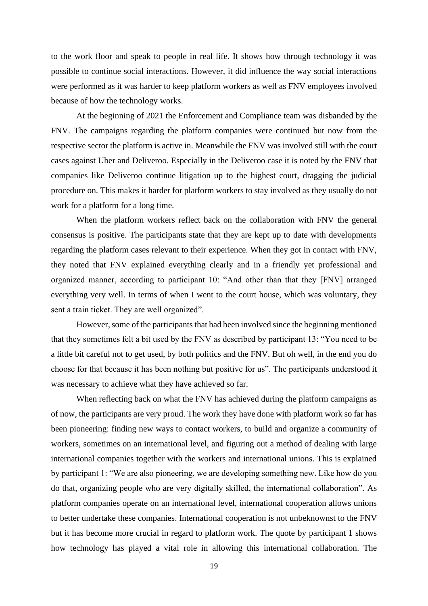to the work floor and speak to people in real life. It shows how through technology it was possible to continue social interactions. However, it did influence the way social interactions were performed as it was harder to keep platform workers as well as FNV employees involved because of how the technology works.

At the beginning of 2021 the Enforcement and Compliance team was disbanded by the FNV. The campaigns regarding the platform companies were continued but now from the respective sector the platform is active in. Meanwhile the FNV was involved still with the court cases against Uber and Deliveroo. Especially in the Deliveroo case it is noted by the FNV that companies like Deliveroo continue litigation up to the highest court, dragging the judicial procedure on. This makes it harder for platform workers to stay involved as they usually do not work for a platform for a long time.

When the platform workers reflect back on the collaboration with FNV the general consensus is positive. The participants state that they are kept up to date with developments regarding the platform cases relevant to their experience. When they got in contact with FNV, they noted that FNV explained everything clearly and in a friendly yet professional and organized manner, according to participant 10: "And other than that they [FNV] arranged everything very well. In terms of when I went to the court house, which was voluntary, they sent a train ticket. They are well organized".

However, some of the participants that had been involved since the beginning mentioned that they sometimes felt a bit used by the FNV as described by participant 13: "You need to be a little bit careful not to get used, by both politics and the FNV. But oh well, in the end you do choose for that because it has been nothing but positive for us". The participants understood it was necessary to achieve what they have achieved so far.

When reflecting back on what the FNV has achieved during the platform campaigns as of now, the participants are very proud. The work they have done with platform work so far has been pioneering: finding new ways to contact workers, to build and organize a community of workers, sometimes on an international level, and figuring out a method of dealing with large international companies together with the workers and international unions. This is explained by participant 1: "We are also pioneering, we are developing something new. Like how do you do that, organizing people who are very digitally skilled, the international collaboration". As platform companies operate on an international level, international cooperation allows unions to better undertake these companies. International cooperation is not unbeknownst to the FNV but it has become more crucial in regard to platform work. The quote by participant 1 shows how technology has played a vital role in allowing this international collaboration. The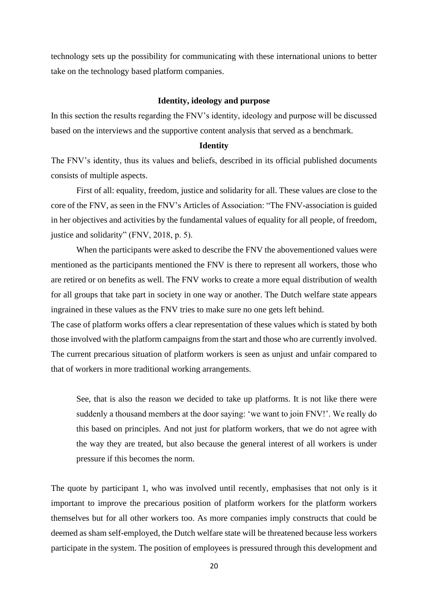technology sets up the possibility for communicating with these international unions to better take on the technology based platform companies.

### **Identity, ideology and purpose**

In this section the results regarding the FNV's identity, ideology and purpose will be discussed based on the interviews and the supportive content analysis that served as a benchmark.

### **Identity**

The FNV's identity, thus its values and beliefs, described in its official published documents consists of multiple aspects.

First of all: equality, freedom, justice and solidarity for all. These values are close to the core of the FNV, as seen in the FNV's Articles of Association: "The FNV-association is guided in her objectives and activities by the fundamental values of equality for all people, of freedom, justice and solidarity" (FNV, 2018, p. 5).

When the participants were asked to describe the FNV the abovementioned values were mentioned as the participants mentioned the FNV is there to represent all workers, those who are retired or on benefits as well. The FNV works to create a more equal distribution of wealth for all groups that take part in society in one way or another. The Dutch welfare state appears ingrained in these values as the FNV tries to make sure no one gets left behind.

The case of platform works offers a clear representation of these values which is stated by both those involved with the platform campaigns from the start and those who are currently involved. The current precarious situation of platform workers is seen as unjust and unfair compared to that of workers in more traditional working arrangements.

See, that is also the reason we decided to take up platforms. It is not like there were suddenly a thousand members at the door saying: 'we want to join FNV!'. We really do this based on principles. And not just for platform workers, that we do not agree with the way they are treated, but also because the general interest of all workers is under pressure if this becomes the norm.

The quote by participant 1, who was involved until recently, emphasises that not only is it important to improve the precarious position of platform workers for the platform workers themselves but for all other workers too. As more companies imply constructs that could be deemed as sham self-employed, the Dutch welfare state will be threatened because less workers participate in the system. The position of employees is pressured through this development and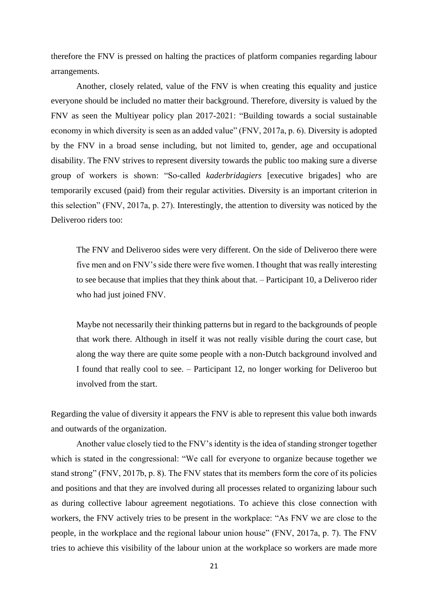therefore the FNV is pressed on halting the practices of platform companies regarding labour arrangements.

Another, closely related, value of the FNV is when creating this equality and justice everyone should be included no matter their background. Therefore, diversity is valued by the FNV as seen the Multiyear policy plan 2017-2021: "Building towards a social sustainable economy in which diversity is seen as an added value" (FNV, 2017a, p. 6). Diversity is adopted by the FNV in a broad sense including, but not limited to, gender, age and occupational disability. The FNV strives to represent diversity towards the public too making sure a diverse group of workers is shown: "So-called *kaderbridagiers* [executive brigades] who are temporarily excused (paid) from their regular activities. Diversity is an important criterion in this selection" (FNV, 2017a, p. 27). Interestingly, the attention to diversity was noticed by the Deliveroo riders too:

The FNV and Deliveroo sides were very different. On the side of Deliveroo there were five men and on FNV's side there were five women. I thought that was really interesting to see because that implies that they think about that. – Participant 10, a Deliveroo rider who had just joined FNV.

Maybe not necessarily their thinking patterns but in regard to the backgrounds of people that work there. Although in itself it was not really visible during the court case, but along the way there are quite some people with a non-Dutch background involved and I found that really cool to see. – Participant 12, no longer working for Deliveroo but involved from the start.

Regarding the value of diversity it appears the FNV is able to represent this value both inwards and outwards of the organization.

Another value closely tied to the FNV's identity is the idea of standing stronger together which is stated in the congressional: "We call for everyone to organize because together we stand strong" (FNV, 2017b, p. 8). The FNV states that its members form the core of its policies and positions and that they are involved during all processes related to organizing labour such as during collective labour agreement negotiations. To achieve this close connection with workers, the FNV actively tries to be present in the workplace: "As FNV we are close to the people, in the workplace and the regional labour union house" (FNV, 2017a, p. 7). The FNV tries to achieve this visibility of the labour union at the workplace so workers are made more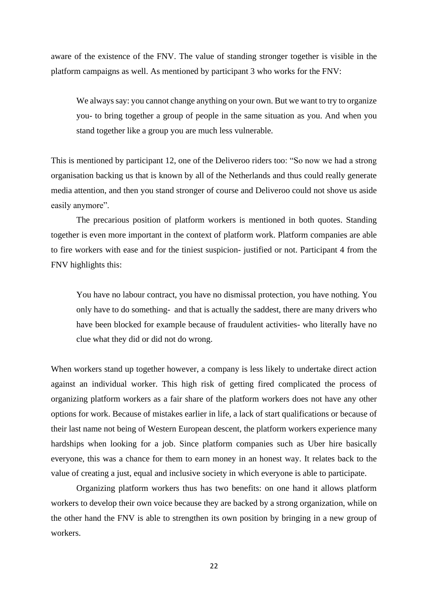aware of the existence of the FNV. The value of standing stronger together is visible in the platform campaigns as well. As mentioned by participant 3 who works for the FNV:

We always say: you cannot change anything on your own. But we want to try to organize you- to bring together a group of people in the same situation as you. And when you stand together like a group you are much less vulnerable.

This is mentioned by participant 12, one of the Deliveroo riders too: "So now we had a strong organisation backing us that is known by all of the Netherlands and thus could really generate media attention, and then you stand stronger of course and Deliveroo could not shove us aside easily anymore".

The precarious position of platform workers is mentioned in both quotes. Standing together is even more important in the context of platform work. Platform companies are able to fire workers with ease and for the tiniest suspicion- justified or not. Participant 4 from the FNV highlights this:

You have no labour contract, you have no dismissal protection, you have nothing. You only have to do something- and that is actually the saddest, there are many drivers who have been blocked for example because of fraudulent activities- who literally have no clue what they did or did not do wrong.

When workers stand up together however, a company is less likely to undertake direct action against an individual worker. This high risk of getting fired complicated the process of organizing platform workers as a fair share of the platform workers does not have any other options for work. Because of mistakes earlier in life, a lack of start qualifications or because of their last name not being of Western European descent, the platform workers experience many hardships when looking for a job. Since platform companies such as Uber hire basically everyone, this was a chance for them to earn money in an honest way. It relates back to the value of creating a just, equal and inclusive society in which everyone is able to participate.

Organizing platform workers thus has two benefits: on one hand it allows platform workers to develop their own voice because they are backed by a strong organization, while on the other hand the FNV is able to strengthen its own position by bringing in a new group of workers.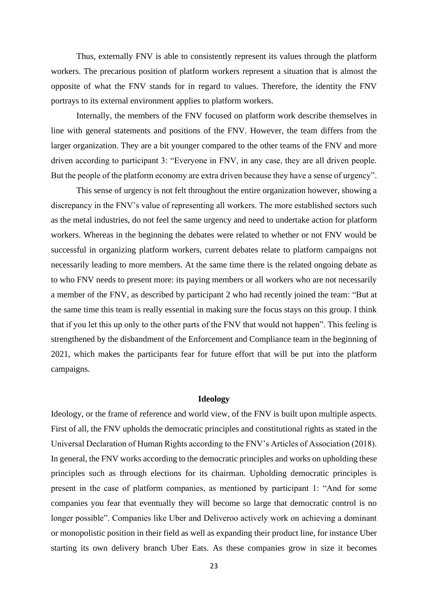Thus, externally FNV is able to consistently represent its values through the platform workers. The precarious position of platform workers represent a situation that is almost the opposite of what the FNV stands for in regard to values. Therefore, the identity the FNV portrays to its external environment applies to platform workers.

Internally, the members of the FNV focused on platform work describe themselves in line with general statements and positions of the FNV. However, the team differs from the larger organization. They are a bit younger compared to the other teams of the FNV and more driven according to participant 3: "Everyone in FNV, in any case, they are all driven people. But the people of the platform economy are extra driven because they have a sense of urgency".

This sense of urgency is not felt throughout the entire organization however, showing a discrepancy in the FNV's value of representing all workers. The more established sectors such as the metal industries, do not feel the same urgency and need to undertake action for platform workers. Whereas in the beginning the debates were related to whether or not FNV would be successful in organizing platform workers, current debates relate to platform campaigns not necessarily leading to more members. At the same time there is the related ongoing debate as to who FNV needs to present more: its paying members or all workers who are not necessarily a member of the FNV, as described by participant 2 who had recently joined the team: "But at the same time this team is really essential in making sure the focus stays on this group. I think that if you let this up only to the other parts of the FNV that would not happen". This feeling is strengthened by the disbandment of the Enforcement and Compliance team in the beginning of 2021, which makes the participants fear for future effort that will be put into the platform campaigns.

## **Ideology**

Ideology, or the frame of reference and world view, of the FNV is built upon multiple aspects. First of all, the FNV upholds the democratic principles and constitutional rights as stated in the Universal Declaration of Human Rights according to the FNV's Articles of Association (2018). In general, the FNV works according to the democratic principles and works on upholding these principles such as through elections for its chairman. Upholding democratic principles is present in the case of platform companies, as mentioned by participant 1: "And for some companies you fear that eventually they will become so large that democratic control is no longer possible". Companies like Uber and Deliveroo actively work on achieving a dominant or monopolistic position in their field as well as expanding their product line, for instance Uber starting its own delivery branch Uber Eats. As these companies grow in size it becomes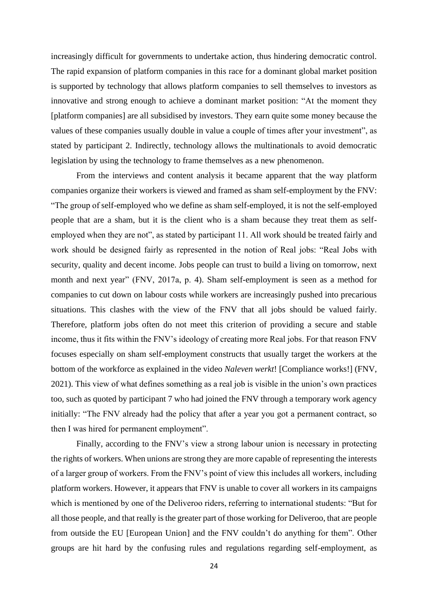increasingly difficult for governments to undertake action, thus hindering democratic control. The rapid expansion of platform companies in this race for a dominant global market position is supported by technology that allows platform companies to sell themselves to investors as innovative and strong enough to achieve a dominant market position: "At the moment they [platform companies] are all subsidised by investors. They earn quite some money because the values of these companies usually double in value a couple of times after your investment", as stated by participant 2. Indirectly, technology allows the multinationals to avoid democratic legislation by using the technology to frame themselves as a new phenomenon.

From the interviews and content analysis it became apparent that the way platform companies organize their workers is viewed and framed as sham self-employment by the FNV: "The group of self-employed who we define as sham self-employed, it is not the self-employed people that are a sham, but it is the client who is a sham because they treat them as selfemployed when they are not", as stated by participant 11. All work should be treated fairly and work should be designed fairly as represented in the notion of Real jobs: "Real Jobs with security, quality and decent income. Jobs people can trust to build a living on tomorrow, next month and next year" (FNV, 2017a, p. 4). Sham self-employment is seen as a method for companies to cut down on labour costs while workers are increasingly pushed into precarious situations. This clashes with the view of the FNV that all jobs should be valued fairly. Therefore, platform jobs often do not meet this criterion of providing a secure and stable income, thus it fits within the FNV's ideology of creating more Real jobs. For that reason FNV focuses especially on sham self-employment constructs that usually target the workers at the bottom of the workforce as explained in the video *Naleven werkt*! [Compliance works!] (FNV, 2021). This view of what defines something as a real job is visible in the union's own practices too, such as quoted by participant 7 who had joined the FNV through a temporary work agency initially: "The FNV already had the policy that after a year you got a permanent contract, so then I was hired for permanent employment".

Finally, according to the FNV's view a strong labour union is necessary in protecting the rights of workers. When unions are strong they are more capable of representing the interests of a larger group of workers. From the FNV's point of view this includes all workers, including platform workers. However, it appears that FNV is unable to cover all workers in its campaigns which is mentioned by one of the Deliveroo riders, referring to international students: "But for all those people, and that really is the greater part of those working for Deliveroo, that are people from outside the EU [European Union] and the FNV couldn't do anything for them". Other groups are hit hard by the confusing rules and regulations regarding self-employment, as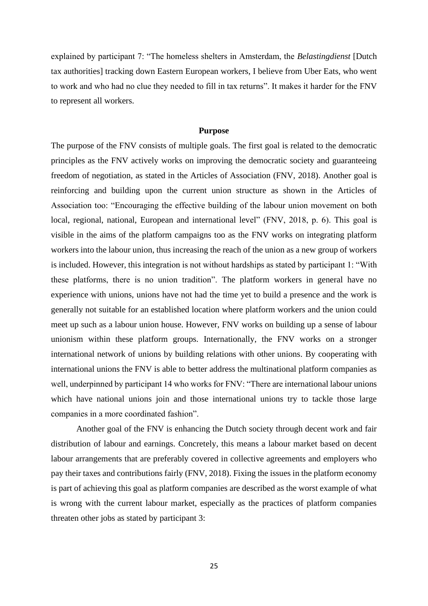explained by participant 7: "The homeless shelters in Amsterdam, the *Belastingdienst* [Dutch tax authorities] tracking down Eastern European workers, I believe from Uber Eats, who went to work and who had no clue they needed to fill in tax returns". It makes it harder for the FNV to represent all workers.

#### **Purpose**

The purpose of the FNV consists of multiple goals. The first goal is related to the democratic principles as the FNV actively works on improving the democratic society and guaranteeing freedom of negotiation, as stated in the Articles of Association (FNV, 2018). Another goal is reinforcing and building upon the current union structure as shown in the Articles of Association too: "Encouraging the effective building of the labour union movement on both local, regional, national, European and international level" (FNV, 2018, p. 6). This goal is visible in the aims of the platform campaigns too as the FNV works on integrating platform workers into the labour union, thus increasing the reach of the union as a new group of workers is included. However, this integration is not without hardships as stated by participant 1: "With these platforms, there is no union tradition". The platform workers in general have no experience with unions, unions have not had the time yet to build a presence and the work is generally not suitable for an established location where platform workers and the union could meet up such as a labour union house. However, FNV works on building up a sense of labour unionism within these platform groups. Internationally, the FNV works on a stronger international network of unions by building relations with other unions. By cooperating with international unions the FNV is able to better address the multinational platform companies as well, underpinned by participant 14 who works for FNV: "There are international labour unions which have national unions join and those international unions try to tackle those large companies in a more coordinated fashion".

Another goal of the FNV is enhancing the Dutch society through decent work and fair distribution of labour and earnings. Concretely, this means a labour market based on decent labour arrangements that are preferably covered in collective agreements and employers who pay their taxes and contributions fairly (FNV, 2018). Fixing the issues in the platform economy is part of achieving this goal as platform companies are described as the worst example of what is wrong with the current labour market, especially as the practices of platform companies threaten other jobs as stated by participant 3: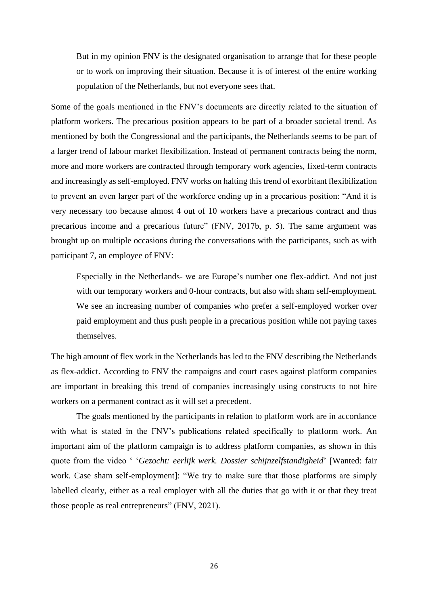But in my opinion FNV is the designated organisation to arrange that for these people or to work on improving their situation. Because it is of interest of the entire working population of the Netherlands, but not everyone sees that.

Some of the goals mentioned in the FNV's documents are directly related to the situation of platform workers. The precarious position appears to be part of a broader societal trend. As mentioned by both the Congressional and the participants, the Netherlands seems to be part of a larger trend of labour market flexibilization. Instead of permanent contracts being the norm, more and more workers are contracted through temporary work agencies, fixed-term contracts and increasingly as self-employed. FNV works on halting this trend of exorbitant flexibilization to prevent an even larger part of the workforce ending up in a precarious position: "And it is very necessary too because almost 4 out of 10 workers have a precarious contract and thus precarious income and a precarious future" (FNV, 2017b, p. 5). The same argument was brought up on multiple occasions during the conversations with the participants, such as with participant 7, an employee of FNV:

Especially in the Netherlands- we are Europe's number one flex-addict. And not just with our temporary workers and 0-hour contracts, but also with sham self-employment. We see an increasing number of companies who prefer a self-employed worker over paid employment and thus push people in a precarious position while not paying taxes themselves.

The high amount of flex work in the Netherlands has led to the FNV describing the Netherlands as flex-addict. According to FNV the campaigns and court cases against platform companies are important in breaking this trend of companies increasingly using constructs to not hire workers on a permanent contract as it will set a precedent.

The goals mentioned by the participants in relation to platform work are in accordance with what is stated in the FNV's publications related specifically to platform work. An important aim of the platform campaign is to address platform companies, as shown in this quote from the video ' '*Gezocht: eerlijk werk. Dossier schijnzelfstandigheid*' [Wanted: fair work. Case sham self-employment]: "We try to make sure that those platforms are simply labelled clearly, either as a real employer with all the duties that go with it or that they treat those people as real entrepreneurs" (FNV, 2021).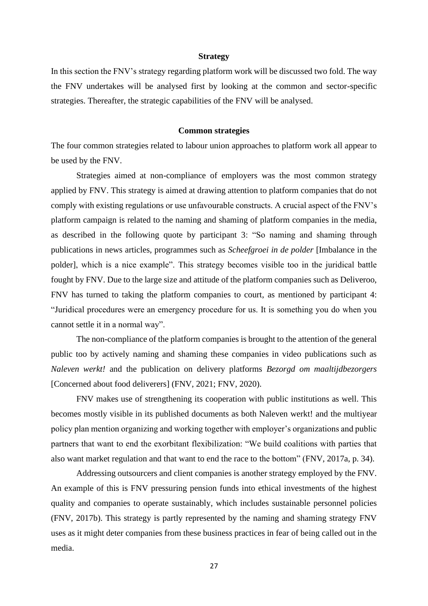#### **Strategy**

In this section the FNV's strategy regarding platform work will be discussed two fold. The way the FNV undertakes will be analysed first by looking at the common and sector-specific strategies. Thereafter, the strategic capabilities of the FNV will be analysed.

#### **Common strategies**

The four common strategies related to labour union approaches to platform work all appear to be used by the FNV.

Strategies aimed at non-compliance of employers was the most common strategy applied by FNV. This strategy is aimed at drawing attention to platform companies that do not comply with existing regulations or use unfavourable constructs. A crucial aspect of the FNV's platform campaign is related to the naming and shaming of platform companies in the media, as described in the following quote by participant 3: "So naming and shaming through publications in news articles, programmes such as *Scheefgroei in de polder* [Imbalance in the polder], which is a nice example". This strategy becomes visible too in the juridical battle fought by FNV. Due to the large size and attitude of the platform companies such as Deliveroo, FNV has turned to taking the platform companies to court, as mentioned by participant 4: "Juridical procedures were an emergency procedure for us. It is something you do when you cannot settle it in a normal way".

The non-compliance of the platform companies is brought to the attention of the general public too by actively naming and shaming these companies in video publications such as *Naleven werkt!* and the publication on delivery platforms *Bezorgd om maaltijdbezorgers* [Concerned about food deliverers] (FNV, 2021; FNV, 2020).

FNV makes use of strengthening its cooperation with public institutions as well. This becomes mostly visible in its published documents as both Naleven werkt! and the multiyear policy plan mention organizing and working together with employer's organizations and public partners that want to end the exorbitant flexibilization: "We build coalitions with parties that also want market regulation and that want to end the race to the bottom" (FNV, 2017a, p. 34).

Addressing outsourcers and client companies is another strategy employed by the FNV. An example of this is FNV pressuring pension funds into ethical investments of the highest quality and companies to operate sustainably, which includes sustainable personnel policies (FNV, 2017b). This strategy is partly represented by the naming and shaming strategy FNV uses as it might deter companies from these business practices in fear of being called out in the media.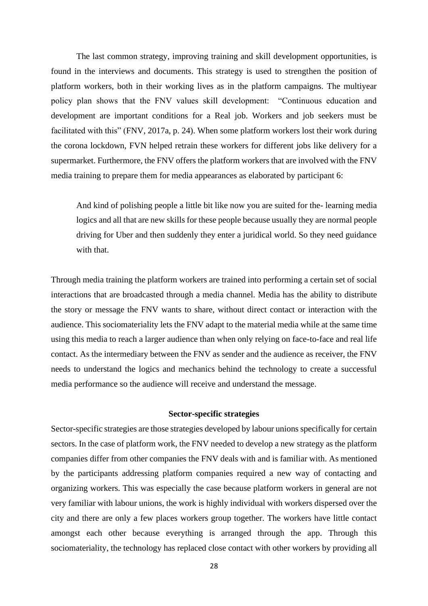The last common strategy, improving training and skill development opportunities, is found in the interviews and documents. This strategy is used to strengthen the position of platform workers, both in their working lives as in the platform campaigns. The multiyear policy plan shows that the FNV values skill development: "Continuous education and development are important conditions for a Real job. Workers and job seekers must be facilitated with this" (FNV, 2017a, p. 24). When some platform workers lost their work during the corona lockdown, FVN helped retrain these workers for different jobs like delivery for a supermarket. Furthermore, the FNV offers the platform workers that are involved with the FNV media training to prepare them for media appearances as elaborated by participant 6:

And kind of polishing people a little bit like now you are suited for the- learning media logics and all that are new skills for these people because usually they are normal people driving for Uber and then suddenly they enter a juridical world. So they need guidance with that.

Through media training the platform workers are trained into performing a certain set of social interactions that are broadcasted through a media channel. Media has the ability to distribute the story or message the FNV wants to share, without direct contact or interaction with the audience. This sociomateriality lets the FNV adapt to the material media while at the same time using this media to reach a larger audience than when only relying on face-to-face and real life contact. As the intermediary between the FNV as sender and the audience as receiver, the FNV needs to understand the logics and mechanics behind the technology to create a successful media performance so the audience will receive and understand the message.

## **Sector-specific strategies**

Sector-specific strategies are those strategies developed by labour unions specifically for certain sectors. In the case of platform work, the FNV needed to develop a new strategy as the platform companies differ from other companies the FNV deals with and is familiar with. As mentioned by the participants addressing platform companies required a new way of contacting and organizing workers. This was especially the case because platform workers in general are not very familiar with labour unions, the work is highly individual with workers dispersed over the city and there are only a few places workers group together. The workers have little contact amongst each other because everything is arranged through the app. Through this sociomateriality, the technology has replaced close contact with other workers by providing all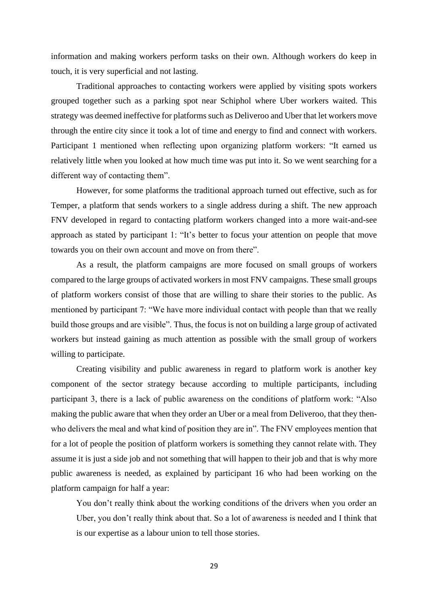information and making workers perform tasks on their own. Although workers do keep in touch, it is very superficial and not lasting.

Traditional approaches to contacting workers were applied by visiting spots workers grouped together such as a parking spot near Schiphol where Uber workers waited. This strategy was deemed ineffective for platforms such as Deliveroo and Uber that let workers move through the entire city since it took a lot of time and energy to find and connect with workers. Participant 1 mentioned when reflecting upon organizing platform workers: "It earned us relatively little when you looked at how much time was put into it. So we went searching for a different way of contacting them".

However, for some platforms the traditional approach turned out effective, such as for Temper, a platform that sends workers to a single address during a shift. The new approach FNV developed in regard to contacting platform workers changed into a more wait-and-see approach as stated by participant 1: "It's better to focus your attention on people that move towards you on their own account and move on from there".

As a result, the platform campaigns are more focused on small groups of workers compared to the large groups of activated workers in most FNV campaigns. These small groups of platform workers consist of those that are willing to share their stories to the public. As mentioned by participant 7: "We have more individual contact with people than that we really build those groups and are visible". Thus, the focus is not on building a large group of activated workers but instead gaining as much attention as possible with the small group of workers willing to participate.

Creating visibility and public awareness in regard to platform work is another key component of the sector strategy because according to multiple participants, including participant 3, there is a lack of public awareness on the conditions of platform work: "Also making the public aware that when they order an Uber or a meal from Deliveroo, that they thenwho delivers the meal and what kind of position they are in". The FNV employees mention that for a lot of people the position of platform workers is something they cannot relate with. They assume it is just a side job and not something that will happen to their job and that is why more public awareness is needed, as explained by participant 16 who had been working on the platform campaign for half a year:

You don't really think about the working conditions of the drivers when you order an Uber, you don't really think about that. So a lot of awareness is needed and I think that is our expertise as a labour union to tell those stories.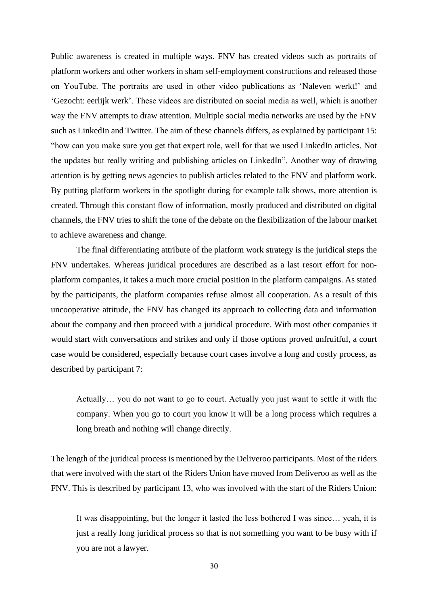Public awareness is created in multiple ways. FNV has created videos such as portraits of platform workers and other workers in sham self-employment constructions and released those on YouTube. The portraits are used in other video publications as 'Naleven werkt!' and 'Gezocht: eerlijk werk'. These videos are distributed on social media as well, which is another way the FNV attempts to draw attention. Multiple social media networks are used by the FNV such as LinkedIn and Twitter. The aim of these channels differs, as explained by participant 15: "how can you make sure you get that expert role, well for that we used LinkedIn articles. Not the updates but really writing and publishing articles on LinkedIn". Another way of drawing attention is by getting news agencies to publish articles related to the FNV and platform work. By putting platform workers in the spotlight during for example talk shows, more attention is created. Through this constant flow of information, mostly produced and distributed on digital channels, the FNV tries to shift the tone of the debate on the flexibilization of the labour market to achieve awareness and change.

The final differentiating attribute of the platform work strategy is the juridical steps the FNV undertakes. Whereas juridical procedures are described as a last resort effort for nonplatform companies, it takes a much more crucial position in the platform campaigns. As stated by the participants, the platform companies refuse almost all cooperation. As a result of this uncooperative attitude, the FNV has changed its approach to collecting data and information about the company and then proceed with a juridical procedure. With most other companies it would start with conversations and strikes and only if those options proved unfruitful, a court case would be considered, especially because court cases involve a long and costly process, as described by participant 7:

Actually… you do not want to go to court. Actually you just want to settle it with the company. When you go to court you know it will be a long process which requires a long breath and nothing will change directly.

The length of the juridical process is mentioned by the Deliveroo participants. Most of the riders that were involved with the start of the Riders Union have moved from Deliveroo as well as the FNV. This is described by participant 13, who was involved with the start of the Riders Union:

It was disappointing, but the longer it lasted the less bothered I was since… yeah, it is just a really long juridical process so that is not something you want to be busy with if you are not a lawyer.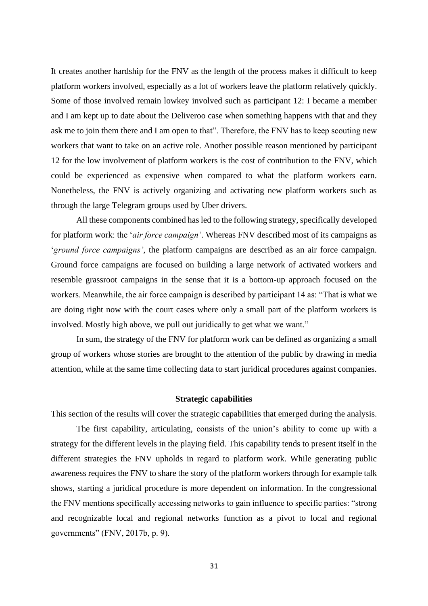It creates another hardship for the FNV as the length of the process makes it difficult to keep platform workers involved, especially as a lot of workers leave the platform relatively quickly. Some of those involved remain lowkey involved such as participant 12: I became a member and I am kept up to date about the Deliveroo case when something happens with that and they ask me to join them there and I am open to that". Therefore, the FNV has to keep scouting new workers that want to take on an active role. Another possible reason mentioned by participant 12 for the low involvement of platform workers is the cost of contribution to the FNV, which could be experienced as expensive when compared to what the platform workers earn. Nonetheless, the FNV is actively organizing and activating new platform workers such as through the large Telegram groups used by Uber drivers.

All these components combined has led to the following strategy, specifically developed for platform work: the '*air force campaign'*. Whereas FNV described most of its campaigns as '*ground force campaigns'*, the platform campaigns are described as an air force campaign. Ground force campaigns are focused on building a large network of activated workers and resemble grassroot campaigns in the sense that it is a bottom-up approach focused on the workers. Meanwhile, the air force campaign is described by participant 14 as: "That is what we are doing right now with the court cases where only a small part of the platform workers is involved. Mostly high above, we pull out juridically to get what we want."

In sum, the strategy of the FNV for platform work can be defined as organizing a small group of workers whose stories are brought to the attention of the public by drawing in media attention, while at the same time collecting data to start juridical procedures against companies.

#### **Strategic capabilities**

This section of the results will cover the strategic capabilities that emerged during the analysis.

The first capability, articulating, consists of the union's ability to come up with a strategy for the different levels in the playing field. This capability tends to present itself in the different strategies the FNV upholds in regard to platform work. While generating public awareness requires the FNV to share the story of the platform workers through for example talk shows, starting a juridical procedure is more dependent on information. In the congressional the FNV mentions specifically accessing networks to gain influence to specific parties: "strong and recognizable local and regional networks function as a pivot to local and regional governments" (FNV, 2017b, p. 9).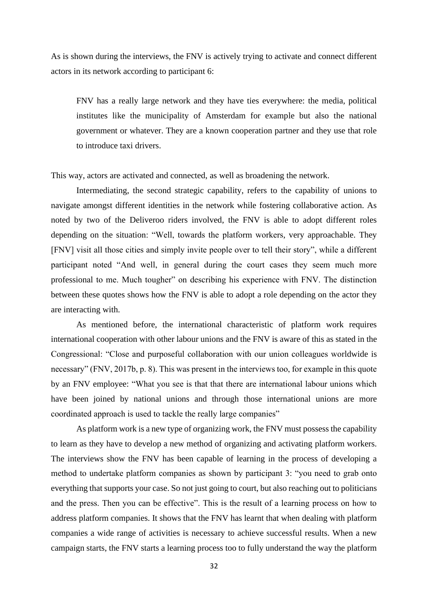As is shown during the interviews, the FNV is actively trying to activate and connect different actors in its network according to participant 6:

FNV has a really large network and they have ties everywhere: the media, political institutes like the municipality of Amsterdam for example but also the national government or whatever. They are a known cooperation partner and they use that role to introduce taxi drivers.

This way, actors are activated and connected, as well as broadening the network.

Intermediating, the second strategic capability, refers to the capability of unions to navigate amongst different identities in the network while fostering collaborative action. As noted by two of the Deliveroo riders involved, the FNV is able to adopt different roles depending on the situation: "Well, towards the platform workers, very approachable. They [FNV] visit all those cities and simply invite people over to tell their story", while a different participant noted "And well, in general during the court cases they seem much more professional to me. Much tougher" on describing his experience with FNV. The distinction between these quotes shows how the FNV is able to adopt a role depending on the actor they are interacting with.

As mentioned before, the international characteristic of platform work requires international cooperation with other labour unions and the FNV is aware of this as stated in the Congressional: "Close and purposeful collaboration with our union colleagues worldwide is necessary" (FNV, 2017b, p. 8). This was present in the interviews too, for example in this quote by an FNV employee: "What you see is that that there are international labour unions which have been joined by national unions and through those international unions are more coordinated approach is used to tackle the really large companies"

As platform work is a new type of organizing work, the FNV must possess the capability to learn as they have to develop a new method of organizing and activating platform workers. The interviews show the FNV has been capable of learning in the process of developing a method to undertake platform companies as shown by participant 3: "you need to grab onto everything that supports your case. So not just going to court, but also reaching out to politicians and the press. Then you can be effective". This is the result of a learning process on how to address platform companies. It shows that the FNV has learnt that when dealing with platform companies a wide range of activities is necessary to achieve successful results. When a new campaign starts, the FNV starts a learning process too to fully understand the way the platform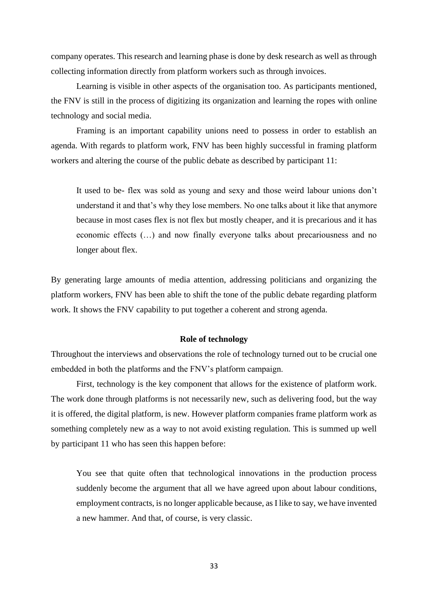company operates. This research and learning phase is done by desk research as well as through collecting information directly from platform workers such as through invoices.

Learning is visible in other aspects of the organisation too. As participants mentioned, the FNV is still in the process of digitizing its organization and learning the ropes with online technology and social media.

Framing is an important capability unions need to possess in order to establish an agenda. With regards to platform work, FNV has been highly successful in framing platform workers and altering the course of the public debate as described by participant 11:

It used to be- flex was sold as young and sexy and those weird labour unions don't understand it and that's why they lose members. No one talks about it like that anymore because in most cases flex is not flex but mostly cheaper, and it is precarious and it has economic effects (…) and now finally everyone talks about precariousness and no longer about flex.

By generating large amounts of media attention, addressing politicians and organizing the platform workers, FNV has been able to shift the tone of the public debate regarding platform work. It shows the FNV capability to put together a coherent and strong agenda.

#### **Role of technology**

Throughout the interviews and observations the role of technology turned out to be crucial one embedded in both the platforms and the FNV's platform campaign.

First, technology is the key component that allows for the existence of platform work. The work done through platforms is not necessarily new, such as delivering food, but the way it is offered, the digital platform, is new. However platform companies frame platform work as something completely new as a way to not avoid existing regulation. This is summed up well by participant 11 who has seen this happen before:

You see that quite often that technological innovations in the production process suddenly become the argument that all we have agreed upon about labour conditions, employment contracts, is no longer applicable because, as I like to say, we have invented a new hammer. And that, of course, is very classic.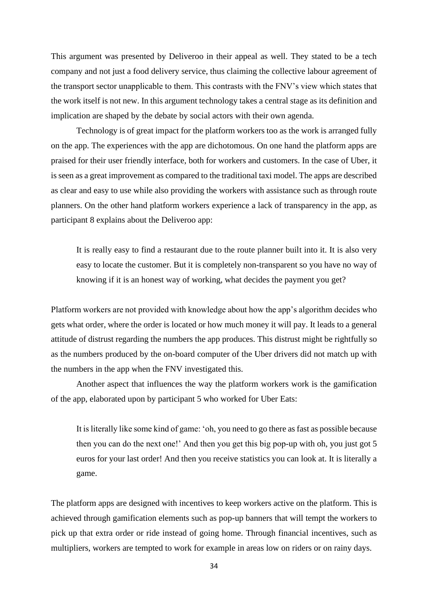This argument was presented by Deliveroo in their appeal as well. They stated to be a tech company and not just a food delivery service, thus claiming the collective labour agreement of the transport sector unapplicable to them. This contrasts with the FNV's view which states that the work itself is not new. In this argument technology takes a central stage as its definition and implication are shaped by the debate by social actors with their own agenda.

Technology is of great impact for the platform workers too as the work is arranged fully on the app. The experiences with the app are dichotomous. On one hand the platform apps are praised for their user friendly interface, both for workers and customers. In the case of Uber, it is seen as a great improvement as compared to the traditional taxi model. The apps are described as clear and easy to use while also providing the workers with assistance such as through route planners. On the other hand platform workers experience a lack of transparency in the app, as participant 8 explains about the Deliveroo app:

It is really easy to find a restaurant due to the route planner built into it. It is also very easy to locate the customer. But it is completely non-transparent so you have no way of knowing if it is an honest way of working, what decides the payment you get?

Platform workers are not provided with knowledge about how the app's algorithm decides who gets what order, where the order is located or how much money it will pay. It leads to a general attitude of distrust regarding the numbers the app produces. This distrust might be rightfully so as the numbers produced by the on-board computer of the Uber drivers did not match up with the numbers in the app when the FNV investigated this.

Another aspect that influences the way the platform workers work is the gamification of the app, elaborated upon by participant 5 who worked for Uber Eats:

It is literally like some kind of game: 'oh, you need to go there as fast as possible because then you can do the next one!' And then you get this big pop-up with oh, you just got 5 euros for your last order! And then you receive statistics you can look at. It is literally a game.

The platform apps are designed with incentives to keep workers active on the platform. This is achieved through gamification elements such as pop-up banners that will tempt the workers to pick up that extra order or ride instead of going home. Through financial incentives, such as multipliers, workers are tempted to work for example in areas low on riders or on rainy days.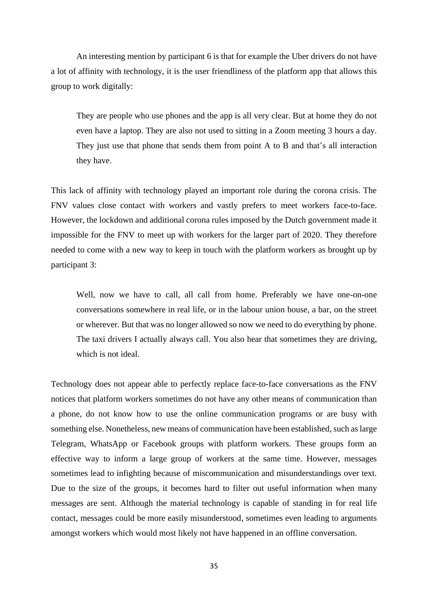An interesting mention by participant 6 is that for example the Uber drivers do not have a lot of affinity with technology, it is the user friendliness of the platform app that allows this group to work digitally:

They are people who use phones and the app is all very clear. But at home they do not even have a laptop. They are also not used to sitting in a Zoom meeting 3 hours a day. They just use that phone that sends them from point A to B and that's all interaction they have.

This lack of affinity with technology played an important role during the corona crisis. The FNV values close contact with workers and vastly prefers to meet workers face-to-face. However, the lockdown and additional corona rules imposed by the Dutch government made it impossible for the FNV to meet up with workers for the larger part of 2020. They therefore needed to come with a new way to keep in touch with the platform workers as brought up by participant 3:

Well, now we have to call, all call from home. Preferably we have one-on-one conversations somewhere in real life, or in the labour union house, a bar, on the street or wherever. But that was no longer allowed so now we need to do everything by phone. The taxi drivers I actually always call. You also hear that sometimes they are driving, which is not ideal.

Technology does not appear able to perfectly replace face-to-face conversations as the FNV notices that platform workers sometimes do not have any other means of communication than a phone, do not know how to use the online communication programs or are busy with something else. Nonetheless, new means of communication have been established, such as large Telegram, WhatsApp or Facebook groups with platform workers. These groups form an effective way to inform a large group of workers at the same time. However, messages sometimes lead to infighting because of miscommunication and misunderstandings over text. Due to the size of the groups, it becomes hard to filter out useful information when many messages are sent. Although the material technology is capable of standing in for real life contact, messages could be more easily misunderstood, sometimes even leading to arguments amongst workers which would most likely not have happened in an offline conversation.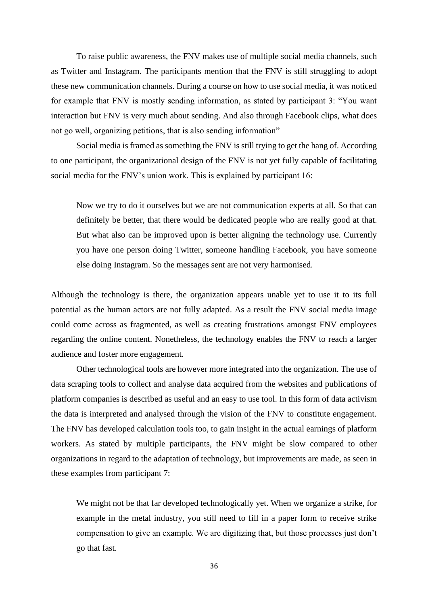To raise public awareness, the FNV makes use of multiple social media channels, such as Twitter and Instagram. The participants mention that the FNV is still struggling to adopt these new communication channels. During a course on how to use social media, it was noticed for example that FNV is mostly sending information, as stated by participant 3: "You want interaction but FNV is very much about sending. And also through Facebook clips, what does not go well, organizing petitions, that is also sending information"

Social media is framed as something the FNV is still trying to get the hang of. According to one participant, the organizational design of the FNV is not yet fully capable of facilitating social media for the FNV's union work. This is explained by participant 16:

Now we try to do it ourselves but we are not communication experts at all. So that can definitely be better, that there would be dedicated people who are really good at that. But what also can be improved upon is better aligning the technology use. Currently you have one person doing Twitter, someone handling Facebook, you have someone else doing Instagram. So the messages sent are not very harmonised.

Although the technology is there, the organization appears unable yet to use it to its full potential as the human actors are not fully adapted. As a result the FNV social media image could come across as fragmented, as well as creating frustrations amongst FNV employees regarding the online content. Nonetheless, the technology enables the FNV to reach a larger audience and foster more engagement.

Other technological tools are however more integrated into the organization. The use of data scraping tools to collect and analyse data acquired from the websites and publications of platform companies is described as useful and an easy to use tool. In this form of data activism the data is interpreted and analysed through the vision of the FNV to constitute engagement. The FNV has developed calculation tools too, to gain insight in the actual earnings of platform workers. As stated by multiple participants, the FNV might be slow compared to other organizations in regard to the adaptation of technology, but improvements are made, as seen in these examples from participant 7:

We might not be that far developed technologically yet. When we organize a strike, for example in the metal industry, you still need to fill in a paper form to receive strike compensation to give an example. We are digitizing that, but those processes just don't go that fast.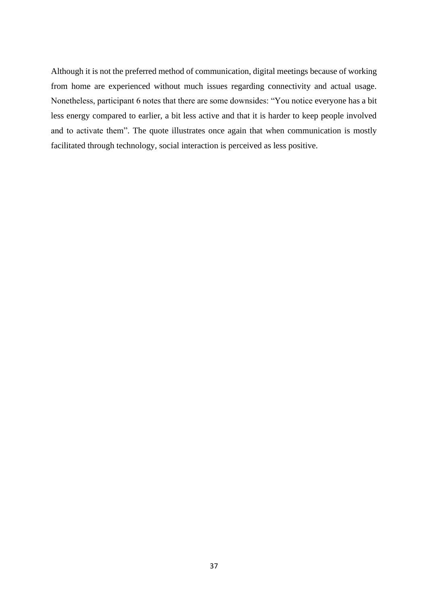Although it is not the preferred method of communication, digital meetings because of working from home are experienced without much issues regarding connectivity and actual usage. Nonetheless, participant 6 notes that there are some downsides: "You notice everyone has a bit less energy compared to earlier, a bit less active and that it is harder to keep people involved and to activate them". The quote illustrates once again that when communication is mostly facilitated through technology, social interaction is perceived as less positive.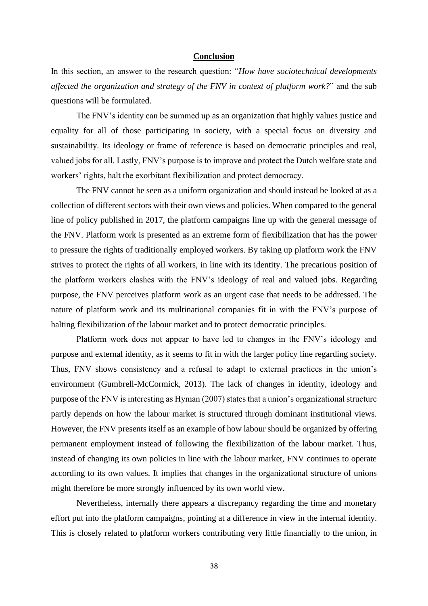#### **Conclusion**

In this section, an answer to the research question: "*How have sociotechnical developments affected the organization and strategy of the FNV in context of platform work?*" and the sub questions will be formulated.

The FNV's identity can be summed up as an organization that highly values justice and equality for all of those participating in society, with a special focus on diversity and sustainability. Its ideology or frame of reference is based on democratic principles and real, valued jobs for all. Lastly, FNV's purpose is to improve and protect the Dutch welfare state and workers' rights, halt the exorbitant flexibilization and protect democracy.

The FNV cannot be seen as a uniform organization and should instead be looked at as a collection of different sectors with their own views and policies. When compared to the general line of policy published in 2017, the platform campaigns line up with the general message of the FNV. Platform work is presented as an extreme form of flexibilization that has the power to pressure the rights of traditionally employed workers. By taking up platform work the FNV strives to protect the rights of all workers, in line with its identity. The precarious position of the platform workers clashes with the FNV's ideology of real and valued jobs. Regarding purpose, the FNV perceives platform work as an urgent case that needs to be addressed. The nature of platform work and its multinational companies fit in with the FNV's purpose of halting flexibilization of the labour market and to protect democratic principles.

Platform work does not appear to have led to changes in the FNV's ideology and purpose and external identity, as it seems to fit in with the larger policy line regarding society. Thus, FNV shows consistency and a refusal to adapt to external practices in the union's environment (Gumbrell-McCormick, 2013). The lack of changes in identity, ideology and purpose of the FNV is interesting as Hyman (2007) states that a union's organizational structure partly depends on how the labour market is structured through dominant institutional views. However, the FNV presents itself as an example of how labour should be organized by offering permanent employment instead of following the flexibilization of the labour market. Thus, instead of changing its own policies in line with the labour market, FNV continues to operate according to its own values. It implies that changes in the organizational structure of unions might therefore be more strongly influenced by its own world view.

Nevertheless, internally there appears a discrepancy regarding the time and monetary effort put into the platform campaigns, pointing at a difference in view in the internal identity. This is closely related to platform workers contributing very little financially to the union, in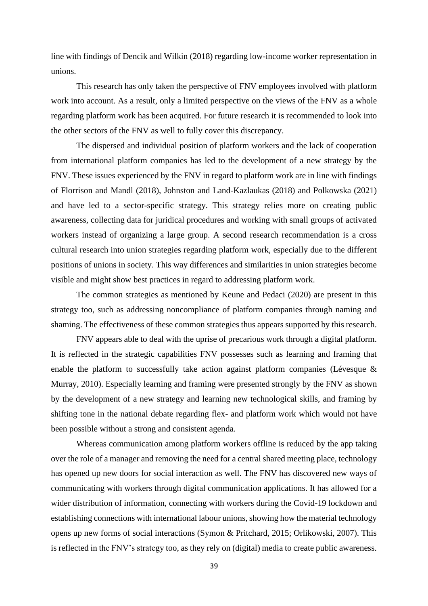line with findings of Dencik and Wilkin (2018) regarding low-income worker representation in unions.

This research has only taken the perspective of FNV employees involved with platform work into account. As a result, only a limited perspective on the views of the FNV as a whole regarding platform work has been acquired. For future research it is recommended to look into the other sectors of the FNV as well to fully cover this discrepancy.

The dispersed and individual position of platform workers and the lack of cooperation from international platform companies has led to the development of a new strategy by the FNV. These issues experienced by the FNV in regard to platform work are in line with findings of Florrison and Mandl (2018), Johnston and Land-Kazlaukas (2018) and Polkowska (2021) and have led to a sector-specific strategy. This strategy relies more on creating public awareness, collecting data for juridical procedures and working with small groups of activated workers instead of organizing a large group. A second research recommendation is a cross cultural research into union strategies regarding platform work, especially due to the different positions of unions in society. This way differences and similarities in union strategies become visible and might show best practices in regard to addressing platform work.

The common strategies as mentioned by Keune and Pedaci (2020) are present in this strategy too, such as addressing noncompliance of platform companies through naming and shaming. The effectiveness of these common strategies thus appears supported by this research.

FNV appears able to deal with the uprise of precarious work through a digital platform. It is reflected in the strategic capabilities FNV possesses such as learning and framing that enable the platform to successfully take action against platform companies (Lévesque & Murray, 2010). Especially learning and framing were presented strongly by the FNV as shown by the development of a new strategy and learning new technological skills, and framing by shifting tone in the national debate regarding flex- and platform work which would not have been possible without a strong and consistent agenda.

Whereas communication among platform workers offline is reduced by the app taking over the role of a manager and removing the need for a central shared meeting place, technology has opened up new doors for social interaction as well. The FNV has discovered new ways of communicating with workers through digital communication applications. It has allowed for a wider distribution of information, connecting with workers during the Covid-19 lockdown and establishing connections with international labour unions, showing how the material technology opens up new forms of social interactions (Symon & Pritchard, 2015; Orlikowski, 2007). This is reflected in the FNV's strategy too, as they rely on (digital) media to create public awareness.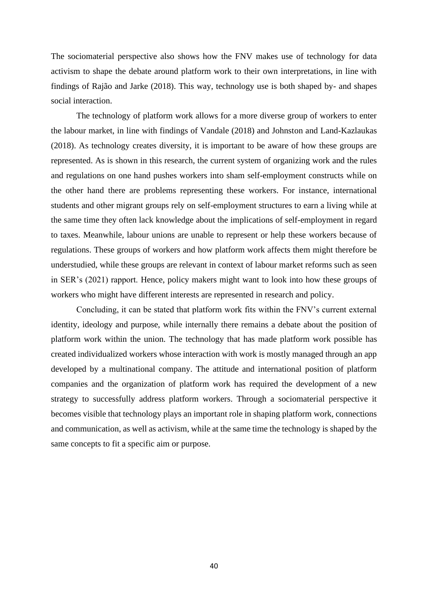The sociomaterial perspective also shows how the FNV makes use of technology for data activism to shape the debate around platform work to their own interpretations, in line with findings of Rajão and Jarke (2018). This way, technology use is both shaped by- and shapes social interaction.

The technology of platform work allows for a more diverse group of workers to enter the labour market, in line with findings of Vandale (2018) and Johnston and Land-Kazlaukas (2018). As technology creates diversity, it is important to be aware of how these groups are represented. As is shown in this research, the current system of organizing work and the rules and regulations on one hand pushes workers into sham self-employment constructs while on the other hand there are problems representing these workers. For instance, international students and other migrant groups rely on self-employment structures to earn a living while at the same time they often lack knowledge about the implications of self-employment in regard to taxes. Meanwhile, labour unions are unable to represent or help these workers because of regulations. These groups of workers and how platform work affects them might therefore be understudied, while these groups are relevant in context of labour market reforms such as seen in SER's (2021) rapport. Hence, policy makers might want to look into how these groups of workers who might have different interests are represented in research and policy.

Concluding, it can be stated that platform work fits within the FNV's current external identity, ideology and purpose, while internally there remains a debate about the position of platform work within the union. The technology that has made platform work possible has created individualized workers whose interaction with work is mostly managed through an app developed by a multinational company. The attitude and international position of platform companies and the organization of platform work has required the development of a new strategy to successfully address platform workers. Through a sociomaterial perspective it becomes visible that technology plays an important role in shaping platform work, connections and communication, as well as activism, while at the same time the technology is shaped by the same concepts to fit a specific aim or purpose.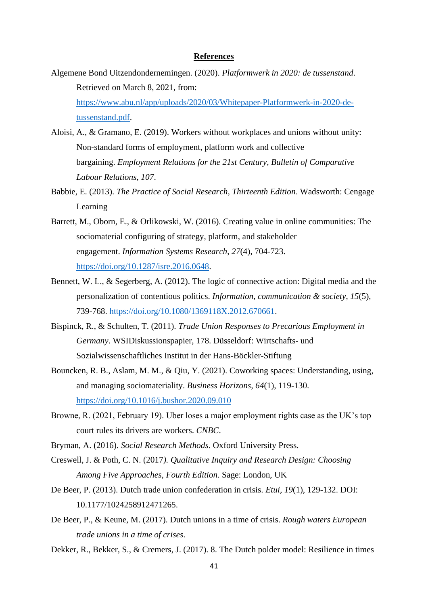#### **References**

- Algemene Bond Uitzendondernemingen. (2020). *Platformwerk in 2020: de tussenstand*. Retrieved on March 8, 2021, from: [https://www.abu.nl/app/uploads/2020/03/Whitepaper-Platformwerk-in-2020-de](https://www.abu.nl/app/uploads/2020/03/Whitepaper-Platformwerk-in-2020-de-tussenstand.pdf)[tussenstand.pdf.](https://www.abu.nl/app/uploads/2020/03/Whitepaper-Platformwerk-in-2020-de-tussenstand.pdf)
- Aloisi, A., & Gramano, E. (2019). Workers without workplaces and unions without unity: Non-standard forms of employment, platform work and collective bargaining. *Employment Relations for the 21st Century, Bulletin of Comparative Labour Relations*, *107*.
- Babbie, E. (2013). *The Practice of Social Research, Thirteenth Edition*. Wadsworth: Cengage Learning
- Barrett, M., Oborn, E., & Orlikowski, W. (2016). Creating value in online communities: The sociomaterial configuring of strategy, platform, and stakeholder engagement. *Information Systems Research*, *27*(4), 704-723. [https://doi.org/10.1287/isre.2016.0648.](https://doi.org/10.1287/isre.2016.0648)
- Bennett, W. L., & Segerberg, A. (2012). The logic of connective action: Digital media and the personalization of contentious politics. *Information, communication & society*, *15*(5), 739-768. [https://doi.org/10.1080/1369118X.2012.670661.](https://doi.org/10.1080/1369118X.2012.670661)
- Bispinck, R., & Schulten, T. (2011). *Trade Union Responses to Precarious Employment in Germany*. WSIDiskussionspapier, 178. Düsseldorf: Wirtschafts- und Sozialwissenschaftliches Institut in der Hans-Böckler-Stiftung
- Bouncken, R. B., Aslam, M. M., & Qiu, Y. (2021). Coworking spaces: Understanding, using, and managing sociomateriality. *Business Horizons, 64*(1), 119-130. <https://doi.org/10.1016/j.bushor.2020.09.010>
- Browne, R. (2021, February 19). Uber loses a major employment rights case as the UK's top court rules its drivers are workers. *CNBC*.
- Bryman, A. (2016). *Social Research Methods*. Oxford University Press.
- Creswell, J. & Poth, C. N. (2017*). Qualitative Inquiry and Research Design: Choosing Among Five Approaches, Fourth Edition*. Sage: London, UK
- De Beer, P. (2013). Dutch trade union confederation in crisis. *Etui, 19*(1), 129-132. DOI: 10.1177/1024258912471265.
- De Beer, P., & Keune, M. (2017). Dutch unions in a time of crisis. *Rough waters European trade unions in a time of crises*.
- Dekker, R., Bekker, S., & Cremers, J. (2017). 8. The Dutch polder model: Resilience in times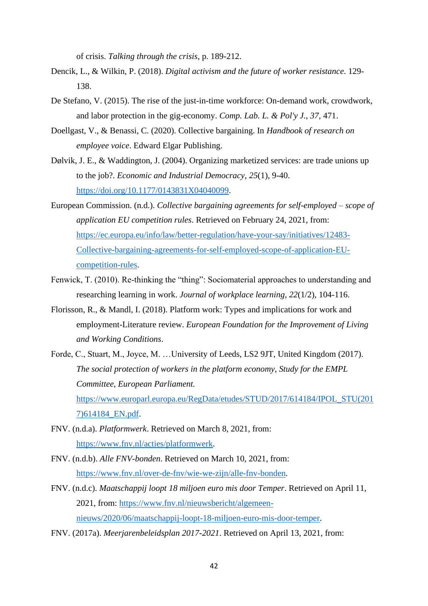of crisis. *Talking through the crisis*, p. 189-212.

- Dencik, L., & Wilkin, P. (2018). *Digital activism and the future of worker resistance*. 129- 138.
- De Stefano, V. (2015). The rise of the just-in-time workforce: On-demand work, crowdwork, and labor protection in the gig-economy. *Comp. Lab. L. & Pol'y J.*, *37*, 471.
- Doellgast, V., & Benassi, C. (2020). Collective bargaining. In *Handbook of research on employee voice*. Edward Elgar Publishing.
- Dølvik, J. E., & Waddington, J. (2004). Organizing marketized services: are trade unions up to the job?. *Economic and Industrial Democracy*, *25*(1), 9-40. [https://doi.org/10.1177/0143831X04040099.](https://doi.org/10.1177/0143831X04040099)
- European Commission. (n.d.). *Collective bargaining agreements for self-employed – scope of application EU competition rules*. Retrieved on February 24, 2021, from: [https://ec.europa.eu/info/law/better-regulation/have-your-say/initiatives/12483-](https://ec.europa.eu/info/law/better-regulation/have-your-say/initiatives/12483-Collective-bargaining-agreements-for-self-employed-scope-of-application-EU-competition-rules) [Collective-bargaining-agreements-for-self-employed-scope-of-application-EU](https://ec.europa.eu/info/law/better-regulation/have-your-say/initiatives/12483-Collective-bargaining-agreements-for-self-employed-scope-of-application-EU-competition-rules)[competition-rules.](https://ec.europa.eu/info/law/better-regulation/have-your-say/initiatives/12483-Collective-bargaining-agreements-for-self-employed-scope-of-application-EU-competition-rules)
- Fenwick, T. (2010). Re-thinking the "thing": Sociomaterial approaches to understanding and researching learning in work. *Journal of workplace learning*, *22*(1/2), 104-116.
- Florisson, R., & Mandl, I. (2018). Platform work: Types and implications for work and employment-Literature review. *European Foundation for the Improvement of Living and Working Conditions*.
- Forde, C., Stuart, M., Joyce, M. …University of Leeds, LS2 9JT, United Kingdom (2017). *The social protection of workers in the platform economy, Study for the EMPL Committee, European Parliament.* [https://www.europarl.europa.eu/RegData/etudes/STUD/2017/614184/IPOL\\_STU\(201](https://www.europarl.europa.eu/RegData/etudes/STUD/2017/614184/IPOL_STU(2017)614184_EN.pdf)

[7\)614184\\_EN.pdf.](https://www.europarl.europa.eu/RegData/etudes/STUD/2017/614184/IPOL_STU(2017)614184_EN.pdf)

- FNV. (n.d.a). *Platformwerk*. Retrieved on March 8, 2021, from: [https://www.fnv.nl/acties/platformwerk.](https://www.fnv.nl/acties/platformwerk)
- FNV. (n.d.b). *Alle FNV-bonden*. Retrieved on March 10, 2021, from: [https://www.fnv.nl/over-de-fnv/wie-we-zijn/alle-fnv-bonden.](https://www.fnv.nl/over-de-fnv/wie-we-zijn/alle-fnv-bonden)
- FNV. (n.d.c). *Maatschappij loopt 18 miljoen euro mis door Temper*. Retrieved on April 11, 2021, from: [https://www.fnv.nl/nieuwsbericht/algemeen](https://www.fnv.nl/nieuwsbericht/algemeen-nieuws/2020/06/maatschappij-loopt-18-miljoen-euro-mis-door-temper)[nieuws/2020/06/maatschappij-loopt-18-miljoen-euro-mis-door-temper.](https://www.fnv.nl/nieuwsbericht/algemeen-nieuws/2020/06/maatschappij-loopt-18-miljoen-euro-mis-door-temper)
- FNV. (2017a). *Meerjarenbeleidsplan 2017-2021*. Retrieved on April 13, 2021, from: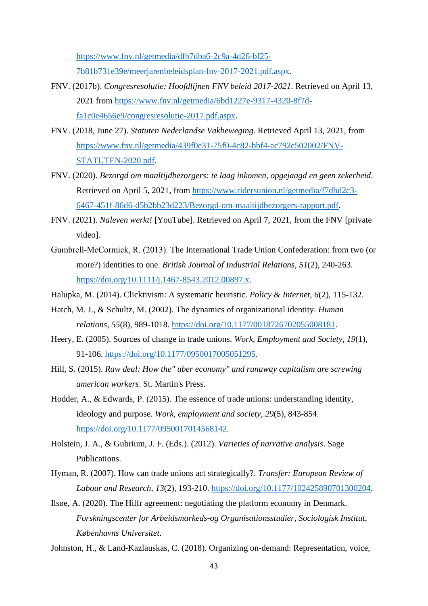[https://www.fnv.nl/getmedia/dfb7dba6-2c9a-4d26-bf25-](https://www.fnv.nl/getmedia/dfb7dba6-2c9a-4d26-bf25-7b81b731e39e/meerjarenbeleidsplan-fnv-2017-2021.pdf.aspx) [7b81b731e39e/meerjarenbeleidsplan-fnv-2017-2021.pdf.aspx.](https://www.fnv.nl/getmedia/dfb7dba6-2c9a-4d26-bf25-7b81b731e39e/meerjarenbeleidsplan-fnv-2017-2021.pdf.aspx)

- FNV. (2017b). *Congresresolutie: Hoofdlijnen FNV beleid 2017-2021*. Retrieved on April 13, 2021 from [https://www.fnv.nl/getmedia/6bd1227e-9317-4320-8f7d](https://www.fnv.nl/getmedia/6bd1227e-9317-4320-8f7d-fa1c0e4656e9/congresresolutie-2017.pdf.aspx)[fa1c0e4656e9/congresresolutie-2017.pdf.aspx.](https://www.fnv.nl/getmedia/6bd1227e-9317-4320-8f7d-fa1c0e4656e9/congresresolutie-2017.pdf.aspx)
- FNV. (2018, June 27). *Statuten Nederlandse Vakbeweging.* Retrieved April 13, 2021, from [https://www.fnv.nl/getmedia/439f0e31-75f0-4c82-bbf4-ac792c502002/FNV-](https://www.fnv.nl/getmedia/439f0e31-75f0-4c82-bbf4-ac792c502002/FNV-STATUTEN-2020.pdf)[STATUTEN-2020.pdf.](https://www.fnv.nl/getmedia/439f0e31-75f0-4c82-bbf4-ac792c502002/FNV-STATUTEN-2020.pdf)
- FNV. (2020). *Bezorgd om maaltijdbezorgers: te laag inkomen, opgejaagd en geen zekerheid*. Retrieved on April 5, 2021, from [https://www.ridersunion.nl/getmedia/f7dbd2c3-](https://www.ridersunion.nl/getmedia/f7dbd2c3-6467-451f-86d6-d5b2bb23d223/Bezorgd-om-maaltijdbezorgers-rapport.pdf) [6467-451f-86d6-d5b2bb23d223/Bezorgd-om-maaltijdbezorgers-rapport.pdf.](https://www.ridersunion.nl/getmedia/f7dbd2c3-6467-451f-86d6-d5b2bb23d223/Bezorgd-om-maaltijdbezorgers-rapport.pdf)
- FNV. (2021). *Naleven werkt!* [YouTube]. Retrieved on April 7, 2021, from the FNV [private video].
- Gumbrell‐McCormick, R. (2013). The International Trade Union Confederation: from two (or more?) identities to one. *British Journal of Industrial Relations*, *51*(2), 240-263. [https://doi.org/10.1111/j.1467-8543.2012.00897.x.](https://doi.org/10.1111/j.1467-8543.2012.00897.x)
- Halupka, M. (2014). Clicktivism: A systematic heuristic. *Policy & Internet, 6*(2), 115-132.
- Hatch, M. J., & Schultz, M. (2002). The dynamics of organizational identity. *Human relations*, *55*(8), 989-1018. [https://doi.org/10.1177/0018726702055008181.](https://doi.org/10.1177%2F0018726702055008181)
- Heery, E. (2005). Sources of change in trade unions. *Work, Employment and Society, 19*(1), 91-106. [https://doi.org/10.1177/0950017005051295.](https://doi.org/10.1177%2F0950017005051295)
- Hill, S. (2015). *Raw deal: How the" uber economy" and runaway capitalism are screwing american workers*. St. Martin's Press.
- Hodder, A., & Edwards, P. (2015). The essence of trade unions: understanding identity, ideology and purpose. *Work, employment and society, 29*(5), 843-854. [https://doi.org/10.1177/0950017014568142.](https://doi.org/10.1177/0950017014568142)
- Holstein, J. A., & Gubrium, J. F. (Eds.). (2012). *Varieties of narrative analysis*. Sage Publications.
- Hyman, R. (2007). How can trade unions act strategically?. *Transfer: European Review of Labour and Research*, *13*(2), 193-210. [https://doi.org/10.1177/102425890701300204.](https://doi.org/10.1177/102425890701300204)
- Ilsøe, A. (2020). The Hilfr agreement: negotiating the platform economy in Denmark. *Forskningscenter for Arbeidsmarkeds-og Organisationsstudier, Sociologisk Institut, Københavns Universitet*.

Johnston, H., & Land-Kazlauskas, C. (2018). Organizing on-demand: Representation, voice,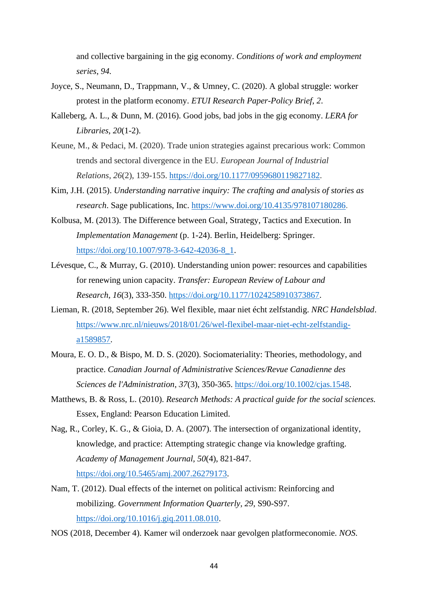and collective bargaining in the gig economy. *Conditions of work and employment series*, *94.*

- Joyce, S., Neumann, D., Trappmann, V., & Umney, C. (2020). A global struggle: worker protest in the platform economy. *ETUI Research Paper-Policy Brief*, *2*.
- Kalleberg, A. L., & Dunn, M. (2016). Good jobs, bad jobs in the gig economy. *LERA for Libraries*, *20*(1-2).
- Keune, M., & Pedaci, M. (2020). Trade union strategies against precarious work: Common trends and sectoral divergence in the EU. *European Journal of Industrial Relations*, *26*(2), 139-155. [https://doi.org/10.1177/0959680119827182](https://doi.org/10.1177%2F0959680119827182).
- Kim, J.H. (2015). *Understanding narrative inquiry: The crafting and analysis of stories as research*. Sage publications, Inc.<https://www.doi.org/10.4135/978107180286>.
- Kolbusa, M. (2013). The Difference between Goal, Strategy, Tactics and Execution. In *Implementation Management* (p. 1-24). Berlin, Heidelberg: Springer. [https://doi.org/10.1007/978-3-642-42036-8\\_1.](https://doi.org/10.1007/978-3-642-42036-8_1)
- Lévesque, C., & Murray, G. (2010). Understanding union power: resources and capabilities for renewing union capacity. *Transfer: European Review of Labour and Research*, *16*(3), 333-350. [https://doi.org/10.1177/1024258910373867.](https://doi.org/10.1177%2F1024258910373867)
- Lieman, R. (2018, September 26). Wel flexible, maar niet écht zelfstandig. *NRC Handelsblad*. [https://www.nrc.nl/nieuws/2018/01/26/wel-flexibel-maar-niet-echt-zelfstandig](https://www.nrc.nl/nieuws/2018/01/26/wel-flexibel-maar-niet-echt-zelfstandig-a1589857)[a1589857.](https://www.nrc.nl/nieuws/2018/01/26/wel-flexibel-maar-niet-echt-zelfstandig-a1589857)
- Moura, E. O. D., & Bispo, M. D. S. (2020). Sociomateriality: Theories, methodology, and practice. *Canadian Journal of Administrative Sciences/Revue Canadienne des Sciences de l'Administration*, *37*(3), 350-365. [https://doi.org/10.1002/cjas.1548.](https://doi.org/10.1002/cjas.1548)
- Matthews, B. & Ross, L. (2010). *Research Methods: A practical guide for the social sciences.* Essex, England: Pearson Education Limited.
- Nag, R., Corley, K. G., & Gioia, D. A. (2007). The intersection of organizational identity, knowledge, and practice: Attempting strategic change via knowledge grafting. *Academy of Management Journal, 50*(4), 821-847. [https://doi.org/10.5465/amj.2007.26279173.](https://doi.org/10.5465/amj.2007.26279173)
- Nam, T. (2012). Dual effects of the internet on political activism: Reinforcing and mobilizing. *Government Information Quarterly*, *29*, S90-S97. [https://doi.org/10.1016/j.giq.2011.08.010.](https://doi.org/10.1016/j.giq.2011.08.010)
- NOS (2018, December 4). Kamer wil onderzoek naar gevolgen platformeconomie. *NOS*.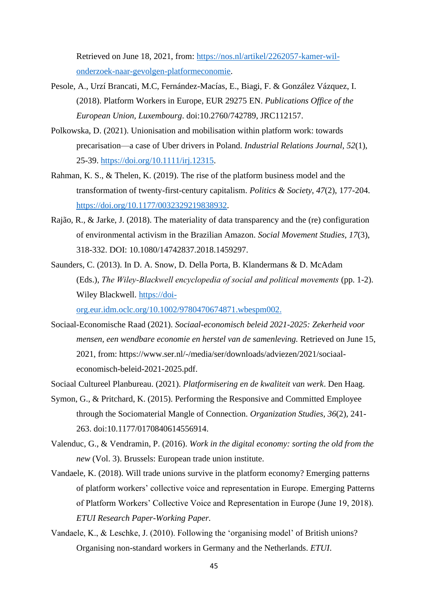Retrieved on June 18, 2021, from: [https://nos.nl/artikel/2262057-kamer-wil](https://nos.nl/artikel/2262057-kamer-wil-onderzoek-naar-gevolgen-platformeconomie)[onderzoek-naar-gevolgen-platformeconomie.](https://nos.nl/artikel/2262057-kamer-wil-onderzoek-naar-gevolgen-platformeconomie)

- Pesole, A., Urzí Brancati, M.C, Fernández-Macías, E., Biagi, F. & González Vázquez, I. (2018). Platform Workers in Europe, EUR 29275 EN. *Publications Office of the European Union, Luxembourg*. doi:10.2760/742789, JRC112157.
- Polkowska, D. (2021). Unionisation and mobilisation within platform work: towards precarisation—a case of Uber drivers in Poland. *Industrial Relations Journal*, *52*(1), 25-39. [https://doi.org/10.1111/irj.12315.](https://doi.org/10.1111/irj.12315)
- Rahman, K. S., & Thelen, K. (2019). The rise of the platform business model and the transformation of twenty-first-century capitalism. *Politics & Society*, *47*(2), 177-204. [https://doi.org/10.1177/0032329219838932.](https://doi.org/10.1177/0032329219838932)
- Rajão, R., & Jarke, J. (2018). The materiality of data transparency and the (re) configuration of environmental activism in the Brazilian Amazon. *Social Movement Studies, 17*(3), 318-332. DOI: 10.1080/14742837.2018.1459297.
- Saunders, C. (2013). In D. A. Snow, D. Della Porta, B. Klandermans & D. McAdam (Eds.), *The Wiley‐Blackwell encyclopedia of social and political movements* (pp. 1-2). Wiley Blackwell. [https://doi](https://doi-org.eur.idm.oclc.org/10.1002/9780470674871.wbespm002)[org.eur.idm.oclc.org/10.1002/9780470674871.wbespm002.](https://doi-org.eur.idm.oclc.org/10.1002/9780470674871.wbespm002)
- Sociaal-Economische Raad (2021). *Sociaal-economisch beleid 2021-2025: Zekerheid voor mensen, een wendbare economie en herstel van de samenleving.* Retrieved on June 15, 2021, from: [https://www.ser.nl/-/media/ser/downloads/adviezen/2021/sociaal](https://www.ser.nl/-/media/ser/downloads/adviezen/2021/sociaal-economisch-beleid-2021-2025.pdf)[economisch-beleid-2021-2025.pdf.](https://www.ser.nl/-/media/ser/downloads/adviezen/2021/sociaal-economisch-beleid-2021-2025.pdf)
- Sociaal Cultureel Planbureau. (2021). *Platformisering en de kwaliteit van werk*. Den Haag.
- Symon, G., & Pritchard, K. (2015). Performing the Responsive and Committed Employee through the Sociomaterial Mangle of Connection. *Organization Studies, 36*(2), 241- 263. doi:10.1177/0170840614556914.
- Valenduc, G., & Vendramin, P. (2016). *Work in the digital economy: sorting the old from the new* (Vol. 3). Brussels: European trade union institute.
- Vandaele, K. (2018). Will trade unions survive in the platform economy? Emerging patterns of platform workers' collective voice and representation in Europe. Emerging Patterns of Platform Workers' Collective Voice and Representation in Europe (June 19, 2018). *ETUI Research Paper-Working Paper.*
- Vandaele, K., & Leschke, J. (2010). Following the 'organising model' of British unions? Organising non-standard workers in Germany and the Netherlands. *ETUI*.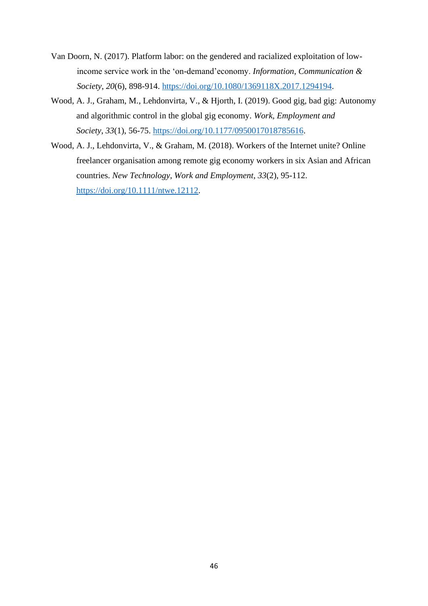- Van Doorn, N. (2017). Platform labor: on the gendered and racialized exploitation of lowincome service work in the 'on-demand'economy. *Information, Communication & Society*, *20*(6), 898-914. [https://doi.org/10.1080/1369118X.2017.1294194.](https://doi.org/10.1080/1369118X.2017.1294194)
- Wood, A. J., Graham, M., Lehdonvirta, V., & Hjorth, I. (2019). Good gig, bad gig: Autonomy and algorithmic control in the global gig economy. *Work, Employment and Society*, *33*(1), 56-75. [https://doi.org/10.1177/0950017018785616.](https://doi.org/10.1177%2F0950017018785616)
- Wood, A. J., Lehdonvirta, V., & Graham, M. (2018). Workers of the Internet unite? Online freelancer organisation among remote gig economy workers in six Asian and African countries. *New Technology, Work and Employment*, *33*(2), 95-112. [https://doi.org/10.1111/ntwe.12112.](https://doi.org/10.1111/ntwe.12112)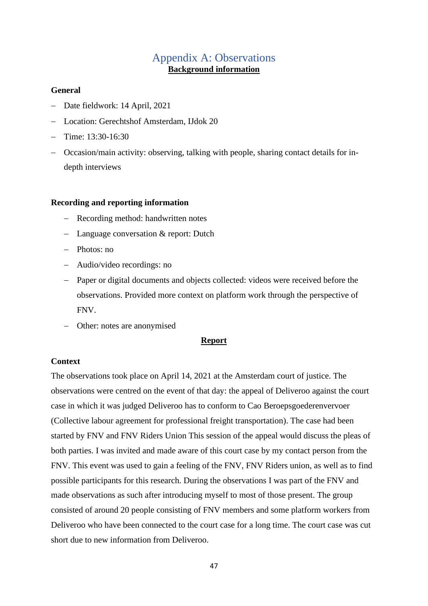# Appendix A: Observations **Background information**

#### **General**

- − Date fieldwork: 14 April, 2021
- − Location: Gerechtshof Amsterdam, IJdok 20
- − Time: 13:30-16:30
- − Occasion/main activity: observing, talking with people, sharing contact details for indepth interviews

#### **Recording and reporting information**

- − Recording method: handwritten notes
- − Language conversation & report: Dutch
- − Photos: no
- − Audio/video recordings: no
- − Paper or digital documents and objects collected: videos were received before the observations. Provided more context on platform work through the perspective of FNV.
- − Other: notes are anonymised

#### **Report**

#### **Context**

The observations took place on April 14, 2021 at the Amsterdam court of justice. The observations were centred on the event of that day: the appeal of Deliveroo against the court case in which it was judged Deliveroo has to conform to Cao Beroepsgoederenvervoer (Collective labour agreement for professional freight transportation). The case had been started by FNV and FNV Riders Union This session of the appeal would discuss the pleas of both parties. I was invited and made aware of this court case by my contact person from the FNV. This event was used to gain a feeling of the FNV, FNV Riders union, as well as to find possible participants for this research. During the observations I was part of the FNV and made observations as such after introducing myself to most of those present. The group consisted of around 20 people consisting of FNV members and some platform workers from Deliveroo who have been connected to the court case for a long time. The court case was cut short due to new information from Deliveroo.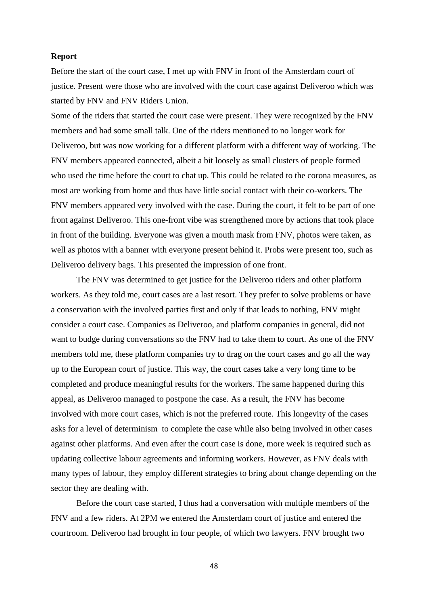#### **Report**

Before the start of the court case, I met up with FNV in front of the Amsterdam court of justice. Present were those who are involved with the court case against Deliveroo which was started by FNV and FNV Riders Union.

Some of the riders that started the court case were present. They were recognized by the FNV members and had some small talk. One of the riders mentioned to no longer work for Deliveroo, but was now working for a different platform with a different way of working. The FNV members appeared connected, albeit a bit loosely as small clusters of people formed who used the time before the court to chat up. This could be related to the corona measures, as most are working from home and thus have little social contact with their co-workers. The FNV members appeared very involved with the case. During the court, it felt to be part of one front against Deliveroo. This one-front vibe was strengthened more by actions that took place in front of the building. Everyone was given a mouth mask from FNV, photos were taken, as well as photos with a banner with everyone present behind it. Probs were present too, such as Deliveroo delivery bags. This presented the impression of one front.

The FNV was determined to get justice for the Deliveroo riders and other platform workers. As they told me, court cases are a last resort. They prefer to solve problems or have a conservation with the involved parties first and only if that leads to nothing, FNV might consider a court case. Companies as Deliveroo, and platform companies in general, did not want to budge during conversations so the FNV had to take them to court. As one of the FNV members told me, these platform companies try to drag on the court cases and go all the way up to the European court of justice. This way, the court cases take a very long time to be completed and produce meaningful results for the workers. The same happened during this appeal, as Deliveroo managed to postpone the case. As a result, the FNV has become involved with more court cases, which is not the preferred route. This longevity of the cases asks for a level of determinism to complete the case while also being involved in other cases against other platforms. And even after the court case is done, more week is required such as updating collective labour agreements and informing workers. However, as FNV deals with many types of labour, they employ different strategies to bring about change depending on the sector they are dealing with.

Before the court case started, I thus had a conversation with multiple members of the FNV and a few riders. At 2PM we entered the Amsterdam court of justice and entered the courtroom. Deliveroo had brought in four people, of which two lawyers. FNV brought two

48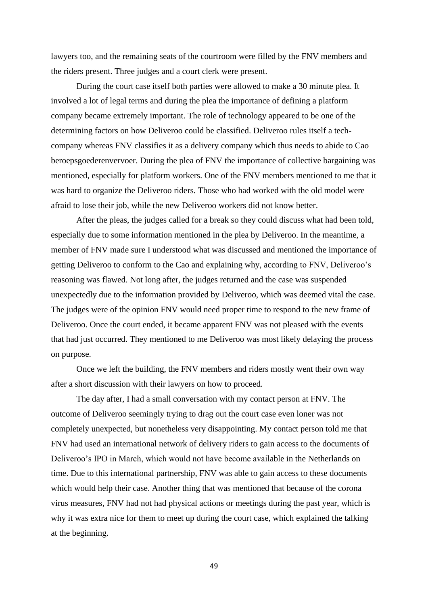lawyers too, and the remaining seats of the courtroom were filled by the FNV members and the riders present. Three judges and a court clerk were present.

During the court case itself both parties were allowed to make a 30 minute plea. It involved a lot of legal terms and during the plea the importance of defining a platform company became extremely important. The role of technology appeared to be one of the determining factors on how Deliveroo could be classified. Deliveroo rules itself a techcompany whereas FNV classifies it as a delivery company which thus needs to abide to Cao beroepsgoederenvervoer. During the plea of FNV the importance of collective bargaining was mentioned, especially for platform workers. One of the FNV members mentioned to me that it was hard to organize the Deliveroo riders. Those who had worked with the old model were afraid to lose their job, while the new Deliveroo workers did not know better.

After the pleas, the judges called for a break so they could discuss what had been told, especially due to some information mentioned in the plea by Deliveroo. In the meantime, a member of FNV made sure I understood what was discussed and mentioned the importance of getting Deliveroo to conform to the Cao and explaining why, according to FNV, Deliveroo's reasoning was flawed. Not long after, the judges returned and the case was suspended unexpectedly due to the information provided by Deliveroo, which was deemed vital the case. The judges were of the opinion FNV would need proper time to respond to the new frame of Deliveroo. Once the court ended, it became apparent FNV was not pleased with the events that had just occurred. They mentioned to me Deliveroo was most likely delaying the process on purpose.

Once we left the building, the FNV members and riders mostly went their own way after a short discussion with their lawyers on how to proceed.

The day after, I had a small conversation with my contact person at FNV. The outcome of Deliveroo seemingly trying to drag out the court case even loner was not completely unexpected, but nonetheless very disappointing. My contact person told me that FNV had used an international network of delivery riders to gain access to the documents of Deliveroo's IPO in March, which would not have become available in the Netherlands on time. Due to this international partnership, FNV was able to gain access to these documents which would help their case. Another thing that was mentioned that because of the corona virus measures, FNV had not had physical actions or meetings during the past year, which is why it was extra nice for them to meet up during the court case, which explained the talking at the beginning.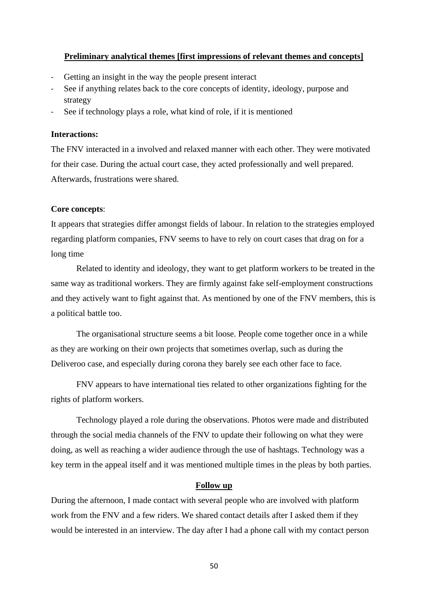### **Preliminary analytical themes [first impressions of relevant themes and concepts]**

- Getting an insight in the way the people present interact
- See if anything relates back to the core concepts of identity, ideology, purpose and strategy
- See if technology plays a role, what kind of role, if it is mentioned

#### **Interactions:**

The FNV interacted in a involved and relaxed manner with each other. They were motivated for their case. During the actual court case, they acted professionally and well prepared. Afterwards, frustrations were shared.

#### **Core concepts**:

It appears that strategies differ amongst fields of labour. In relation to the strategies employed regarding platform companies, FNV seems to have to rely on court cases that drag on for a long time

Related to identity and ideology, they want to get platform workers to be treated in the same way as traditional workers. They are firmly against fake self-employment constructions and they actively want to fight against that. As mentioned by one of the FNV members, this is a political battle too.

The organisational structure seems a bit loose. People come together once in a while as they are working on their own projects that sometimes overlap, such as during the Deliveroo case, and especially during corona they barely see each other face to face.

FNV appears to have international ties related to other organizations fighting for the rights of platform workers.

Technology played a role during the observations. Photos were made and distributed through the social media channels of the FNV to update their following on what they were doing, as well as reaching a wider audience through the use of hashtags. Technology was a key term in the appeal itself and it was mentioned multiple times in the pleas by both parties.

#### **Follow up**

During the afternoon, I made contact with several people who are involved with platform work from the FNV and a few riders. We shared contact details after I asked them if they would be interested in an interview. The day after I had a phone call with my contact person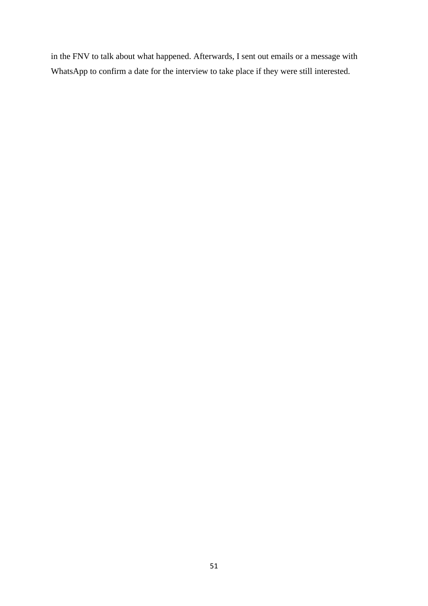in the FNV to talk about what happened. Afterwards, I sent out emails or a message with WhatsApp to confirm a date for the interview to take place if they were still interested.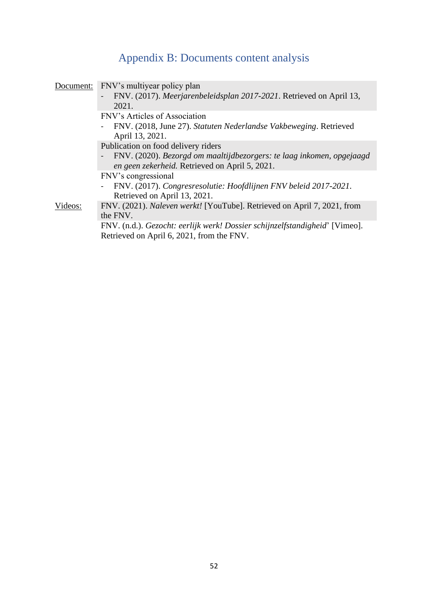# Appendix B: Documents content analysis

| Document: | FNV's multiyear policy plan<br>FNV. (2017). Meerjarenbeleidsplan 2017-2021. Retrieved on April 13,<br>2021.                                                    |
|-----------|----------------------------------------------------------------------------------------------------------------------------------------------------------------|
|           | FNV's Articles of Association<br>FNV. (2018, June 27). Statuten Nederlandse Vakbeweging. Retrieved<br>April 13, 2021.                                          |
|           | Publication on food delivery riders<br>FNV. (2020). Bezorgd om maaltijdbezorgers: te laag inkomen, opgejaagd<br>en geen zekerheid. Retrieved on April 5, 2021. |
|           | FNV's congressional<br>- FNV. (2017). Congresresolutie: Hoofdlijnen FNV beleid 2017-2021.<br>Retrieved on April 13, 2021.                                      |
| Videos:   | FNV. (2021). <i>Naleven werkt!</i> [YouTube]. Retrieved on April 7, 2021, from<br>the FNV.                                                                     |
|           | FNV. (n.d.). Gezocht: eerlijk werk! Dossier schijnzelfstandigheid' [Vimeo].<br>Retrieved on April 6, 2021, from the FNV.                                       |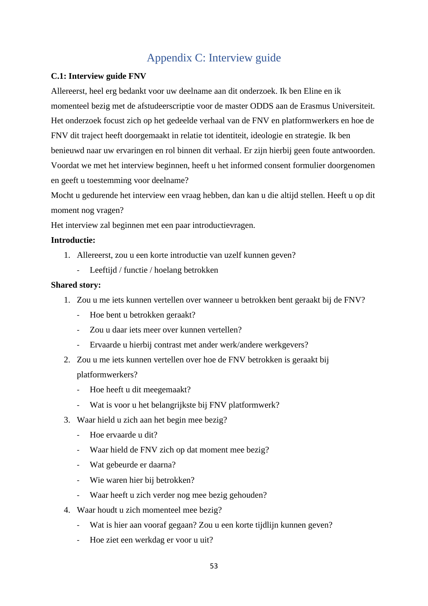# Appendix C: Interview guide

# **C.1: Interview guide FNV**

Allereerst, heel erg bedankt voor uw deelname aan dit onderzoek. Ik ben Eline en ik momenteel bezig met de afstudeerscriptie voor de master ODDS aan de Erasmus Universiteit. Het onderzoek focust zich op het gedeelde verhaal van de FNV en platformwerkers en hoe de FNV dit traject heeft doorgemaakt in relatie tot identiteit, ideologie en strategie. Ik ben benieuwd naar uw ervaringen en rol binnen dit verhaal. Er zijn hierbij geen foute antwoorden. Voordat we met het interview beginnen, heeft u het informed consent formulier doorgenomen en geeft u toestemming voor deelname?

Mocht u gedurende het interview een vraag hebben, dan kan u die altijd stellen. Heeft u op dit moment nog vragen?

Het interview zal beginnen met een paar introductievragen.

#### **Introductie:**

- 1. Allereerst, zou u een korte introductie van uzelf kunnen geven?
	- Leeftijd / functie / hoelang betrokken

#### **Shared story:**

- 1. Zou u me iets kunnen vertellen over wanneer u betrokken bent geraakt bij de FNV?
	- Hoe bent u betrokken geraakt?
	- Zou u daar iets meer over kunnen vertellen?
	- Ervaarde u hierbij contrast met ander werk/andere werkgevers?
- 2. Zou u me iets kunnen vertellen over hoe de FNV betrokken is geraakt bij platformwerkers?
	- Hoe heeft u dit meegemaakt?
	- Wat is voor u het belangrijkste bij FNV platformwerk?
- 3. Waar hield u zich aan het begin mee bezig?
	- Hoe ervaarde u dit?
	- Waar hield de FNV zich op dat moment mee bezig?
	- Wat gebeurde er daarna?
	- Wie waren hier bij betrokken?
	- Waar heeft u zich verder nog mee bezig gehouden?
- 4. Waar houdt u zich momenteel mee bezig?
	- Wat is hier aan vooraf gegaan? Zou u een korte tijdlijn kunnen geven?
	- Hoe ziet een werkdag er voor u uit?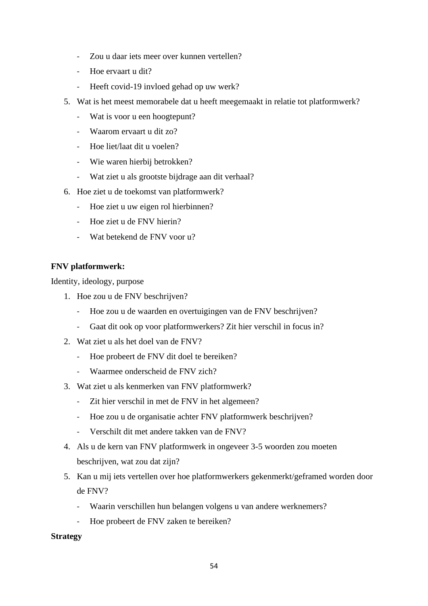- Zou u daar iets meer over kunnen vertellen?
- Hoe ervaart u dit?
- Heeft covid-19 invloed gehad op uw werk?
- 5. Wat is het meest memorabele dat u heeft meegemaakt in relatie tot platformwerk?
	- Wat is voor u een hoogtepunt?
	- Waarom ervaart u dit zo?
	- Hoe liet/laat dit u voelen?
	- Wie waren hierbij betrokken?
	- Wat ziet u als grootste bijdrage aan dit verhaal?
- 6. Hoe ziet u de toekomst van platformwerk?
	- Hoe ziet u uw eigen rol hierbinnen?
	- Hoe ziet u de FNV hierin?
	- Wat betekend de FNV voor u?

# **FNV platformwerk:**

Identity, ideology, purpose

- 1. Hoe zou u de FNV beschrijven?
	- Hoe zou u de waarden en overtuigingen van de FNV beschrijven?
	- Gaat dit ook op voor platformwerkers? Zit hier verschil in focus in?
- 2. Wat ziet u als het doel van de FNV?
	- Hoe probeert de FNV dit doel te bereiken?
	- Waarmee onderscheid de FNV zich?
- 3. Wat ziet u als kenmerken van FNV platformwerk?
	- Zit hier verschil in met de FNV in het algemeen?
	- Hoe zou u de organisatie achter FNV platformwerk beschrijven?
	- Verschilt dit met andere takken van de FNV?
- 4. Als u de kern van FNV platformwerk in ongeveer 3-5 woorden zou moeten beschrijven, wat zou dat zijn?
- 5. Kan u mij iets vertellen over hoe platformwerkers gekenmerkt/geframed worden door de FNV?
	- Waarin verschillen hun belangen volgens u van andere werknemers?
	- Hoe probeert de FNV zaken te bereiken?

### **Strategy**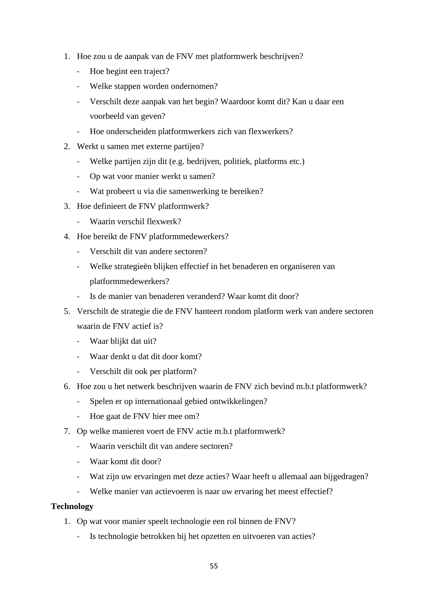- 1. Hoe zou u de aanpak van de FNV met platformwerk beschrijven?
	- Hoe begint een traject?
	- Welke stappen worden ondernomen?
	- Verschilt deze aanpak van het begin? Waardoor komt dit? Kan u daar een voorbeeld van geven?
	- Hoe onderscheiden platformwerkers zich van flexwerkers?
- 2. Werkt u samen met externe partijen?
	- Welke partijen zijn dit (e.g. bedrijven, politiek, platforms etc.)
	- Op wat voor manier werkt u samen?
	- Wat probeert u via die samenwerking te bereiken?
- 3. Hoe definieert de FNV platformwerk?
	- Waarin verschil flexwerk?
- 4. Hoe bereikt de FNV platformmedewerkers?
	- Verschilt dit van andere sectoren?
	- Welke strategieën blijken effectief in het benaderen en organiseren van platformmedewerkers?
	- Is de manier van benaderen veranderd? Waar komt dit door?
- 5. Verschilt de strategie die de FNV hanteert rondom platform werk van andere sectoren waarin de FNV actief is?
	- Waar blijkt dat uit?
	- Waar denkt u dat dit door komt?
	- Verschilt dit ook per platform?
- 6. Hoe zou u het netwerk beschrijven waarin de FNV zich bevind m.b.t platformwerk?
	- Spelen er op internationaal gebied ontwikkelingen?
	- Hoe gaat de FNV hier mee om?
- 7. Op welke manieren voert de FNV actie m.b.t platformwerk?
	- Waarin verschilt dit van andere sectoren?
	- Waar komt dit door?
	- Wat zijn uw ervaringen met deze acties? Waar heeft u allemaal aan bijgedragen?
	- Welke manier van actievoeren is naar uw ervaring het meest effectief?

### **Technology**

- 1. Op wat voor manier speelt technologie een rol binnen de FNV?
	- Is technologie betrokken bij het opzetten en uitvoeren van acties?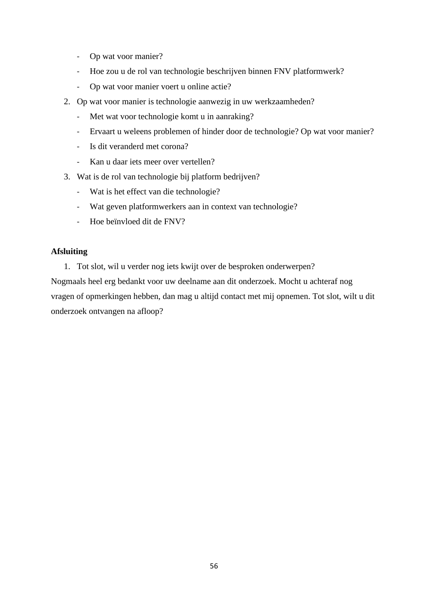- Op wat voor manier?
- Hoe zou u de rol van technologie beschrijven binnen FNV platformwerk?
- Op wat voor manier voert u online actie?
- 2. Op wat voor manier is technologie aanwezig in uw werkzaamheden?
	- Met wat voor technologie komt u in aanraking?
	- Ervaart u weleens problemen of hinder door de technologie? Op wat voor manier?
	- Is dit veranderd met corona?
	- Kan u daar iets meer over vertellen?
- 3. Wat is de rol van technologie bij platform bedrijven?
	- Wat is het effect van die technologie?
	- Wat geven platformwerkers aan in context van technologie?
	- Hoe beïnvloed dit de FNV?

### **Afsluiting**

1. Tot slot, wil u verder nog iets kwijt over de besproken onderwerpen?

Nogmaals heel erg bedankt voor uw deelname aan dit onderzoek. Mocht u achteraf nog vragen of opmerkingen hebben, dan mag u altijd contact met mij opnemen. Tot slot, wilt u dit onderzoek ontvangen na afloop?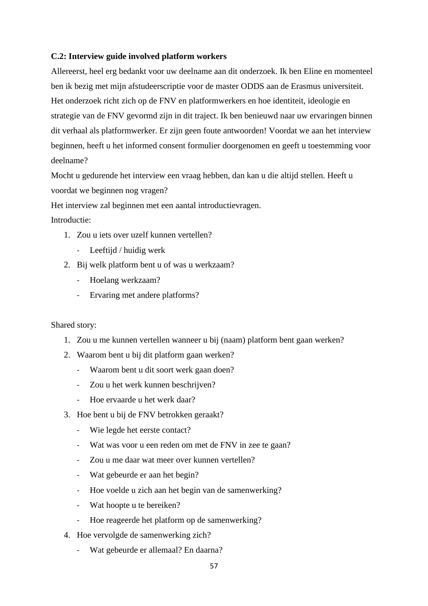# **C.2: Interview guide involved platform workers**

Allereerst, heel erg bedankt voor uw deelname aan dit onderzoek. Ik ben Eline en momenteel ben ik bezig met mijn afstudeerscriptie voor de master ODDS aan de Erasmus universiteit. Het onderzoek richt zich op de FNV en platformwerkers en hoe identiteit, ideologie en strategie van de FNV gevormd zijn in dit traject. Ik ben benieuwd naar uw ervaringen binnen dit verhaal als platformwerker. Er zijn geen foute antwoorden! Voordat we aan het interview beginnen, heeft u het informed consent formulier doorgenomen en geeft u toestemming voor deelname?

Mocht u gedurende het interview een vraag hebben, dan kan u die altijd stellen. Heeft u voordat we beginnen nog vragen?

Het interview zal beginnen met een aantal introductievragen.

Introductie:

- 1. Zou u iets over uzelf kunnen vertellen?
	- Leeftijd / huidig werk
- 2. Bij welk platform bent u of was u werkzaam?
	- Hoelang werkzaam?
	- Ervaring met andere platforms?

### Shared story:

- 1. Zou u me kunnen vertellen wanneer u bij (naam) platform bent gaan werken?
- 2. Waarom bent u bij dit platform gaan werken?
	- Waarom bent u dit soort werk gaan doen?
	- Zou u het werk kunnen beschrijven?
	- Hoe ervaarde u het werk daar?
- 3. Hoe bent u bij de FNV betrokken geraakt?
	- Wie legde het eerste contact?
	- Wat was voor u een reden om met de FNV in zee te gaan?
	- Zou u me daar wat meer over kunnen vertellen?
	- Wat gebeurde er aan het begin?
	- Hoe voelde u zich aan het begin van de samenwerking?
	- Wat hoopte u te bereiken?
	- Hoe reageerde het platform op de samenwerking?
- 4. Hoe vervolgde de samenwerking zich?
	- Wat gebeurde er allemaal? En daarna?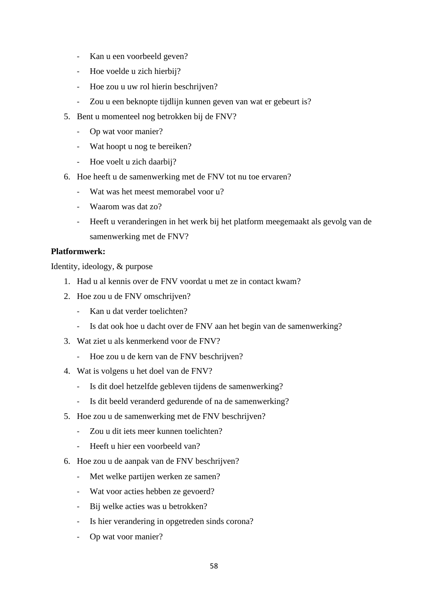- Kan u een voorbeeld geven?
- Hoe voelde u zich hierbij?
- Hoe zou u uw rol hierin beschrijven?
- Zou u een beknopte tijdlijn kunnen geven van wat er gebeurt is?
- 5. Bent u momenteel nog betrokken bij de FNV?
	- Op wat voor manier?
	- Wat hoopt u nog te bereiken?
	- Hoe voelt u zich daarbij?
- 6. Hoe heeft u de samenwerking met de FNV tot nu toe ervaren?
	- Wat was het meest memorabel voor u?
	- Waarom was dat zo?
	- Heeft u veranderingen in het werk bij het platform meegemaakt als gevolg van de samenwerking met de FNV?

### **Platformwerk:**

Identity, ideology, & purpose

- 1. Had u al kennis over de FNV voordat u met ze in contact kwam?
- 2. Hoe zou u de FNV omschrijven?
	- Kan u dat verder toelichten?
	- Is dat ook hoe u dacht over de FNV aan het begin van de samenwerking?
- 3. Wat ziet u als kenmerkend voor de FNV?
	- Hoe zou u de kern van de FNV beschrijven?
- 4. Wat is volgens u het doel van de FNV?
	- Is dit doel hetzelfde gebleven tijdens de samenwerking?
	- Is dit beeld veranderd gedurende of na de samenwerking?
- 5. Hoe zou u de samenwerking met de FNV beschrijven?
	- Zou u dit iets meer kunnen toelichten?
	- Heeft u hier een voorbeeld van?
- 6. Hoe zou u de aanpak van de FNV beschrijven?
	- Met welke partijen werken ze samen?
	- Wat voor acties hebben ze gevoerd?
	- Bij welke acties was u betrokken?
	- Is hier verandering in opgetreden sinds corona?
	- Op wat voor manier?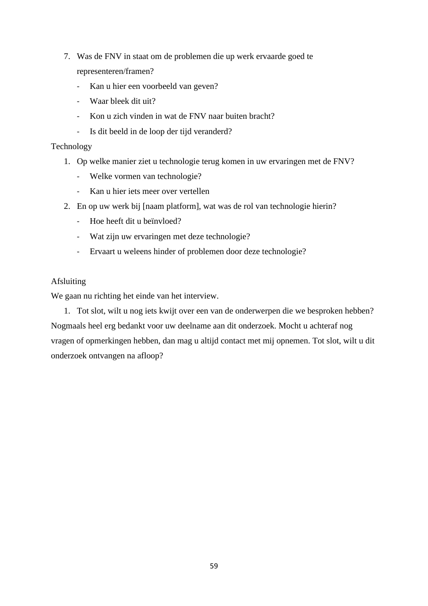- 7. Was de FNV in staat om de problemen die up werk ervaarde goed te representeren/framen?
	- Kan u hier een voorbeeld van geven?
	- Waar bleek dit uit?
	- Kon u zich vinden in wat de FNV naar buiten bracht?
	- Is dit beeld in de loop der tijd veranderd?

# Technology

- 1. Op welke manier ziet u technologie terug komen in uw ervaringen met de FNV?
	- Welke vormen van technologie?
	- Kan u hier iets meer over vertellen
- 2. En op uw werk bij [naam platform], wat was de rol van technologie hierin?
	- Hoe heeft dit u beïnvloed?
	- Wat zijn uw ervaringen met deze technologie?
	- Ervaart u weleens hinder of problemen door deze technologie?

# Afsluiting

We gaan nu richting het einde van het interview.

1. Tot slot, wilt u nog iets kwijt over een van de onderwerpen die we besproken hebben? Nogmaals heel erg bedankt voor uw deelname aan dit onderzoek. Mocht u achteraf nog vragen of opmerkingen hebben, dan mag u altijd contact met mij opnemen. Tot slot, wilt u dit onderzoek ontvangen na afloop?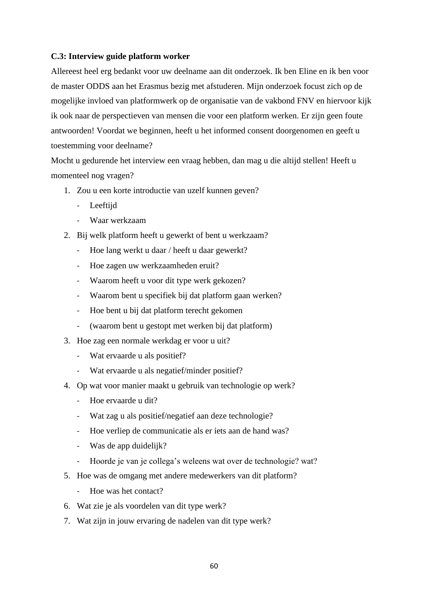#### **C.3: Interview guide platform worker**

Allereest heel erg bedankt voor uw deelname aan dit onderzoek. Ik ben Eline en ik ben voor de master ODDS aan het Erasmus bezig met afstuderen. Mijn onderzoek focust zich op de mogelijke invloed van platformwerk op de organisatie van de vakbond FNV en hiervoor kijk ik ook naar de perspectieven van mensen die voor een platform werken. Er zijn geen foute antwoorden! Voordat we beginnen, heeft u het informed consent doorgenomen en geeft u toestemming voor deelname?

Mocht u gedurende het interview een vraag hebben, dan mag u die altijd stellen! Heeft u momenteel nog vragen?

- 1. Zou u een korte introductie van uzelf kunnen geven?
	- Leeftijd
	- Waar werkzaam
- 2. Bij welk platform heeft u gewerkt of bent u werkzaam?
	- Hoe lang werkt u daar / heeft u daar gewerkt?
	- Hoe zagen uw werkzaamheden eruit?
	- Waarom heeft u voor dit type werk gekozen?
	- Waarom bent u specifiek bij dat platform gaan werken?
	- Hoe bent u bij dat platform terecht gekomen
	- (waarom bent u gestopt met werken bij dat platform)
- 3. Hoe zag een normale werkdag er voor u uit?
	- Wat ervaarde u als positief?
	- Wat ervaarde u als negatief/minder positief?
- 4. Op wat voor manier maakt u gebruik van technologie op werk?
	- Hoe ervaarde u dit?
	- Wat zag u als positief/negatief aan deze technologie?
	- Hoe verliep de communicatie als er iets aan de hand was?
	- Was de app duidelijk?
	- Hoorde je van je collega's weleens wat over de technologie? wat?
- 5. Hoe was de omgang met andere medewerkers van dit platform?
	- Hoe was het contact?
- 6. Wat zie je als voordelen van dit type werk?
- 7. Wat zijn in jouw ervaring de nadelen van dit type werk?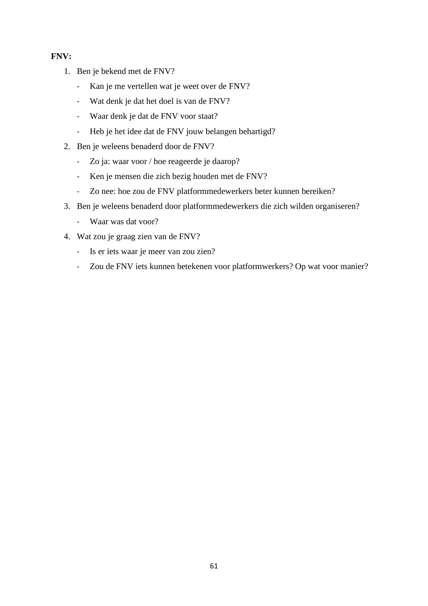# **FNV:**

- 1. Ben je bekend met de FNV?
	- Kan je me vertellen wat je weet over de FNV?
	- Wat denk je dat het doel is van de FNV?
	- Waar denk je dat de FNV voor staat?
	- Heb je het idee dat de FNV jouw belangen behartigd?
- 2. Ben je weleens benaderd door de FNV?
	- Zo ja: waar voor / hoe reageerde je daarop?
	- Ken je mensen die zich bezig houden met de FNV?
	- Zo nee: hoe zou de FNV platformmedewerkers beter kunnen bereiken?
- 3. Ben je weleens benaderd door platformmedewerkers die zich wilden organiseren?
	- Waar was dat voor?
- 4. Wat zou je graag zien van de FNV?
	- Is er iets waar je meer van zou zien?
	- Zou de FNV iets kunnen betekenen voor platformwerkers? Op wat voor manier?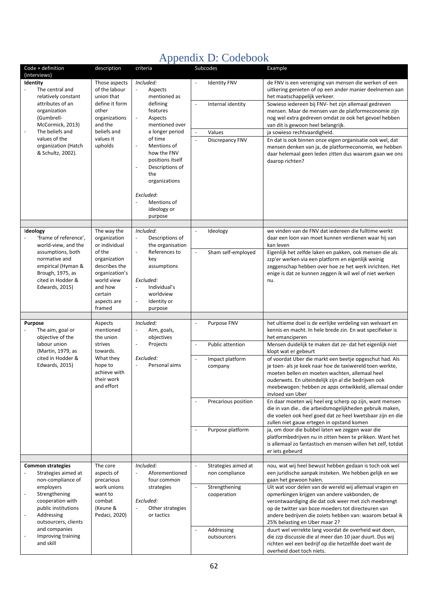# Appendix D: Codebook

| Identity<br>Those aspects<br>Included:<br><b>Identity FNV</b><br>de FNV is een vereniging van mensen die werken of een<br>$\overline{\phantom{a}}$<br>The central and<br>of the labour<br>uitkering genieten of op een ander manier deelnemen aan<br>Aspects<br>$\overline{\phantom{a}}$<br>relatively constant<br>union that<br>mentioned as<br>het maatschappelijk verkeer.<br>attributes of an<br>define it form<br>defining<br>$\Box$<br>Internal identity<br>Sowieso iedereen bij FNV- het zijn allemaal gedreven<br>organization<br>other<br>features<br>mensen. Maar de mensen van de platformeconomie zijn<br>(Gumbrell-<br>organizations<br>Aspects<br>$\overline{\phantom{a}}$<br>nog wel extra gedreven omdat ze ook het gevoel hebben<br>and the<br>McCormick, 2013)<br>mentioned over<br>van dit is gewoon heel belangrijk.<br>The beliefs and<br>beliefs and<br>a longer period<br>$\overline{\phantom{a}}$<br>Values<br>ja sowieso rechtvaardigheid.<br>$\overline{\phantom{a}}$<br>values of the<br>values it<br>of time<br>En dat is ook binnen onze eigen organisatie ook wel, dat<br>Discrepancy FNV<br>organization (Hatch<br>upholds<br>Mentions of<br>$\overline{a}$<br>mensen denken van ja, de platformeconomie, we hebben<br>& Schultz, 2002).<br>how the FNV<br>daar helemaal geen leden zitten dus waarom gaan we ons<br>positions itself<br>daarop richten?<br>Descriptions of<br>$\overline{a}$<br>the<br>organizations<br>Excluded:<br>Mentions of<br>ideology or<br>purpose<br>The way the<br>Included:<br>we vinden van de FNV dat iedereen die fulltime werkt<br>Ideology<br>Ideology<br>$\overline{\phantom{a}}$<br>'frame of reference',<br>Descriptions of<br>organization<br>daar een loon van moet kunnen verdienen waar hij van<br>world-view, and the<br>or individual<br>the organisation<br>kan leven<br>assumptions, both<br>of the<br>References to<br>Sham self-employed<br>Eigenlijk het zelfde laken en pakken, ook mensen die als<br>$\overline{\phantom{a}}$<br>normative and<br>organization<br>key<br>zzp'er werken via een platform en eigenlijk weinig<br>describes the<br>empirical (Hyman &<br>assumptions<br>zeggenschap hebben over hoe ze het werk inrichten. Het<br>Brough, 1975, as<br>organization's<br>enige is dat ze kunnen zeggen ik wil wel of niet werken<br>cited in Hodder &<br>world view<br>Excluded:<br>nu.<br>and how<br>Individual's<br>Edwards, 2015)<br>$\overline{\phantom{a}}$<br>worldview<br>certain<br>aspects are<br>Identity or<br>$\overline{\phantom{a}}$<br>framed<br>purpose<br>het ultieme doel is de eerlijke verdeling van welvaart en<br>Purpose FNV<br>Aspects<br>Included:<br>Purpose<br>$\overline{\phantom{a}}$<br>mentioned<br>kennis en macht. In hele brede zin. En wat specifieker is<br>The aim, goal or<br>Aim, goals,<br>$\overline{\phantom{a}}$<br>objective of the<br>the union<br>objectives<br>het emanciperen<br>labour union<br><b>Public attention</b><br>Mensen duidelijk te maken dat ze- dat het eigenlijk niet<br>strives<br>Projects<br>$\overline{\phantom{a}}$<br>$\overline{a}$<br>(Martin, 1979, as<br>towards.<br>klopt wat er gebeurt<br>cited in Hodder &<br>Excluded:<br>What they<br>of voordat Uber die markt een beetje opgeschut had. Als<br>Impact platform<br>$\blacksquare$<br>Personal aims<br>Edwards, 2015)<br>hope to<br>je toen- als je keek naar hoe de taxiwereld toen werkte,<br>company<br>achieve with<br>moeten bellen en moeten wachten, allemaal heel<br>their work<br>ouderwets. En uiteindelijk zijn al die bedrijven ook<br>and effort<br>meebewogen: hebben ze apps ontwikkeld, allemaal onder<br>invloed van Uber<br>En daar moeten wij heel erg scherp op zijn, want mensen<br>Precarious position<br>die in van die die arbeidsmogelijkheden gebruik maken,<br>die voelen ook heel goed dat ze heel kwetsbaar zijn en die<br>zullen niet gauw ertegen in opstand komen<br>Purpose platform<br>ja, om door die bubbel laten we zeggen waar die<br>$\overline{\phantom{a}}$<br>platformbedrijven nu in zitten heen te prikken. Want het<br>is allemaal zo fantastisch en mensen willen het zelf, totdat<br>er iets gebeurd<br><b>Common strategies</b><br>The core<br>Included:<br>Strategies aimed at<br>nou, wat wij heel bewust hebben gedaan is toch ook wel<br>$\overline{\phantom{a}}$<br>aspects of<br>Aforementioned<br>een juridische aanpak insteken. We hebben gelijk en we<br>Strategies aimed at<br>non compliance<br>non-compliance of<br>precarious<br>four common<br>gaan het gewoon halen.<br>work unions<br>Uit wat voor delen van de wereld wij allemaal vragen en<br>employers<br>Strengthening<br>strategies<br>$\overline{\phantom{a}}$<br>Strengthening<br>want to<br>opmerkingen krijgen van andere vakbonden, de<br>cooperation<br>combat<br>Excluded:<br>cooperation with<br>verontwaardiging die dat ook weer met zich meebrengt<br>public institutions<br>(Keune &<br>Other strategies<br>op de twitter van boze moeders tot directeuren van<br>$\overline{\phantom{a}}$<br>Pedaci, 2020)<br>Addressing<br>or tactics<br>andere bedrijven die zoiets hebben van: waarom betaal ik<br>outsourcers, clients<br>25% belasting en Uber maar 2?<br>and companies<br>duurt wel verrekte lang voordat de overheid wat doen,<br>Addressing<br>Improving training<br>die zzp discussie die al meer dan 10 jaar duurt. Dus wij<br>outsourcers | Code + definition | description | criteria | Subcodes | Example |
|---------------------------------------------------------------------------------------------------------------------------------------------------------------------------------------------------------------------------------------------------------------------------------------------------------------------------------------------------------------------------------------------------------------------------------------------------------------------------------------------------------------------------------------------------------------------------------------------------------------------------------------------------------------------------------------------------------------------------------------------------------------------------------------------------------------------------------------------------------------------------------------------------------------------------------------------------------------------------------------------------------------------------------------------------------------------------------------------------------------------------------------------------------------------------------------------------------------------------------------------------------------------------------------------------------------------------------------------------------------------------------------------------------------------------------------------------------------------------------------------------------------------------------------------------------------------------------------------------------------------------------------------------------------------------------------------------------------------------------------------------------------------------------------------------------------------------------------------------------------------------------------------------------------------------------------------------------------------------------------------------------------------------------------------------------------------------------------------------------------------------------------------------------------------------------------------------------------------------------------------------------------------------------------------------------------------------------------------------------------------------------------------------------------------------------------------------------------------------------------------------------------------------------------------------------------------------------------------------------------------------------------------------------------------------------------------------------------------------------------------------------------------------------------------------------------------------------------------------------------------------------------------------------------------------------------------------------------------------------------------------------------------------------------------------------------------------------------------------------------------------------------------------------------------------------------------------------------------------------------------------------------------------------------------------------------------------------------------------------------------------------------------------------------------------------------------------------------------------------------------------------------------------------------------------------------------------------------------------------------------------------------------------------------------------------------------------------------------------------------------------------------------------------------------------------------------------------------------------------------------------------------------------------------------------------------------------------------------------------------------------------------------------------------------------------------------------------------------------------------------------------------------------------------------------------------------------------------------------------------------------------------------------------------------------------------------------------------------------------------------------------------------------------------------------------------------------------------------------------------------------------------------------------------------------------------------------------------------------------------------------------------------------------------------------------------------------------------------------------------------------------------------------------------------------------------------------------------------------------------------------------------------------------------------------------------------------------------------------------------------------------------------------------------------------------------------------------------------------------------------------------------------------------------------------------------------------------------------------------------------------------------------------------------------------------------------------------------------------------------------------------------------------------------------|-------------------|-------------|----------|----------|---------|
|                                                                                                                                                                                                                                                                                                                                                                                                                                                                                                                                                                                                                                                                                                                                                                                                                                                                                                                                                                                                                                                                                                                                                                                                                                                                                                                                                                                                                                                                                                                                                                                                                                                                                                                                                                                                                                                                                                                                                                                                                                                                                                                                                                                                                                                                                                                                                                                                                                                                                                                                                                                                                                                                                                                                                                                                                                                                                                                                                                                                                                                                                                                                                                                                                                                                                                                                                                                                                                                                                                                                                                                                                                                                                                                                                                                                                                                                                                                                                                                                                                                                                                                                                                                                                                                                                                                                                                                                                                                                                                                                                                                                                                                                                                                                                                                                                                                                                                                                                                                                                                                                                                                                                                                                                                                                                                                                                                                                                     | (interviews)      |             |          |          |         |
|                                                                                                                                                                                                                                                                                                                                                                                                                                                                                                                                                                                                                                                                                                                                                                                                                                                                                                                                                                                                                                                                                                                                                                                                                                                                                                                                                                                                                                                                                                                                                                                                                                                                                                                                                                                                                                                                                                                                                                                                                                                                                                                                                                                                                                                                                                                                                                                                                                                                                                                                                                                                                                                                                                                                                                                                                                                                                                                                                                                                                                                                                                                                                                                                                                                                                                                                                                                                                                                                                                                                                                                                                                                                                                                                                                                                                                                                                                                                                                                                                                                                                                                                                                                                                                                                                                                                                                                                                                                                                                                                                                                                                                                                                                                                                                                                                                                                                                                                                                                                                                                                                                                                                                                                                                                                                                                                                                                                                     |                   |             |          |          |         |
|                                                                                                                                                                                                                                                                                                                                                                                                                                                                                                                                                                                                                                                                                                                                                                                                                                                                                                                                                                                                                                                                                                                                                                                                                                                                                                                                                                                                                                                                                                                                                                                                                                                                                                                                                                                                                                                                                                                                                                                                                                                                                                                                                                                                                                                                                                                                                                                                                                                                                                                                                                                                                                                                                                                                                                                                                                                                                                                                                                                                                                                                                                                                                                                                                                                                                                                                                                                                                                                                                                                                                                                                                                                                                                                                                                                                                                                                                                                                                                                                                                                                                                                                                                                                                                                                                                                                                                                                                                                                                                                                                                                                                                                                                                                                                                                                                                                                                                                                                                                                                                                                                                                                                                                                                                                                                                                                                                                                                     |                   |             |          |          |         |
|                                                                                                                                                                                                                                                                                                                                                                                                                                                                                                                                                                                                                                                                                                                                                                                                                                                                                                                                                                                                                                                                                                                                                                                                                                                                                                                                                                                                                                                                                                                                                                                                                                                                                                                                                                                                                                                                                                                                                                                                                                                                                                                                                                                                                                                                                                                                                                                                                                                                                                                                                                                                                                                                                                                                                                                                                                                                                                                                                                                                                                                                                                                                                                                                                                                                                                                                                                                                                                                                                                                                                                                                                                                                                                                                                                                                                                                                                                                                                                                                                                                                                                                                                                                                                                                                                                                                                                                                                                                                                                                                                                                                                                                                                                                                                                                                                                                                                                                                                                                                                                                                                                                                                                                                                                                                                                                                                                                                                     |                   |             |          |          |         |
|                                                                                                                                                                                                                                                                                                                                                                                                                                                                                                                                                                                                                                                                                                                                                                                                                                                                                                                                                                                                                                                                                                                                                                                                                                                                                                                                                                                                                                                                                                                                                                                                                                                                                                                                                                                                                                                                                                                                                                                                                                                                                                                                                                                                                                                                                                                                                                                                                                                                                                                                                                                                                                                                                                                                                                                                                                                                                                                                                                                                                                                                                                                                                                                                                                                                                                                                                                                                                                                                                                                                                                                                                                                                                                                                                                                                                                                                                                                                                                                                                                                                                                                                                                                                                                                                                                                                                                                                                                                                                                                                                                                                                                                                                                                                                                                                                                                                                                                                                                                                                                                                                                                                                                                                                                                                                                                                                                                                                     |                   |             |          |          |         |
|                                                                                                                                                                                                                                                                                                                                                                                                                                                                                                                                                                                                                                                                                                                                                                                                                                                                                                                                                                                                                                                                                                                                                                                                                                                                                                                                                                                                                                                                                                                                                                                                                                                                                                                                                                                                                                                                                                                                                                                                                                                                                                                                                                                                                                                                                                                                                                                                                                                                                                                                                                                                                                                                                                                                                                                                                                                                                                                                                                                                                                                                                                                                                                                                                                                                                                                                                                                                                                                                                                                                                                                                                                                                                                                                                                                                                                                                                                                                                                                                                                                                                                                                                                                                                                                                                                                                                                                                                                                                                                                                                                                                                                                                                                                                                                                                                                                                                                                                                                                                                                                                                                                                                                                                                                                                                                                                                                                                                     |                   |             |          |          |         |
|                                                                                                                                                                                                                                                                                                                                                                                                                                                                                                                                                                                                                                                                                                                                                                                                                                                                                                                                                                                                                                                                                                                                                                                                                                                                                                                                                                                                                                                                                                                                                                                                                                                                                                                                                                                                                                                                                                                                                                                                                                                                                                                                                                                                                                                                                                                                                                                                                                                                                                                                                                                                                                                                                                                                                                                                                                                                                                                                                                                                                                                                                                                                                                                                                                                                                                                                                                                                                                                                                                                                                                                                                                                                                                                                                                                                                                                                                                                                                                                                                                                                                                                                                                                                                                                                                                                                                                                                                                                                                                                                                                                                                                                                                                                                                                                                                                                                                                                                                                                                                                                                                                                                                                                                                                                                                                                                                                                                                     |                   |             |          |          |         |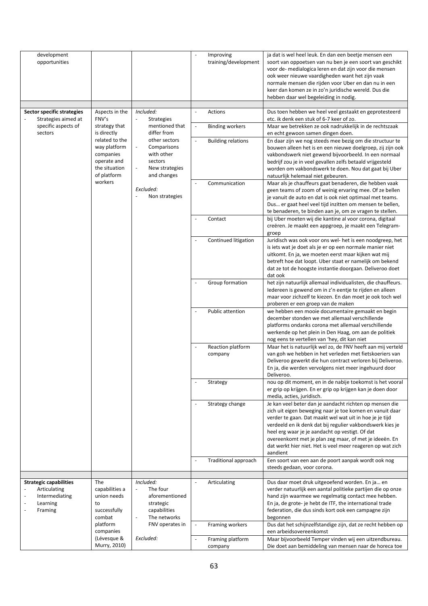| development<br>opportunities                                                           |                                                                                                                                                                                      |                                                                                      | Improving<br>$\overline{\phantom{a}}$<br>training/development                                                                                                                                                                                                                                                                               | ja dat is wel heel leuk. En dan een beetje mensen een<br>soort van oppoetsen van nu ben je een soort van geschikt<br>voor de- medialogica leren en dat zijn voor die mensen<br>ook weer nieuwe vaardigheden want het zijn vaak<br>normale mensen die rijden voor Uber en dan nu in een<br>keer dan komen ze in zo'n juridische wereld. Dus die<br>hebben daar wel begeleiding in nodig.                                            |
|----------------------------------------------------------------------------------------|--------------------------------------------------------------------------------------------------------------------------------------------------------------------------------------|--------------------------------------------------------------------------------------|---------------------------------------------------------------------------------------------------------------------------------------------------------------------------------------------------------------------------------------------------------------------------------------------------------------------------------------------|------------------------------------------------------------------------------------------------------------------------------------------------------------------------------------------------------------------------------------------------------------------------------------------------------------------------------------------------------------------------------------------------------------------------------------|
|                                                                                        |                                                                                                                                                                                      |                                                                                      |                                                                                                                                                                                                                                                                                                                                             |                                                                                                                                                                                                                                                                                                                                                                                                                                    |
| Sector specific strategies<br>Strategies aimed at                                      | Aspects in the<br>FNV's                                                                                                                                                              | Included:<br><b>Strategies</b>                                                       | Actions<br>$\overline{\phantom{a}}$                                                                                                                                                                                                                                                                                                         | Dus toen hebben we heel veel gestaakt en geprotesteerd<br>etc. ik denk een stuk of 6-7 keer of zo.                                                                                                                                                                                                                                                                                                                                 |
| specific aspects of                                                                    | strategy that                                                                                                                                                                        | mentioned that                                                                       | <b>Binding workers</b><br>$\overline{\phantom{a}}$                                                                                                                                                                                                                                                                                          | Maar we betrekken ze ook nadrukkelijk in de rechtszaak                                                                                                                                                                                                                                                                                                                                                                             |
| sectors                                                                                | is directly                                                                                                                                                                          | differ from                                                                          |                                                                                                                                                                                                                                                                                                                                             | en echt gewoon samen dingen doen.                                                                                                                                                                                                                                                                                                                                                                                                  |
|                                                                                        | related to the<br>other sectors<br>way platform<br>Comparisons<br>companies<br>with other<br>operate and<br>sectors<br>the situation<br>New strategies<br>of platform<br>and changes | <b>Building relations</b><br>$\overline{\phantom{a}}$                                | En daar zijn we nog steeds mee bezig om die structuur te<br>bouwen alleen het is en een nieuwe doelgroep, zij zijn ook<br>vakbondswerk niet gewend bijvoorbeeld. In een normaal<br>bedrijf zou je in veel gevallen zelfs betaald vrijgesteld<br>worden om vakbondswerk te doen. Nou dat gaat bij Uber<br>natuurlijk helemaal niet gebeuren. |                                                                                                                                                                                                                                                                                                                                                                                                                                    |
|                                                                                        | workers                                                                                                                                                                              | Excluded:<br>Non strategies                                                          | Communication<br>$\overline{\phantom{a}}$                                                                                                                                                                                                                                                                                                   | Maar als je chauffeurs gaat benaderen, die hebben vaak<br>geen teams of zoom of weinig ervaring mee. Of ze bellen<br>je vanuit de auto en dat is ook niet optimaal met teams.<br>Dus er gaat heel veel tijd inzitten om mensen te bellen,<br>te benaderen, te binden aan je, om ze vragen te stellen.                                                                                                                              |
|                                                                                        |                                                                                                                                                                                      |                                                                                      | Contact<br>$\overline{\phantom{a}}$                                                                                                                                                                                                                                                                                                         | bij Uber moeten wij die kantine al voor corona, digitaal<br>creëren. Je maakt een appgroep, je maakt een Telegram-<br>groep                                                                                                                                                                                                                                                                                                        |
|                                                                                        |                                                                                                                                                                                      |                                                                                      | Continued litigation<br>$\overline{\phantom{a}}$                                                                                                                                                                                                                                                                                            | Juridisch was ook voor ons wel- het is een noodgreep, het<br>is iets wat je doet als je er op een normale manier niet<br>uitkomt. En ja, we moeten eerst maar kijken wat mij<br>betreft hoe dat loopt. Uber staat er namelijk om bekend<br>dat ze tot de hoogste instantie doorgaan. Deliveroo doet<br>dat ook                                                                                                                     |
|                                                                                        |                                                                                                                                                                                      |                                                                                      | Group formation<br>$\overline{\phantom{a}}$                                                                                                                                                                                                                                                                                                 | het zijn natuurlijk allemaal individualisten, die chauffeurs.<br>ledereen is gewend om in z'n eentje te rijden en alleen<br>maar voor zichzelf te kiezen. En dan moet je ook toch wel<br>proberen er een groep van de maken                                                                                                                                                                                                        |
|                                                                                        |                                                                                                                                                                                      |                                                                                      | Public attention<br>$\blacksquare$                                                                                                                                                                                                                                                                                                          | we hebben een mooie documentaire gemaakt en begin<br>december stonden we met allemaal verschillende<br>platforms ondanks corona met allemaal verschillende<br>werkende op het plein in Den Haag, om aan de politiek<br>nog eens te vertellen van 'hey, dit kan niet                                                                                                                                                                |
|                                                                                        |                                                                                                                                                                                      |                                                                                      | Reaction platform<br>company                                                                                                                                                                                                                                                                                                                | Maar het is natuurlijk wel zo, de FNV heeft aan mij verteld<br>van goh we hebben in het verleden met fietskoeriers van<br>Deliveroo gewerkt die hun contract verloren bij Deliveroo.<br>En ja, die werden vervolgens niet meer ingehuurd door<br>Deliveroo.                                                                                                                                                                        |
|                                                                                        |                                                                                                                                                                                      |                                                                                      | Strategy                                                                                                                                                                                                                                                                                                                                    | nou op dit moment, en in de nabije toekomst is het vooral<br>er grip op krijgen. En er grip op krijgen kan je doen door<br>media, acties, juridisch.                                                                                                                                                                                                                                                                               |
|                                                                                        |                                                                                                                                                                                      |                                                                                      | Strategy change<br>$\blacksquare$                                                                                                                                                                                                                                                                                                           | Je kan veel beter dan je aandacht richten op mensen die<br>zich uit eigen beweging naar je toe komen en vanuit daar<br>verder te gaan. Dat maakt wel wat uit in hoe je je tijd<br>verdeeld en ik denk dat bij regulier vakbondswerk kies je<br>heel erg waar je je aandacht op vestigt. Of dat<br>overeenkomt met je plan zeg maar, of met je ideeën. En<br>dat werkt hier niet. Het is veel meer reageren op wat zich<br>aandient |
|                                                                                        |                                                                                                                                                                                      |                                                                                      | <b>Traditional approach</b><br>$\overline{\phantom{a}}$                                                                                                                                                                                                                                                                                     | Een soort van een aan de poort aanpak wordt ook nog                                                                                                                                                                                                                                                                                                                                                                                |
|                                                                                        |                                                                                                                                                                                      |                                                                                      |                                                                                                                                                                                                                                                                                                                                             | steeds gedaan, voor corona.                                                                                                                                                                                                                                                                                                                                                                                                        |
| <b>Strategic capabilities</b><br>Articulating<br>Intermediating<br>Learning<br>Framing | The<br>capabilities a<br>union needs<br>to<br>successfully<br>combat                                                                                                                 | Included:<br>The four<br>aforementioned<br>strategic<br>capabilities<br>The networks | Articulating<br>$\overline{\phantom{a}}$                                                                                                                                                                                                                                                                                                    | Dus daar moet druk uitgeoefend worden. En ja en<br>verder natuurlijk een aantal politieke partijen die op onze<br>hand zijn waarmee we regelmatig contact mee hebben.<br>En ja, de grote- je hebt de ITF, the international trade<br>federation, die dus sinds kort ook een campagne zijn<br>begonnen                                                                                                                              |
|                                                                                        | platform<br>companies                                                                                                                                                                | FNV operates in                                                                      | Framing workers<br>$\overline{\phantom{a}}$                                                                                                                                                                                                                                                                                                 | Dus dat het schijnzelfstandige zijn, dat ze recht hebben op                                                                                                                                                                                                                                                                                                                                                                        |
|                                                                                        | (Lévesque &                                                                                                                                                                          | Excluded:                                                                            | Framing platform<br>$\blacksquare$                                                                                                                                                                                                                                                                                                          | een arbeidsovereenkomst<br>Maar bijvoorbeeld Temper vinden wij een uitzendbureau.                                                                                                                                                                                                                                                                                                                                                  |
|                                                                                        | Murry, 2010)                                                                                                                                                                         |                                                                                      | company                                                                                                                                                                                                                                                                                                                                     | Die doet aan bemiddeling van mensen naar de horeca toe                                                                                                                                                                                                                                                                                                                                                                             |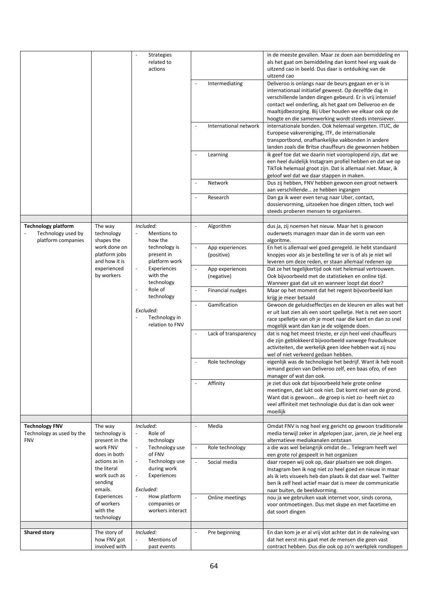|                                                                        |                                                                                                                                                             | <b>Strategies</b><br>related to<br>actions              | Intermediating<br>International network<br>Learning<br>Network<br>Research<br>$\overline{\phantom{a}}$                                                                                                                                                                       | in de meeste gevallen. Maar ze doen aan bemiddeling en<br>als het gaat om bemiddeling dan komt heel erg vaak de<br>uitzend cao in beeld. Dus daar is ontduiking van de<br>uitzend cao<br>Deliveroo is onlangs naar de beurs gegaan en er is in<br>internationaal initiatief geweest. Op dezelfde dag in<br>verschillende landen dingen gebeurd. Er is vrij intensief<br>contact wel onderling, als het gaat om Deliveroo en de<br>maaltijdbezorging. Bij Uber houden we elkaar ook op de<br>hoogte en die samenwerking wordt steeds intensiever.<br>internationale bonden. Ook helemaal vergeten. ITUC, de<br>Europese vakvereniging, ITF, de internationale<br>transportbond, onafhankelijke vakbonden in andere<br>landen zoals die Britse chauffeurs die gewonnen hebben<br>ik geef toe dat we daarin niet vooroplopend zijn, dat we<br>een heel duidelijk Instagram profiel hebben en dat we op<br>TikTok helemaal groot zijn. Dat is allemaal niet. Maar, ik<br>geloof wel dat we daar stappen in maken.<br>Dus zij hebben, FNV hebben gewoon een groot netwerk<br>aan verschillende ze hebben ingangen<br>Dan ga ik weer even terug naar Uber, contact, |
|------------------------------------------------------------------------|-------------------------------------------------------------------------------------------------------------------------------------------------------------|---------------------------------------------------------|------------------------------------------------------------------------------------------------------------------------------------------------------------------------------------------------------------------------------------------------------------------------------|---------------------------------------------------------------------------------------------------------------------------------------------------------------------------------------------------------------------------------------------------------------------------------------------------------------------------------------------------------------------------------------------------------------------------------------------------------------------------------------------------------------------------------------------------------------------------------------------------------------------------------------------------------------------------------------------------------------------------------------------------------------------------------------------------------------------------------------------------------------------------------------------------------------------------------------------------------------------------------------------------------------------------------------------------------------------------------------------------------------------------------------------------------------|
|                                                                        |                                                                                                                                                             |                                                         |                                                                                                                                                                                                                                                                              | dossiervorming, uitzoeken hoe dingen zitten, toch wel<br>steeds proberen mensen te organiseren.                                                                                                                                                                                                                                                                                                                                                                                                                                                                                                                                                                                                                                                                                                                                                                                                                                                                                                                                                                                                                                                               |
| <b>Technology platform</b><br>Technology used by<br>platform companies | The way<br>technology<br>shapes the                                                                                                                         | Included:<br>Mentions to<br>how the                     | Algorithm                                                                                                                                                                                                                                                                    | dus ja, zij noemen het nieuw. Maar het is gewoon<br>ouderwets managen maar dan in de vorm van een<br>algoritme.                                                                                                                                                                                                                                                                                                                                                                                                                                                                                                                                                                                                                                                                                                                                                                                                                                                                                                                                                                                                                                               |
|                                                                        | work done on<br>platform jobs<br>and how it is                                                                                                              | technology is<br>present in<br>platform work            | App experiences<br>(positive)                                                                                                                                                                                                                                                | En het is allemaal wel goed geregeld. Je hebt standaard<br>knopjes voor als je bestelling te ver is of als je niet wil<br>leveren om deze reden, er staan allemaal redenen op                                                                                                                                                                                                                                                                                                                                                                                                                                                                                                                                                                                                                                                                                                                                                                                                                                                                                                                                                                                 |
|                                                                        | experienced<br>by workers                                                                                                                                   | $\blacksquare$<br>Experiences<br>with the<br>technology | App experiences<br>(negative)                                                                                                                                                                                                                                                | Dat ze het tegelijkertijd ook niet helemaal vertrouwen.<br>Ook bijvoorbeeld met de statistieken en online tijd.<br>Wanneer gaat dat uit en wanneer loopt dat door?                                                                                                                                                                                                                                                                                                                                                                                                                                                                                                                                                                                                                                                                                                                                                                                                                                                                                                                                                                                            |
|                                                                        |                                                                                                                                                             | Role of<br>$\sim$<br>technology                         | <b>Financial nudges</b>                                                                                                                                                                                                                                                      | Maar op het moment dat het regent bijvoorbeeld kan<br>krijg je meer betaald                                                                                                                                                                                                                                                                                                                                                                                                                                                                                                                                                                                                                                                                                                                                                                                                                                                                                                                                                                                                                                                                                   |
|                                                                        |                                                                                                                                                             | Excluded:<br>Technology in<br>relation to FNV           | Gamification<br>$\overline{\phantom{a}}$                                                                                                                                                                                                                                     | Gewoon de geluidseffectjes en de kleuren en alles wat het<br>er uit laat zien als een soort spelletje. Het is net een soort<br>race spelletje van oh je moet naar die kant en dan zo snel<br>mogelijk want dan kan je de volgende doen.                                                                                                                                                                                                                                                                                                                                                                                                                                                                                                                                                                                                                                                                                                                                                                                                                                                                                                                       |
|                                                                        |                                                                                                                                                             |                                                         | Lack of transparency<br>$\overline{\phantom{a}}$                                                                                                                                                                                                                             | dat is nog het meest trieste, er zijn heel veel chauffeurs<br>die zijn geblokkeerd bijvoorbeeld vanwege frauduleuze<br>activiteiten, die werkelijk geen idee hebben wat zij nou<br>wel of niet verkeerd gedaan hebben.                                                                                                                                                                                                                                                                                                                                                                                                                                                                                                                                                                                                                                                                                                                                                                                                                                                                                                                                        |
|                                                                        |                                                                                                                                                             |                                                         | Role technology<br>$\blacksquare$                                                                                                                                                                                                                                            | eigenlijk was de technologie het bedrijf. Want ik heb nooit<br>iemand gezien van Deliveroo zelf, een baas ofzo, of een<br>manager of wat dan ook.                                                                                                                                                                                                                                                                                                                                                                                                                                                                                                                                                                                                                                                                                                                                                                                                                                                                                                                                                                                                             |
|                                                                        |                                                                                                                                                             |                                                         | Affinity                                                                                                                                                                                                                                                                     | je ziet dus ook dat bijvoorbeeld hele grote online<br>meetingen, dat lukt ook niet. Dat komt niet van de grond.<br>Want dat is gewoon de groep is niet zo- heeft niet zo<br>veel affiniteit met technologie dus dat is dan ook weer<br>moeilijk                                                                                                                                                                                                                                                                                                                                                                                                                                                                                                                                                                                                                                                                                                                                                                                                                                                                                                               |
| <b>Technology FNV</b><br>Technology as used by the<br><b>FNV</b>       | The way<br>technology is<br>present in the                                                                                                                  | Included:<br>Role of<br>technology                      | Media<br>$\overline{\phantom{a}}$                                                                                                                                                                                                                                            | Omdat FNV is nog heel erg gericht op gewoon traditionele<br>media terwijl zeker in afgelopen jaar, jaren, zie je heel erg<br>alternatieve mediakanalen ontstaan                                                                                                                                                                                                                                                                                                                                                                                                                                                                                                                                                                                                                                                                                                                                                                                                                                                                                                                                                                                               |
|                                                                        | work FNV<br>does in both                                                                                                                                    | Technology use<br>of FNV                                | Role technology<br>$\overline{\phantom{a}}$                                                                                                                                                                                                                                  | a die was wel belangrijk omdat de Telegram heeft wel<br>een grote rol gespeelt in het organizen                                                                                                                                                                                                                                                                                                                                                                                                                                                                                                                                                                                                                                                                                                                                                                                                                                                                                                                                                                                                                                                               |
|                                                                        | actions as in<br>Technology use<br>during work<br>the literal<br>work such as<br>Experiences<br>$\overline{\phantom{a}}$<br>sending<br>emails.<br>Excluded: | $\omega_{\rm c}$<br>Social media                        | daar roepen wij ook op, daar plaatsen we ook dingen.<br>Instagram ben ik nog niet zo heel goed en nieuw in maar<br>als ik iets visueels heb dan plaats ik dat daar wel. Twitter<br>ben ik zelf heel actief maar dat is meer de communicatie<br>naar buiten, de beeldvorming. |                                                                                                                                                                                                                                                                                                                                                                                                                                                                                                                                                                                                                                                                                                                                                                                                                                                                                                                                                                                                                                                                                                                                                               |
|                                                                        | Experiences<br>of workers<br>with the<br>technology                                                                                                         | How platform<br>companies or<br>workers interact        | Online meetings                                                                                                                                                                                                                                                              | nou ja we gebruiken vaak internet voor, sinds corona,<br>voor ontmoetingen. Dus met skype en met facetime en<br>dat soort dingen                                                                                                                                                                                                                                                                                                                                                                                                                                                                                                                                                                                                                                                                                                                                                                                                                                                                                                                                                                                                                              |
| <b>Shared story</b>                                                    | The story of<br>how FNV got<br>involved with                                                                                                                | Included:<br>Mentions of<br>past events                 | Pre beginning                                                                                                                                                                                                                                                                | En dan kom je er al vrij vlot achter dat in de naleving van<br>dat het eerst mis gaat met de mensen die geen vast<br>contract hebben. Dus die ook op zo'n werkplek rondlopen                                                                                                                                                                                                                                                                                                                                                                                                                                                                                                                                                                                                                                                                                                                                                                                                                                                                                                                                                                                  |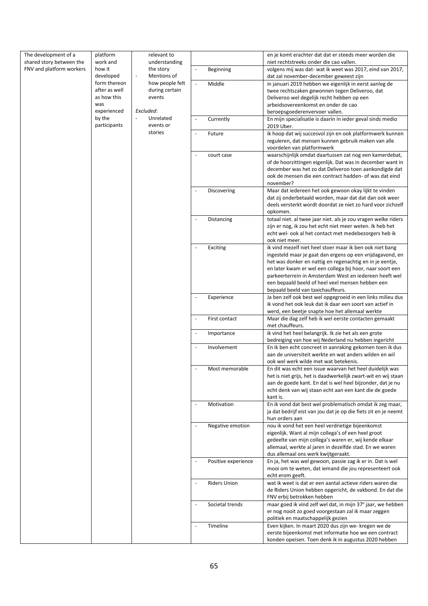| The development of a     | platform           | relevant to                                                                |                                    |                                                        | en je komt erachter dat dat er steeds meer worden die                                            |
|--------------------------|--------------------|----------------------------------------------------------------------------|------------------------------------|--------------------------------------------------------|--------------------------------------------------------------------------------------------------|
| shared story between the | work and           | understanding                                                              |                                    |                                                        | niet rechtstreeks onder die cao vallen.                                                          |
| FNV and platform workers | how it             | the story                                                                  |                                    | <b>Beginning</b>                                       | volgens mij was dat- wat ik weet was 2017, eind van 2017,                                        |
|                          | developed          | Mentions of                                                                |                                    |                                                        | dat zal november-december geweest zijn                                                           |
|                          | form thereon       | how people felt                                                            | Middle<br>$\overline{\phantom{a}}$ |                                                        | in januari 2019 hebben we eigenlijk in eerst aanleg de                                           |
|                          | after as well      | during certain<br>events<br>Excluded:<br>Unrelated<br>events or<br>stories |                                    |                                                        | twee rechtszaken gewonnen tegen Deliveroo, dat                                                   |
|                          | as how this        |                                                                            |                                    |                                                        | Deliveroo wel degelijk recht hebben op een                                                       |
|                          | was<br>experienced |                                                                            |                                    |                                                        | arbeidsovereenkomst en onder de cao                                                              |
|                          | by the             |                                                                            | Currently                          |                                                        | beroepsgoederenvervoer vallen.<br>En mijn specialisatie is daarin in ieder geval sinds medio     |
|                          | participants       |                                                                            |                                    |                                                        | 2019 Uber.                                                                                       |
|                          |                    |                                                                            | Future<br>$\overline{\phantom{a}}$ |                                                        | ik hoop dat wij succesvol zijn en ook platformwerk kunnen                                        |
|                          |                    |                                                                            |                                    |                                                        | reguleren, dat mensen kunnen gebruik maken van alle                                              |
|                          |                    |                                                                            |                                    |                                                        | voordelen van platformwerk                                                                       |
|                          |                    |                                                                            |                                    | court case                                             | waarschijnlijk omdat daartussen zat nog een kamerdebat,                                          |
|                          |                    |                                                                            |                                    |                                                        | of de hoorzittingen eigenlijk. Dat was in december want in                                       |
|                          |                    |                                                                            |                                    |                                                        | december was het zo dat Deliveroo toen aankondigde dat                                           |
|                          |                    |                                                                            |                                    |                                                        | ook de mensen die een contract hadden- of was dat eind                                           |
|                          |                    |                                                                            |                                    |                                                        | november?                                                                                        |
|                          |                    |                                                                            |                                    | Discovering                                            | Maar dat iedereen het ook gewoon okay lijkt te vinden                                            |
|                          |                    |                                                                            |                                    |                                                        | dat zij onderbetaald worden, maar dat dat dan ook weer                                           |
|                          |                    |                                                                            |                                    |                                                        | deels versterkt wordt doordat ze niet zo hard voor zichzelf<br>opkomen.                          |
|                          |                    |                                                                            |                                    | Distancing                                             | totaal niet. al twee jaar niet. als je zou vragen welke riders                                   |
|                          |                    |                                                                            |                                    |                                                        | zijn er nog, ik zou het echt niet meer weten. Ik heb het                                         |
|                          |                    |                                                                            |                                    |                                                        | echt wel- ook al het contact met medebezorgers heb ik                                            |
|                          |                    |                                                                            |                                    |                                                        | ook niet meer.                                                                                   |
|                          |                    |                                                                            | Exciting                           |                                                        | ik vind mezelf niet heel stoer maar ik ben ook niet bang                                         |
|                          |                    |                                                                            |                                    |                                                        | ingesteld maar je gaat dan ergens op een vrijdagavond, en                                        |
|                          |                    |                                                                            |                                    |                                                        | het was donker en nattig en regenachtig en in je eentje,                                         |
|                          |                    |                                                                            |                                    |                                                        | en later kwam er wel een collega bij hoor, naar soort een                                        |
|                          |                    |                                                                            |                                    | parkeerterrein in Amsterdam West en iedereen heeft wel |                                                                                                  |
|                          |                    |                                                                            |                                    | een bepaald beeld of heel veel mensen hebben een       |                                                                                                  |
|                          |                    |                                                                            |                                    | Experience                                             | bepaald beeld van taxichauffeurs.<br>Ja ben zelf ook best wel opgegroeid in een links milieu dus |
|                          |                    |                                                                            |                                    |                                                        | ik vond het ook leuk dat ik daar een soort van actief in                                         |
|                          |                    |                                                                            |                                    |                                                        | werd, een beetje snapte hoe het allemaal werkte                                                  |
|                          |                    |                                                                            | $\overline{a}$                     | First contact                                          | Maar die dag zelf heb ik wel eerste contacten gemaakt                                            |
|                          |                    |                                                                            |                                    |                                                        | met chauffeurs.                                                                                  |
|                          |                    |                                                                            |                                    | Importance                                             | ik vind het heel belangrijk. Ik zie het als een grote                                            |
|                          |                    |                                                                            |                                    |                                                        | bedreiging van hoe wij Nederland nu hebben ingericht                                             |
|                          |                    |                                                                            |                                    | Involvement                                            | En ik ben echt concreet in aanraking gekomen toen ik dus                                         |
|                          |                    |                                                                            |                                    |                                                        | aan de universiteit werkte en wat anders wilden en wil                                           |
|                          |                    |                                                                            |                                    |                                                        | ook wel werk wilde met wat betekenis.                                                            |
|                          |                    |                                                                            |                                    | Most memorable                                         | En dit was echt een issue waarvan het heel duidelijk was                                         |
|                          |                    |                                                                            |                                    |                                                        | het is niet grijs, het is daadwerkelijk zwart-wit en wij staan                                   |
|                          |                    |                                                                            |                                    |                                                        | aan de goede kant. En dat is wel heel bijzonder, dat je nu                                       |
|                          |                    |                                                                            |                                    |                                                        | echt denk van wij staan echt aan een kant die de goede<br>kant is.                               |
|                          |                    |                                                                            |                                    | Motivation                                             | En ik vond dat best wel problematisch omdat ik zeg maar,                                         |
|                          |                    |                                                                            |                                    |                                                        | ja dat bedrijf eist van jou dat je op die fiets zit en je neemt                                  |
|                          |                    |                                                                            |                                    |                                                        | hun orders aan                                                                                   |
|                          |                    |                                                                            |                                    | Negative emotion                                       | nou ik vond het een heel verdrietige bijeenkomst                                                 |
|                          |                    |                                                                            |                                    |                                                        | eigenlijk. Want al mijn collega's of een heel groot                                              |
|                          |                    |                                                                            |                                    |                                                        | gedeelte van mijn collega's waren er, wij kende elkaar                                           |
|                          |                    |                                                                            |                                    |                                                        | allemaal, werkte al jaren in dezelfde stad. En we waren                                          |
|                          |                    |                                                                            |                                    |                                                        | dus allemaal ons werk kwijtgeraakt.                                                              |
|                          |                    |                                                                            |                                    | Positive experience                                    | En ja, het was wel gewoon, passie zag ik er in. Dat is wel                                       |
|                          |                    |                                                                            |                                    |                                                        | mooi om te weten, dat iemand die jou representeert ook                                           |
|                          |                    |                                                                            |                                    | <b>Riders Union</b>                                    | echt erom geeft.<br>wat ik weet is dat er een aantal actieve riders waren die                    |
|                          |                    |                                                                            |                                    |                                                        | de Riders Union hebben opgericht, de vakbond. En dat die                                         |
|                          |                    |                                                                            |                                    |                                                        | FNV erbij betrokken hebben                                                                       |
|                          |                    |                                                                            |                                    | Societal trends                                        | maar goed ik vind zelf wel dat, in mijn 37 <sup>e</sup> jaar, we hebben                          |
|                          |                    |                                                                            |                                    |                                                        | er nog nooit zo goed voorgestaan zal ik maar zeggen                                              |
|                          |                    |                                                                            |                                    |                                                        | politiek en maatschappelijk gezien                                                               |
|                          |                    |                                                                            | Timeline<br>$\overline{a}$         |                                                        | Even kijken. In maart 2020 dus zijn we- kregen we de                                             |
|                          |                    |                                                                            |                                    |                                                        | eerste bijeenkomst met informatie hoe we een contract                                            |
|                          |                    |                                                                            |                                    |                                                        | konden opeisen. Toen denk ik in augustus 2020 hebben                                             |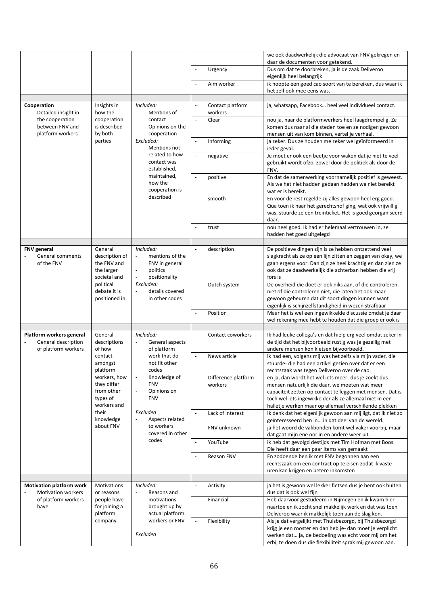|                                                              |                           |                                                            |                                               | we ook daadwerkelijk die advocaat van FNV gekregen en                                                                       |
|--------------------------------------------------------------|---------------------------|------------------------------------------------------------|-----------------------------------------------|-----------------------------------------------------------------------------------------------------------------------------|
|                                                              |                           |                                                            |                                               | daar de documenten voor getekend.                                                                                           |
|                                                              |                           |                                                            | Urgency                                       | Dus om dat te doorbreken, ja is de zaak Deliveroo<br>eigenlijk heel belangrijk                                              |
|                                                              |                           |                                                            | Aim worker                                    | ik hoopte een goed cao soort van te bereiken, dus waar ik<br>het zelf ook mee eens was.                                     |
|                                                              |                           |                                                            |                                               |                                                                                                                             |
| Cooperation<br>Detailed insight in                           | Insights in<br>how the    | Included:<br>Mentions of                                   | Contact platform<br>workers                   | ja, whatsapp, Facebook heel veel individueel contact.                                                                       |
| the cooperation                                              | cooperation               | contact                                                    | Clear<br>$\overline{\phantom{a}}$             | nou ja, naar de platformwerkers heel laagdrempelig. Ze                                                                      |
| between FNV and<br>platform workers                          | is described<br>by both   | Opinions on the<br>$\overline{\phantom{a}}$<br>cooperation |                                               | komen dus naar al die steden toe en ze nodigen gewoon<br>mensen uit van kom binnen, vertel je verhaal.                      |
|                                                              | parties                   | Excluded:                                                  | Informing<br>$\overline{\phantom{a}}$         | ja zeker. Dus ze houden me zeker wel geïnformeerd in                                                                        |
|                                                              |                           | Mentions not                                               |                                               | ieder geval.                                                                                                                |
|                                                              |                           | related to how<br>contact was<br>established,              | $\omega$<br>negative                          | Je moet er ook een beetje voor waken dat je niet te veel<br>gebruikt wordt ofzo, zowel door de politiek als door de<br>FNV. |
|                                                              |                           | maintained,                                                | positive<br>$\blacksquare$                    | En dat de samenwerking voornamelijk positief is geweest.                                                                    |
|                                                              |                           | how the<br>cooperation is                                  |                                               | Als we het niet hadden gedaan hadden we niet bereikt<br>wat er is bereikt.                                                  |
|                                                              |                           | described                                                  | smooth<br>$\blacksquare$                      | En voor de rest regelde zij alles gewoon heel erg goed.                                                                     |
|                                                              |                           |                                                            |                                               | Qua toen ik naar het gerechtshof ging, wat ook vrijwillig                                                                   |
|                                                              |                           |                                                            |                                               | was, stuurde ze een treinticket. Het is goed georganiseerd<br>daar.                                                         |
|                                                              |                           |                                                            | trust<br>$\overline{\phantom{a}}$             | nou heel goed. Ik had er helemaal vertrouwen in, ze                                                                         |
|                                                              |                           |                                                            |                                               | hadden het goed uitgelegd                                                                                                   |
| <b>FNV</b> general                                           | General                   | Included:                                                  | description<br>$\overline{\phantom{a}}$       | De positieve dingen zijn is ze hebben ontzettend veel                                                                       |
| <b>General comments</b>                                      | description of            | mentions of the                                            |                                               | slagkracht als ze op een lijn zitten en zeggen van okay, we                                                                 |
| of the FNV                                                   | the FNV and<br>the larger | FNV in general<br>politics<br>$\overline{\phantom{a}}$     |                                               | gaan ergens voor. Dan zijn ze heel krachtig en dan zien ze<br>ook dat ze daadwerkelijk die achterban hebben die vrij        |
|                                                              | societal and              | positionality                                              |                                               | fors is                                                                                                                     |
|                                                              | political<br>debate it is | Excluded:<br>details covered                               | Dutch system<br>$\overline{\phantom{a}}$      | De overheid die doet er ook niks aan, of die controleren<br>niet of die controleren niet, die laten het ook maar            |
|                                                              | positioned in.            | in other codes                                             |                                               | gewoon gebeuren dat dit soort dingen kunnen want                                                                            |
|                                                              |                           |                                                            |                                               | eigenlijk is schijnzelfstandigheid in wezen strafbaar                                                                       |
|                                                              |                           |                                                            | Position                                      | Maar het is wel een ingewikkelde discussie omdat je daar<br>wel rekening mee hebt te houden dat die groep er ook is         |
|                                                              |                           |                                                            |                                               |                                                                                                                             |
| Platform workers general<br>General description              | General<br>descriptions   | Included:<br>General aspects<br>$\sim$                     | Contact coworkers<br>$\overline{\phantom{a}}$ | Ik had leuke collega's en dat hielp erg veel omdat zeker in<br>de tijd dat het bijvoorbeeld rustig was je gezellig met      |
| of platform workers                                          | of how                    | of platform                                                |                                               | andere mensen kon kletsen bijvoorbeeld.                                                                                     |
|                                                              | contact<br>amongst        | work that do<br>not fit other                              | News article<br>$\overline{\phantom{a}}$      | ik had een, volgens mij was het zelfs via mijn vader, die<br>stuurde- die had een artikel gezien over dat er een            |
|                                                              | platform                  | codes                                                      |                                               | rechtszaak was tegen Deliveroo over de cao.                                                                                 |
|                                                              | workers, how              | Knowledge of<br>$\overline{\phantom{a}}$                   | Difference platform                           | en ja, dan wordt het wel iets meer- dus je zoekt dus                                                                        |
|                                                              | they differ<br>from other | <b>FNV</b><br>Opinions on<br>$\overline{\phantom{a}}$      | workers                                       | mensen natuurlijk die daar, we moeten wat meer<br>capaciteit zetten op contact te leggen met mensen. Dat is                 |
|                                                              | types of                  | <b>FNV</b>                                                 |                                               | toch wel iets ingewikkelder als ze allemaal niet in een                                                                     |
|                                                              | workers and<br>their      | Excluded                                                   | Lack of interest<br>$\overline{\phantom{a}}$  | halletje werken maar op allemaal verschillende plekken<br>Ik denk dat het eigenlijk gewoon aan mij ligt, dat ik niet zo     |
|                                                              | knowledge                 | Aspects related                                            |                                               | geïnteresseerd ben in in dat deel van de wereld.                                                                            |
|                                                              | about FNV                 | to workers<br>covered in other                             | $\blacksquare$<br>FNV unknown                 | ja het woord de vakbonden komt wel vaker voorbij, maar<br>dat gaat mijn ene oor in en andere weer uit.                      |
|                                                              |                           | codes                                                      | YouTube<br>$\overline{\phantom{a}}$           | ik heb dat gevolgd destijds met Tim Hofman met Boos.<br>Die heeft daar een paar items van gemaakt                           |
|                                                              |                           |                                                            | Reason FNV<br>$\overline{\phantom{a}}$        | En zodoende ben ik met FNV begonnen aan een                                                                                 |
|                                                              |                           |                                                            |                                               | rechtszaak om een contract op te eisen zodat ik vaste<br>uren kan krijgen en betere inkomsten                               |
|                                                              |                           |                                                            |                                               |                                                                                                                             |
| <b>Motivation platform work</b><br><b>Motivation workers</b> | Motivations<br>or reasons | Included:<br>Reasons and                                   | Activity                                      | ja het is gewoon wel lekker fietsen dus je bent ook buiten<br>dus dat is ook wel fijn                                       |
| of platform workers                                          | people have               | motivations                                                | Financial<br>$\overline{\phantom{a}}$         | Heb daarvoor gestudeerd in Nijmegen en ik kwam hier                                                                         |
| have                                                         | for joining a<br>platform | brought up by<br>actual platform                           |                                               | naartoe en ik zocht snel makkelijk werk en dat was toen<br>Deliveroo waar ik makkelijk toen aan de slag kon.                |
|                                                              | company.                  | workers or FNV                                             | Flexibility<br>$\overline{\phantom{a}}$       | Als je dat vergelijkt met Thuisbezorgd, bij Thuisbezorgd                                                                    |
|                                                              |                           | Excluded                                                   |                                               | krijg je een rooster en dan heb je- dan moet je verplicht<br>werken dat ja, de bedoeling was echt voor mij om het           |
|                                                              |                           |                                                            |                                               | erbij te doen dus die flexibiliteit sprak mij gewoon aan.                                                                   |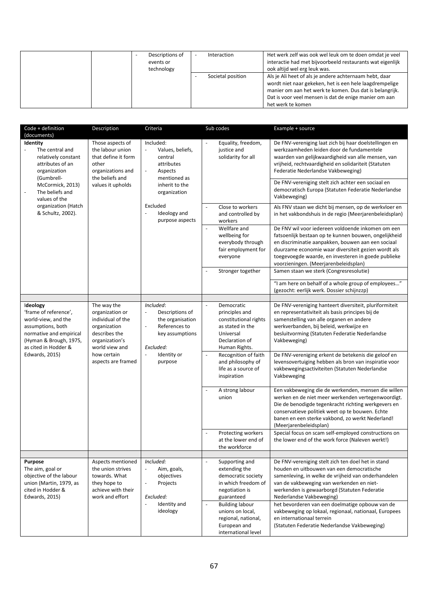| Descriptions of<br>events or<br>technology | Interaction       | Het werk zelf was ook wel leuk om te doen omdat je veel<br>interactie had met bijvoorbeeld restaurants wat eigenlijk<br>ook altijd wel erg leuk was.                                                                                                       |
|--------------------------------------------|-------------------|------------------------------------------------------------------------------------------------------------------------------------------------------------------------------------------------------------------------------------------------------------|
|                                            | Societal position | Als je Ali heet of als je andere achternaam hebt, daar<br>wordt niet naar gekeken, het is een hele laagdrempelige<br>manier om aan het werk te komen. Dus dat is belangrijk.<br>Dat is voor veel mensen is dat de enige manier om aan<br>het werk te komen |

| Code + definition<br>(documents)                                                                                                                                             | Description                                                                                                                                                   | Criteria                                                                                                                                                                                              | Sub codes                                                                                                                                                                                                                                                                                                                                                                                  | Example + source                                                                                                                                                                                                                                                                                                                                                                                                                                                                                                                                                                                                                                                                                                                                                                                                                                                      |
|------------------------------------------------------------------------------------------------------------------------------------------------------------------------------|---------------------------------------------------------------------------------------------------------------------------------------------------------------|-------------------------------------------------------------------------------------------------------------------------------------------------------------------------------------------------------|--------------------------------------------------------------------------------------------------------------------------------------------------------------------------------------------------------------------------------------------------------------------------------------------------------------------------------------------------------------------------------------------|-----------------------------------------------------------------------------------------------------------------------------------------------------------------------------------------------------------------------------------------------------------------------------------------------------------------------------------------------------------------------------------------------------------------------------------------------------------------------------------------------------------------------------------------------------------------------------------------------------------------------------------------------------------------------------------------------------------------------------------------------------------------------------------------------------------------------------------------------------------------------|
| Identity<br>The central and<br>relatively constant<br>attributes of an<br>organization<br>(Gumbrell-<br>McCormick, 2013)<br>The beliefs and<br>values of the                 | Those aspects of<br>the labour union<br>that define it form<br>other<br>organizations and<br>the beliefs and<br>values it upholds                             | Included:<br>Values, beliefs,<br>$\overline{\phantom{a}}$<br>central<br>attributes<br>$\overline{\phantom{a}}$<br>Aspects<br>mentioned as<br>inherit to the<br>organization                           | Equality, freedom,<br>justice and<br>solidarity for all                                                                                                                                                                                                                                                                                                                                    | De FNV-vereniging laat zich bij haar doelstellingen en<br>werkzaamheden leiden door de fundamentele<br>waarden van gelijkwaardigheid van alle mensen, van<br>vrijheid, rechtvaardigheid en solidariteit (Statuten<br>Federatie Nederlandse Vakbeweging)<br>De FNV-vereniging stelt zich achter een sociaal en<br>democratisch Europa (Statuten Federatie Nederlandse<br>Vakbeweging)                                                                                                                                                                                                                                                                                                                                                                                                                                                                                  |
| organization (Hatch<br>& Schultz, 2002).                                                                                                                                     |                                                                                                                                                               | Excluded<br>Ideology and<br>$\overline{a}$<br>purpose aspects                                                                                                                                         | Close to workers<br>$\blacksquare$<br>and controlled by<br>workers                                                                                                                                                                                                                                                                                                                         | Als FNV staan we dicht bij mensen, op de werkvloer en<br>in het vakbondshuis in de regio (Meerjarenbeleidsplan)                                                                                                                                                                                                                                                                                                                                                                                                                                                                                                                                                                                                                                                                                                                                                       |
|                                                                                                                                                                              |                                                                                                                                                               |                                                                                                                                                                                                       | Wellfare and<br>$\overline{\phantom{a}}$<br>wellbeing for<br>everybody through<br>fair employment for<br>everyone                                                                                                                                                                                                                                                                          | De FNV wil voor iedereen voldoende inkomen om een<br>fatsoenlijk bestaan op te kunnen bouwen, ongelijkheid<br>en discriminatie aanpakken, bouwen aan een sociaal<br>duurzame economie waar diversiteit gezien wordt als<br>toegevoegde waarde, en investeren in goede publieke<br>voorzieningen. (Meerjarenbeleidsplan)                                                                                                                                                                                                                                                                                                                                                                                                                                                                                                                                               |
|                                                                                                                                                                              |                                                                                                                                                               |                                                                                                                                                                                                       | Stronger together<br>$\overline{\phantom{a}}$                                                                                                                                                                                                                                                                                                                                              | Samen staan we sterk (Congresresolutie)                                                                                                                                                                                                                                                                                                                                                                                                                                                                                                                                                                                                                                                                                                                                                                                                                               |
|                                                                                                                                                                              |                                                                                                                                                               |                                                                                                                                                                                                       |                                                                                                                                                                                                                                                                                                                                                                                            | "I am here on behalf of a whole group of employees"<br>(gezocht: eerlijk werk. Dossier schijnzzp)                                                                                                                                                                                                                                                                                                                                                                                                                                                                                                                                                                                                                                                                                                                                                                     |
| Ideology<br>'frame of reference',<br>world-view, and the<br>assumptions, both<br>normative and empirical<br>(Hyman & Brough, 1975,<br>as cited in Hodder &<br>Edwards, 2015) | The way the<br>organization or<br>individual of the<br>organization<br>describes the<br>organization's<br>world view and<br>how certain<br>aspects are framed | Included:<br>$\overline{\phantom{a}}$<br>Descriptions of<br>the organisation<br>References to<br>$\blacksquare$<br>key assumptions<br>Excluded:<br>Identity or<br>$\overline{\phantom{a}}$<br>purpose | Democratic<br>$\overline{\phantom{a}}$<br>principles and<br>constitutional rights<br>as stated in the<br>Universal<br>Declaration of<br>Human Rights.<br>Recognition of faith<br>$\overline{\phantom{a}}$<br>and philosophy of<br>life as a source of<br>inspiration<br>A strong labour<br>$\overline{\phantom{a}}$<br>union<br>Protecting workers<br>at the lower end of<br>the workforce | De FNV-vereniging hanteert diversiteit, pluriformiteit<br>en representativiteit als basis principes bij de<br>samenstelling van alle organen en andere<br>werkverbanden, bij beleid, werkwijze en<br>besluitvorming (Statuten Federatie Nederlandse<br>Vakbeweging)<br>De FNV-vereniging erkent de betekenis die geloof en<br>levensovertuiging hebben als bron van inspiratie voor<br>vakbewegingsactiviteiten (Statuten Nederlandse<br>Vakbeweging<br>Een vakbeweging die de werkenden, mensen die willen<br>werken en de niet meer werkenden vertegenwoordigt.<br>Die de benodigde tegenkracht richting werkgevers en<br>conservatieve politiek weet op te bouwen. Echte<br>banen en een sterke vakbond, zo werkt Nederland!<br>(Meerjarenbeleidsplan)<br>Special focus on scam self-employed constructions on<br>the lower end of the work force (Naleven werkt!) |
| Purpose<br>The aim, goal or<br>objective of the labour<br>union (Martin, 1979, as<br>cited in Hodder &<br>Edwards, 2015)                                                     | Aspects mentioned<br>the union strives<br>towards. What<br>they hope to<br>achieve with their<br>work and effort                                              | Included:<br>$\blacksquare$<br>Aim, goals,<br>objectives<br>Projects<br>$\overline{\phantom{a}}$<br>Excluded:<br>Identity and<br>ideology                                                             | Supporting and<br>$\blacksquare$<br>extending the<br>democratic society<br>in which freedom of<br>negotiation is<br>guaranteed<br><b>Building labour</b><br>$\blacksquare$<br>unions on local,<br>regional, national,<br>European and<br>international level                                                                                                                               | De FNV-vereniging stelt zich ten doel het in stand<br>houden en uitbouwen van een democratische<br>samenleving, in welke de vrijheid van onderhandelen<br>van de vakbeweging van werkenden en niet-<br>werkenden is gewaarborgd (Statuten Federatie<br>Nederlandse Vakbeweging)<br>het bevorderen van een doelmatige opbouw van de<br>vakbeweging op lokaal, regionaal, nationaal, Europees<br>en internationaal terrein<br>(Statuten Federatie Nederlandse Vakbeweging)                                                                                                                                                                                                                                                                                                                                                                                              |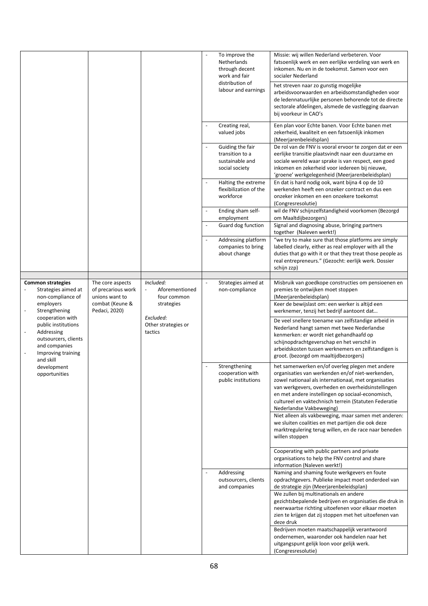|                                                                                                                                                                                                                                                                          |                                                                                              |                                                                                                                           | $\overline{\phantom{a}}$<br>$\overline{\phantom{a}}$<br>$\overline{\phantom{a}}$<br>$\overline{\phantom{a}}$<br>$\overline{\phantom{a}}$ | To improve the<br>Netherlands<br>through decent<br>work and fair<br>distribution of<br>labour and earnings<br>Creating real,<br>valued jobs<br>Guiding the fair<br>transition to a<br>sustainable and<br>social society<br>Halting the extreme<br>flexibilization of the<br>workforce<br>Ending sham self-<br>employment<br>Guard dog function<br>Addressing platform | Missie: wij willen Nederland verbeteren. Voor<br>fatsoenlijk werk en een eerlijke verdeling van werk en<br>inkomen. Nu en in de toekomst. Samen voor een<br>socialer Nederland<br>het streven naar zo gunstig mogelijke<br>arbeidsvoorwaarden en arbeidsomstandigheden voor<br>de ledennatuurlijke personen behorende tot de directe<br>sectorale afdelingen, alsmede de vastlegging daarvan<br>bij voorkeur in CAO's<br>Een plan voor Echte banen. Voor Echte banen met<br>zekerheid, kwaliteit en een fatsoenlijk inkomen<br>(Meerjarenbeleidsplan)<br>De rol van de FNV is vooral ervoor te zorgen dat er een<br>eerlijke transitie plaatsvindt naar een duurzame en<br>sociale wereld waar sprake is van respect, een goed<br>inkomen en zekerheid voor iedereen bij nieuwe,<br>'groene' werkgelegenheid (Meerjarenbeleidsplan)<br>En dat is hard nodig ook, want bijna 4 op de 10<br>werkenden heeft een onzeker contract en dus een<br>onzeker inkomen en een onzekere toekomst<br>(Congresresolutie)<br>wil de FNV schijnzelfstandigheid voorkomen (Bezorgd<br>om Maaltdijbezorgers)<br>Signal and diagnosing abuse, bringing partners<br>together (Naleven werkt!)<br>"we try to make sure that those platforms are simply |
|--------------------------------------------------------------------------------------------------------------------------------------------------------------------------------------------------------------------------------------------------------------------------|----------------------------------------------------------------------------------------------|---------------------------------------------------------------------------------------------------------------------------|------------------------------------------------------------------------------------------------------------------------------------------|-----------------------------------------------------------------------------------------------------------------------------------------------------------------------------------------------------------------------------------------------------------------------------------------------------------------------------------------------------------------------|------------------------------------------------------------------------------------------------------------------------------------------------------------------------------------------------------------------------------------------------------------------------------------------------------------------------------------------------------------------------------------------------------------------------------------------------------------------------------------------------------------------------------------------------------------------------------------------------------------------------------------------------------------------------------------------------------------------------------------------------------------------------------------------------------------------------------------------------------------------------------------------------------------------------------------------------------------------------------------------------------------------------------------------------------------------------------------------------------------------------------------------------------------------------------------------------------------------------------------|
|                                                                                                                                                                                                                                                                          |                                                                                              |                                                                                                                           |                                                                                                                                          | companies to bring<br>about change                                                                                                                                                                                                                                                                                                                                    | labelled clearly, either as real employer with all the<br>duties that go with it or that they treat those people as<br>real entrepreneurs." (Gezocht: eerlijk werk. Dossier<br>schijn zzp)                                                                                                                                                                                                                                                                                                                                                                                                                                                                                                                                                                                                                                                                                                                                                                                                                                                                                                                                                                                                                                         |
| <b>Common strategies</b><br>Strategies aimed at<br>non-compliance of<br>employers<br>Strengthening<br>$\overline{\phantom{a}}$<br>cooperation with<br>public institutions<br>Addressing<br>$\blacksquare$<br>outsourcers, clients<br>and companies<br>Improving training | The core aspects<br>of precarious work<br>unions want to<br>combat (Keune &<br>Pedaci, 2020) | Included:<br>Aforementioned<br>$\blacksquare$<br>four common<br>strategies<br>Excluded:<br>Other strategies or<br>tactics | $\overline{\phantom{a}}$                                                                                                                 | Strategies aimed at<br>non-compliance                                                                                                                                                                                                                                                                                                                                 | Misbruik van goedkope constructies om pensioenen en<br>premies te ontwijken moet stoppen<br>(Meerjarenbeleidsplan)<br>Keer de bewijslast om: een werker is altijd een<br>werknemer, tenzij het bedrijf aantoont dat<br>De veel snellere toename van zelfstandige arbeid in<br>Nederland hangt samen met twee Nederlandse<br>kenmerken: er wordt niet gehandhaafd op<br>schijnopdrachtgeverschap en het verschil in<br>arbeidskosten tussen werknemers en zelfstandigen is<br>groot. (bezorgd om maaltijdbezorgers)                                                                                                                                                                                                                                                                                                                                                                                                                                                                                                                                                                                                                                                                                                                 |
| and skill<br>development<br>opportunities                                                                                                                                                                                                                                |                                                                                              |                                                                                                                           |                                                                                                                                          | Strengthening<br>cooperation with<br>public institutions                                                                                                                                                                                                                                                                                                              | het samenwerken en/of overleg plegen met andere<br>organisaties van werkenden en/of niet-werkenden,<br>zowel nationaal als internationaal, met organisaties<br>van werkgevers, overheden en overheidsinstellingen<br>en met andere instellingen op sociaal-economisch,<br>cultureel en vaktechnisch terrein (Statuten Federatie<br>Nederlandse Vakbeweging)<br>Niet alleen als vakbeweging, maar samen met anderen:<br>we sluiten coalities en met partijen die ook deze<br>marktregulering terug willen, en de race naar beneden<br>willen stoppen<br>Cooperating with public partners and private                                                                                                                                                                                                                                                                                                                                                                                                                                                                                                                                                                                                                                |
|                                                                                                                                                                                                                                                                          |                                                                                              |                                                                                                                           | $\overline{\phantom{a}}$                                                                                                                 | Addressing<br>outsourcers, clients<br>and companies                                                                                                                                                                                                                                                                                                                   | organisations to help the FNV control and share<br>information (Naleven werkt!)<br>Naming and shaming foute werkgevers en foute<br>opdrachtgevers. Publieke impact moet onderdeel van<br>de strategie zijn (Meerjarenbeleidsplan)<br>We zullen bij multinationals en andere<br>gezichtsbepalende bedrijven en organisaties die druk in<br>neerwaartse richting uitoefenen voor elkaar moeten<br>zien te krijgen dat zij stoppen met het uitoefenen van<br>deze druk<br>Bedrijven moeten maatschappelijk verantwoord<br>ondernemen, waaronder ook handelen naar het<br>uitgangspunt gelijk loon voor gelijk werk.<br>(Congresresolutie)                                                                                                                                                                                                                                                                                                                                                                                                                                                                                                                                                                                             |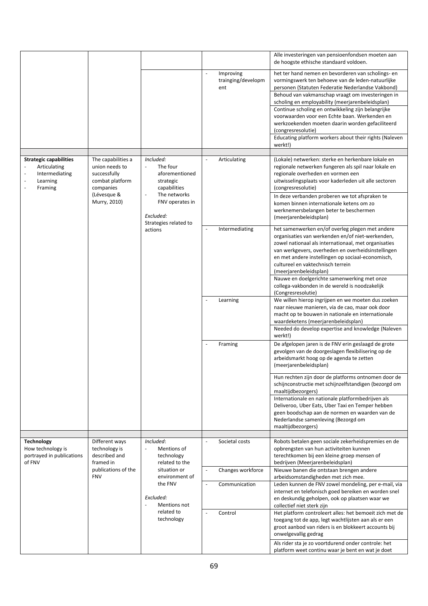|                                                                                        |                                                                                                                     |                                                                                                                                                       |                                                                    | Alle investeringen van pensioenfondsen moeten aan<br>de hoogste ethische standaard voldoen.                                                                                                                                                                                                                                                                            |
|----------------------------------------------------------------------------------------|---------------------------------------------------------------------------------------------------------------------|-------------------------------------------------------------------------------------------------------------------------------------------------------|--------------------------------------------------------------------|------------------------------------------------------------------------------------------------------------------------------------------------------------------------------------------------------------------------------------------------------------------------------------------------------------------------------------------------------------------------|
|                                                                                        |                                                                                                                     |                                                                                                                                                       | Improving<br>$\overline{\phantom{a}}$<br>trainging/developm<br>ent | het ter hand nemen en bevorderen van scholings- en<br>vormingswerk ten behoeve van de leden-natuurlijke<br>personen (Statuten Federatie Nederlandse Vakbond)                                                                                                                                                                                                           |
|                                                                                        |                                                                                                                     |                                                                                                                                                       |                                                                    | Behoud van vakmanschap vraagt om investeringen in<br>scholing en employability (meerjarenbeleidsplan)                                                                                                                                                                                                                                                                  |
|                                                                                        |                                                                                                                     |                                                                                                                                                       |                                                                    | Continue scholing en ontwikkeling zijn belangrijke<br>voorwaarden voor een Echte baan. Werkenden en<br>werkzoekenden moeten daarin worden gefaciliteerd<br>(congresresolutie)                                                                                                                                                                                          |
|                                                                                        |                                                                                                                     |                                                                                                                                                       |                                                                    | Educating platform workers about their rights (Naleven<br>werkt!)                                                                                                                                                                                                                                                                                                      |
| <b>Strategic capabilities</b><br>Articulating<br>Intermediating<br>Learning<br>Framing | The capabilities a<br>union needs to<br>successfully<br>combat platform<br>companies<br>(Lévesque &<br>Murry, 2010) | Included:<br>The four<br>$\overline{\phantom{a}}$<br>aforementioned<br>strategic<br>capabilities<br>$\blacksquare$<br>The networks<br>FNV operates in | Articulating<br>$\blacksquare$                                     | (Lokale) netwerken: sterke en herkenbare lokale en<br>regionale netwerken fungeren als spil naar lokale en<br>regionale overheden en vormen een<br>uitwisselingsplaats voor kaderleden uit alle sectoren<br>(congresresolutie)<br>In deze verbanden proberen we tot afspraken te<br>komen binnen internationale ketens om zo<br>werknemersbelangen beter te beschermen |
|                                                                                        |                                                                                                                     | Excluded:<br>Strategies related to                                                                                                                    |                                                                    | (meerjarenbeleidsplan)                                                                                                                                                                                                                                                                                                                                                 |
|                                                                                        |                                                                                                                     | actions                                                                                                                                               | $\overline{\phantom{a}}$<br>Intermediating                         | het samenwerken en/of overleg plegen met andere<br>organisaties van werkenden en/of niet-werkenden,<br>zowel nationaal als internationaal, met organisaties<br>van werkgevers, overheden en overheidsinstellingen<br>en met andere instellingen op sociaal-economisch,<br>cultureel en vaktechnisch terrein<br>(meerjarenbeleidsplan)                                  |
|                                                                                        |                                                                                                                     |                                                                                                                                                       |                                                                    | Nauwe en doelgerichte samenwerking met onze<br>collega-vakbonden in de wereld is noodzakelijk                                                                                                                                                                                                                                                                          |
|                                                                                        |                                                                                                                     |                                                                                                                                                       | Learning<br>$\overline{\phantom{a}}$                               | (Congresresolutie)<br>We willen hierop ingrijpen en we moeten dus zoeken                                                                                                                                                                                                                                                                                               |
|                                                                                        |                                                                                                                     |                                                                                                                                                       |                                                                    | naar nieuwe manieren, via de cao, maar ook door<br>macht op te bouwen in nationale en internationale<br>waardeketens (meerjarenbeleidsplan)                                                                                                                                                                                                                            |
|                                                                                        |                                                                                                                     |                                                                                                                                                       |                                                                    | Needed do develop expertise and knowledge (Naleven<br>werkt!)                                                                                                                                                                                                                                                                                                          |
|                                                                                        |                                                                                                                     |                                                                                                                                                       | Framing<br>$\overline{\phantom{a}}$                                | De afgelopen jaren is de FNV erin geslaagd de grote<br>gevolgen van de doorgeslagen flexibilisering op de<br>arbeidsmarkt hoog op de agenda te zetten<br>(meerjarenbeleidsplan)                                                                                                                                                                                        |
|                                                                                        |                                                                                                                     |                                                                                                                                                       |                                                                    | Hun rechten zijn door de platforms ontnomen door de<br>schijnconstructie met schijnzelfstandigen (bezorgd om<br>maaltijdbezorgers)                                                                                                                                                                                                                                     |
|                                                                                        |                                                                                                                     |                                                                                                                                                       |                                                                    | Internationale en nationale platformbedrijven als<br>Deliveroo, Uber Eats, Uber Taxi en Temper hebben<br>geen boodschap aan de normen en waarden van de<br>Nederlandse samenleving (Bezorgd om<br>maaltijdbezorgers)                                                                                                                                                   |
| <b>Technology</b>                                                                      | Different ways                                                                                                      | Included:                                                                                                                                             | Societal costs                                                     | Robots betalen geen sociale zekerheidspremies en de                                                                                                                                                                                                                                                                                                                    |
| How technology is<br>portrayed in publications<br>of FNV                               | technology is<br>described and<br>framed in                                                                         | $\blacksquare$<br>Mentions of<br>technology<br>related to the                                                                                         |                                                                    | opbrengsten van hun activiteiten kunnen<br>terechtkomen bij een kleine groep mensen of<br>bedrijven (Meerjarenbeleidsplan)                                                                                                                                                                                                                                             |
|                                                                                        | publications of the<br><b>FNV</b>                                                                                   | situation or<br>environment of                                                                                                                        | Changes workforce<br>$\blacksquare$                                | Nieuwe banen die ontstaan brengen andere<br>arbeidsomstandigheden met zich mee.                                                                                                                                                                                                                                                                                        |
|                                                                                        |                                                                                                                     | the FNV<br>Excluded:<br>Mentions not                                                                                                                  | Communication<br>$\blacksquare$                                    | Leden kunnen de FNV zowel mondeling, per e-mail, via<br>internet en telefonisch goed bereiken en worden snel<br>en deskundig geholpen, ook op plaatsen waar we<br>collectief niet sterk zijn                                                                                                                                                                           |
|                                                                                        |                                                                                                                     | related to<br>technology                                                                                                                              | Control<br>$\blacksquare$                                          | Het platform controleert alles: het bemoeit zich met de<br>toegang tot de app, legt wachtlijsten aan als er een<br>groot aanbod van riders is en blokkeert accounts bij<br>onwelgevallig gedrag                                                                                                                                                                        |
|                                                                                        |                                                                                                                     |                                                                                                                                                       |                                                                    | Als rider sta je zo voortdurend onder controle: het<br>platform weet continu waar je bent en wat je doet                                                                                                                                                                                                                                                               |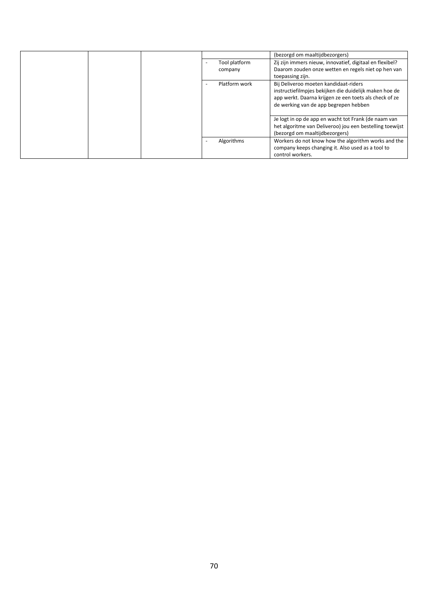|  |               | (bezorgd om maaltijdbezorgers)                                                                                                                                                                     |
|--|---------------|----------------------------------------------------------------------------------------------------------------------------------------------------------------------------------------------------|
|  | Tool platform | Zij zijn immers nieuw, innovatief, digitaal en flexibel?                                                                                                                                           |
|  | company       | Daarom zouden onze wetten en regels niet op hen van                                                                                                                                                |
|  |               | toepassing zijn.                                                                                                                                                                                   |
|  | Platform work | Bij Deliveroo moeten kandidaat-riders<br>instructiefilmpjes bekijken die duidelijk maken hoe de<br>app werkt. Daarna krijgen ze een toets als check of ze<br>de werking van de app begrepen hebben |
|  |               | Je logt in op de app en wacht tot Frank (de naam van<br>het algoritme van Deliveroo) jou een bestelling toewijst<br>(bezorgd om maaltijdbezorgers)                                                 |
|  | Algorithms    | Workers do not know how the algorithm works and the<br>company keeps changing it. Also used as a tool to<br>control workers.                                                                       |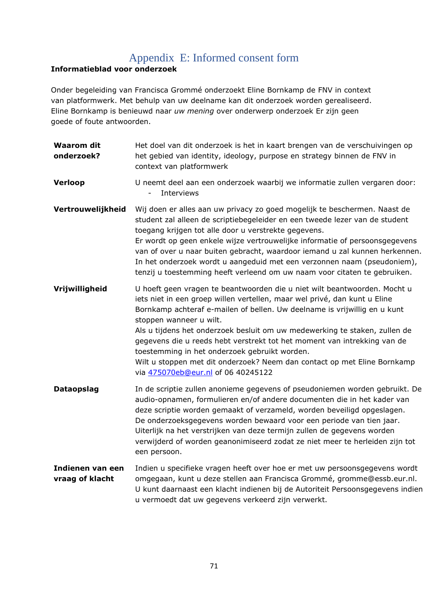# Appendix E: Informed consent form

# **Informatieblad voor onderzoek**

Onder begeleiding van Francisca Grommé onderzoekt Eline Bornkamp de FNV in context van platformwerk. Met behulp van uw deelname kan dit onderzoek worden gerealiseerd. Eline Bornkamp is benieuwd naar *uw mening* over onderwerp onderzoek Er zijn geen goede of foute antwoorden.

- **Waarom dit onderzoek?**  Het doel van dit onderzoek is het in kaart brengen van de verschuivingen op het gebied van identity, ideology, purpose en strategy binnen de FNV in context van platformwerk
- **Verloop** U neemt deel aan een onderzoek waarbij we informatie zullen vergaren door: - Interviews

**Vertrouwelijkheid** Wij doen er alles aan uw privacy zo goed mogelijk te beschermen. Naast de student zal alleen de scriptiebegeleider en een tweede lezer van de student toegang krijgen tot alle door u verstrekte gegevens. Er wordt op geen enkele wijze vertrouwelijke informatie of persoonsgegevens van of over u naar buiten gebracht, waardoor iemand u zal kunnen herkennen. In het onderzoek wordt u aangeduid met een verzonnen naam (pseudoniem), tenzij u toestemming heeft verleend om uw naam voor citaten te gebruiken.

**Vrijwilligheid** U hoeft geen vragen te beantwoorden die u niet wilt beantwoorden. Mocht u iets niet in een groep willen vertellen, maar wel privé, dan kunt u Eline Bornkamp achteraf e-mailen of bellen. Uw deelname is vrijwillig en u kunt stoppen wanneer u wilt. Als u tijdens het onderzoek besluit om uw medewerking te staken, zullen de gegevens die u reeds hebt verstrekt tot het moment van intrekking van de toestemming in het onderzoek gebruikt worden.

Wilt u stoppen met dit onderzoek? Neem dan contact op met Eline Bornkamp via  $475070e$ b@eur.nl of 06 40245122

- **Dataopslag** In de scriptie zullen anonieme gegevens of pseudoniemen worden gebruikt. De audio-opnamen, formulieren en/of andere documenten die in het kader van deze scriptie worden gemaakt of verzameld, worden beveiligd opgeslagen. De onderzoeksgegevens worden bewaard voor een periode van tien jaar. Uiterlijk na het verstrijken van deze termijn zullen de gegevens worden verwijderd of worden geanonimiseerd zodat ze niet meer te herleiden zijn tot een persoon.
- **Indienen van een vraag of klacht** Indien u specifieke vragen heeft over hoe er met uw persoonsgegevens wordt omgegaan, kunt u deze stellen aan Francisca Grommé, gromme@essb.eur.nl. U kunt daarnaast een klacht indienen bij de Autoriteit Persoonsgegevens indien u vermoedt dat uw gegevens verkeerd zijn verwerkt.